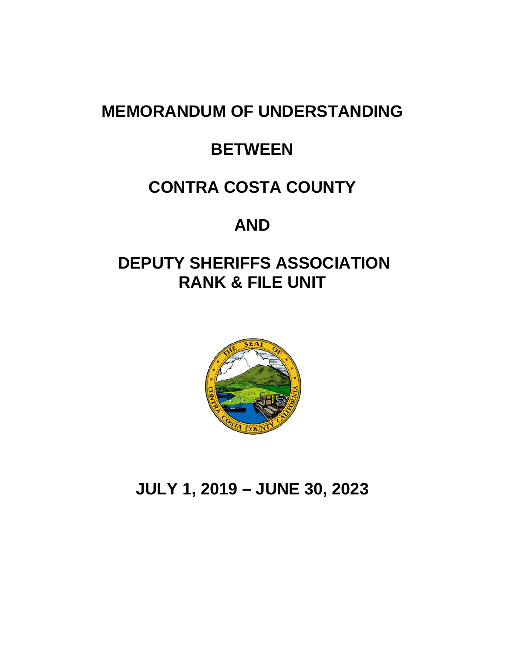# **MEMORANDUM OF UNDERSTANDING**

# **BETWEEN**

# **CONTRA COSTA COUNTY**

# **AND**

# **DEPUTY SHERIFFS ASSOCIATION RANK & FILE UNIT**



# **JULY 1, 2019 – JUNE 30, 2023**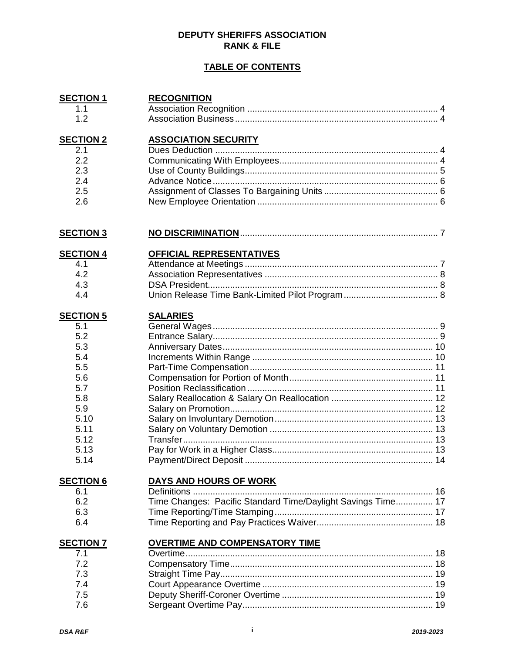#### **DEPUTY SHERIFFS ASSOCIATION RANK & FILE**

#### **TABLE OF CONTENTS**

| <b>SECTION 1</b> | <b>RECOGNITION</b>                                           |  |
|------------------|--------------------------------------------------------------|--|
| 1.1              |                                                              |  |
| 1.2              |                                                              |  |
|                  |                                                              |  |
| <b>SECTION 2</b> | <b>ASSOCIATION SECURITY</b>                                  |  |
| 2.1              |                                                              |  |
| 2.2              |                                                              |  |
| 2.3              |                                                              |  |
| 2.4              |                                                              |  |
| 2.5              |                                                              |  |
| 2.6              |                                                              |  |
| <b>SECTION 3</b> |                                                              |  |
| <b>SECTION 4</b> | OFFICIAL REPRESENTATIVES                                     |  |
| 4.1              |                                                              |  |
| 4.2              |                                                              |  |
| 4.3              |                                                              |  |
| 4.4              |                                                              |  |
| <b>SECTION 5</b> | <b>SALARIES</b>                                              |  |
| 5.1              |                                                              |  |
| 5.2              |                                                              |  |
| 5.3              |                                                              |  |
| 5.4              |                                                              |  |
| 5.5              |                                                              |  |
| 5.6              |                                                              |  |
| 5.7              |                                                              |  |
| 5.8              |                                                              |  |
| 5.9              |                                                              |  |
|                  |                                                              |  |
| 5.10             |                                                              |  |
| 5.11             |                                                              |  |
| 5.12             |                                                              |  |
| 5.13             |                                                              |  |
| 5.14             |                                                              |  |
| <b>SECTION 6</b> | <b>DAYS AND HOURS OF WORK</b>                                |  |
| 6.1              |                                                              |  |
| 6.2              | Time Changes: Pacific Standard Time/Daylight Savings Time 17 |  |
| 6.3              |                                                              |  |
| 6.4              |                                                              |  |
| <b>SECTION 7</b> | <b>OVERTIME AND COMPENSATORY TIME</b>                        |  |
| 7.1              |                                                              |  |
| 7.2              |                                                              |  |
| 7.3              |                                                              |  |
| 7.4              |                                                              |  |
| 7.5              |                                                              |  |
| 7.6              |                                                              |  |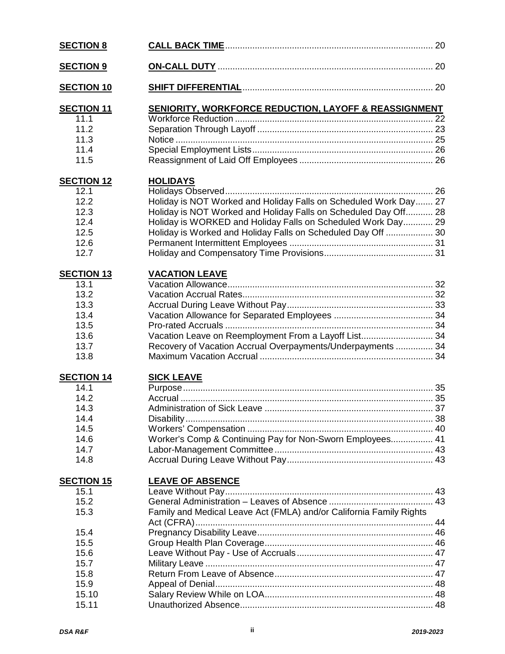| <b>SECTION 8</b>  |                                                                     |  |
|-------------------|---------------------------------------------------------------------|--|
| <b>SECTION 9</b>  |                                                                     |  |
| <b>SECTION 10</b> |                                                                     |  |
| <b>SECTION 11</b> | <b>SENIORITY, WORKFORCE REDUCTION, LAYOFF &amp; REASSIGNMENT</b>    |  |
| 11.1              |                                                                     |  |
| 11.2              |                                                                     |  |
| 11.3              |                                                                     |  |
| 11.4              |                                                                     |  |
| 11.5              |                                                                     |  |
| <b>SECTION 12</b> | <b>HOLIDAYS</b>                                                     |  |
| 12.1              |                                                                     |  |
| 12.2              | Holiday is NOT Worked and Holiday Falls on Scheduled Work Day 27    |  |
| 12.3              | Holiday is NOT Worked and Holiday Falls on Scheduled Day Off 28     |  |
| 12.4              | Holiday is WORKED and Holiday Falls on Scheduled Work Day 29        |  |
| 12.5              | Holiday is Worked and Holiday Falls on Scheduled Day Off  30        |  |
| 12.6              |                                                                     |  |
| 12.7              |                                                                     |  |
| <b>SECTION 13</b> | <b>VACATION LEAVE</b>                                               |  |
| 13.1              |                                                                     |  |
| 13.2              |                                                                     |  |
| 13.3              |                                                                     |  |
| 13.4              |                                                                     |  |
| 13.5<br>13.6      | Vacation Leave on Reemployment From a Layoff List 34                |  |
| 13.7              | Recovery of Vacation Accrual Overpayments/Underpayments  34         |  |
| 13.8              |                                                                     |  |
| <b>SECTION 14</b> | <b>SICK LEAVE</b>                                                   |  |
| 14.1              |                                                                     |  |
| 14.2              |                                                                     |  |
| 14.3              |                                                                     |  |
| 14.4              |                                                                     |  |
| 14.5              |                                                                     |  |
| 14.6              | Worker's Comp & Continuing Pay for Non-Sworn Employees 41           |  |
| 14.7              |                                                                     |  |
| 14.8              |                                                                     |  |
| <b>SECTION 15</b> | <b>LEAVE OF ABSENCE</b>                                             |  |
| 15.1              |                                                                     |  |
| 15.2              |                                                                     |  |
| 15.3              | Family and Medical Leave Act (FMLA) and/or California Family Rights |  |
|                   |                                                                     |  |
| 15.4              |                                                                     |  |
| 15.5              |                                                                     |  |
| 15.6              |                                                                     |  |
| 15.7<br>15.8      |                                                                     |  |
| 15.9              |                                                                     |  |
| 15.10             |                                                                     |  |
| 15.11             |                                                                     |  |
|                   |                                                                     |  |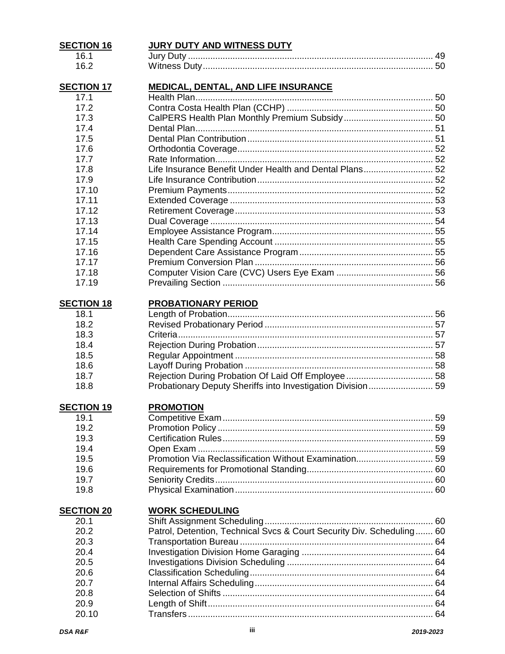| <b>SECTION 16</b> | <u>JURY DUTY AND WITNESS DUTY</u>                                     |  |
|-------------------|-----------------------------------------------------------------------|--|
| 16.1              |                                                                       |  |
| 16.2              |                                                                       |  |
| <b>SECTION 17</b> | <b>MEDICAL, DENTAL, AND LIFE INSURANCE</b>                            |  |
| 17.1              |                                                                       |  |
| 17.2              |                                                                       |  |
| 17.3              |                                                                       |  |
| 17.4              |                                                                       |  |
| 17.5              |                                                                       |  |
| 17.6              |                                                                       |  |
| 17.7              |                                                                       |  |
| 17.8              | Life Insurance Benefit Under Health and Dental Plans 52               |  |
| 17.9              |                                                                       |  |
| 17.10             |                                                                       |  |
| 17.11             |                                                                       |  |
| 17.12             |                                                                       |  |
| 17.13             |                                                                       |  |
| 17.14             |                                                                       |  |
| 17.15             |                                                                       |  |
| 17.16             |                                                                       |  |
| 17.17             |                                                                       |  |
| 17.18             |                                                                       |  |
| 17.19             |                                                                       |  |
|                   |                                                                       |  |
| <b>SECTION 18</b> | PROBATIONARY PERIOD                                                   |  |
| 18.1              |                                                                       |  |
| 18.2              |                                                                       |  |
| 18.3              |                                                                       |  |
| 18.4              |                                                                       |  |
| 18.5              |                                                                       |  |
| 18.6              |                                                                       |  |
| 18.7              |                                                                       |  |
| 18.8              | Probationary Deputy Sheriffs into Investigation Division 59           |  |
| <b>SECTION 19</b> | <b>PROMOTION</b>                                                      |  |
| 19.1              |                                                                       |  |
| 19.2              |                                                                       |  |
| 19.3              |                                                                       |  |
| 19.4              |                                                                       |  |
| 19.5              |                                                                       |  |
| 19.6              |                                                                       |  |
| 19.7              |                                                                       |  |
| 19.8              |                                                                       |  |
|                   | <b>WORK SCHEDULING</b>                                                |  |
| <b>SECTION 20</b> |                                                                       |  |
| 20.1<br>20.2      | Patrol, Detention, Technical Svcs & Court Security Div. Scheduling 60 |  |
| 20.3              |                                                                       |  |
| 20.4              |                                                                       |  |
|                   |                                                                       |  |
| 20.5              |                                                                       |  |
| 20.6              |                                                                       |  |
| 20.7              |                                                                       |  |
| 20.8              |                                                                       |  |
| 20.9              |                                                                       |  |
| 20.10             |                                                                       |  |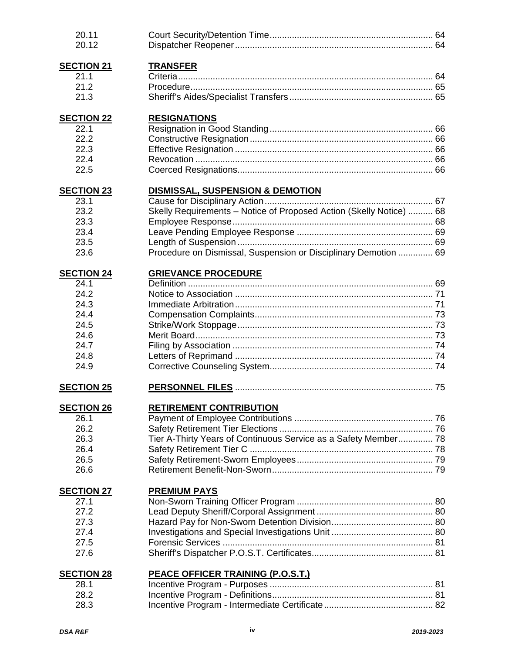| 20.11<br>20.12    |                                                                     |  |
|-------------------|---------------------------------------------------------------------|--|
| <b>SECTION 21</b> | <b>TRANSFER</b>                                                     |  |
| 21.1              |                                                                     |  |
| 21.2              |                                                                     |  |
| 21.3              |                                                                     |  |
| <b>SECTION 22</b> | <b>RESIGNATIONS</b>                                                 |  |
| 22.1              |                                                                     |  |
| 22.2              |                                                                     |  |
| 22.3              |                                                                     |  |
| 22.4              |                                                                     |  |
| 22.5              |                                                                     |  |
| <b>SECTION 23</b> |                                                                     |  |
| 23.1              |                                                                     |  |
| 23.2              | Skelly Requirements - Notice of Proposed Action (Skelly Notice)  68 |  |
| 23.3              |                                                                     |  |
| 23.4              |                                                                     |  |
| 23.5              |                                                                     |  |
| 23.6              | Procedure on Dismissal, Suspension or Disciplinary Demotion  69     |  |
| <b>SECTION 24</b> | <b>GRIEVANCE PROCEDURE</b>                                          |  |
| 24.1              |                                                                     |  |
| 24.2<br>24.3      |                                                                     |  |
| 24.4              |                                                                     |  |
| 24.5              |                                                                     |  |
| 24.6              |                                                                     |  |
| 24.7              |                                                                     |  |
| 24.8              |                                                                     |  |
| 24.9              |                                                                     |  |
|                   |                                                                     |  |
| <b>SECTION 25</b> |                                                                     |  |
| <b>SECTION 26</b> | <b>RETIREMENT CONTRIBUTION</b>                                      |  |
| 26.1<br>26.2      |                                                                     |  |
| 26.3              |                                                                     |  |
| 26.4              | Tier A-Thirty Years of Continuous Service as a Safety Member 78     |  |
| 26.5              |                                                                     |  |
| 26.6              |                                                                     |  |
|                   |                                                                     |  |
| <b>SECTION 27</b> | <b>PREMIUM PAYS</b>                                                 |  |
| 27.1              |                                                                     |  |
| 27.2              |                                                                     |  |
| 27.3              |                                                                     |  |
| 27.4              |                                                                     |  |
| 27.5<br>27.6      |                                                                     |  |
|                   |                                                                     |  |
| <b>SECTION 28</b> | <b>PEACE OFFICER TRAINING (P.O.S.T.)</b>                            |  |
| 28.1              |                                                                     |  |
| 28.2              |                                                                     |  |
| 28.3              |                                                                     |  |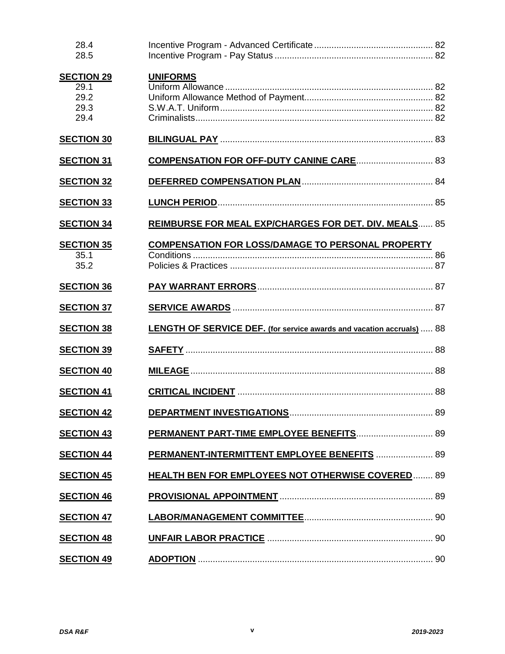| 28.4<br>28.5                                      |                                                                       |  |
|---------------------------------------------------|-----------------------------------------------------------------------|--|
| <b>SECTION 29</b><br>29.1<br>29.2<br>29.3<br>29.4 | <b>UNIFORMS</b>                                                       |  |
| <b>SECTION 30</b>                                 |                                                                       |  |
| <b>SECTION 31</b>                                 | <b>COMPENSATION FOR OFF-DUTY CANINE CARE 83</b>                       |  |
| <b>SECTION 32</b>                                 |                                                                       |  |
| <b>SECTION 33</b>                                 |                                                                       |  |
| <b>SECTION 34</b>                                 | <b>REIMBURSE FOR MEAL EXP/CHARGES FOR DET. DIV. MEALS 85</b>          |  |
| <b>SECTION 35</b><br>35.1<br>35.2                 | <b>COMPENSATION FOR LOSS/DAMAGE TO PERSONAL PROPERTY</b>              |  |
| <b>SECTION 36</b>                                 |                                                                       |  |
| <b>SECTION 37</b>                                 |                                                                       |  |
| <b>SECTION 38</b>                                 | LENGTH OF SERVICE DEF. (for service awards and vacation accruals)  88 |  |
| <b>SECTION 39</b>                                 |                                                                       |  |
| <b>SECTION 40</b>                                 |                                                                       |  |
| <b>SECTION 41</b>                                 |                                                                       |  |
| <b>SECTION 42</b>                                 |                                                                       |  |
| <b>SECTION 43</b>                                 | PERMANENT PART-TIME EMPLOYEE BENEFITS 89                              |  |
| <b>SECTION 44</b>                                 | PERMANENT-INTERMITTENT EMPLOYEE BENEFITS  89                          |  |
| <b>SECTION 45</b>                                 | <b>HEALTH BEN FOR EMPLOYEES NOT OTHERWISE COVERED 89</b>              |  |
| <b>SECTION 46</b>                                 |                                                                       |  |
| <b>SECTION 47</b>                                 |                                                                       |  |
| <b>SECTION 48</b>                                 |                                                                       |  |
| <b>SECTION 49</b>                                 |                                                                       |  |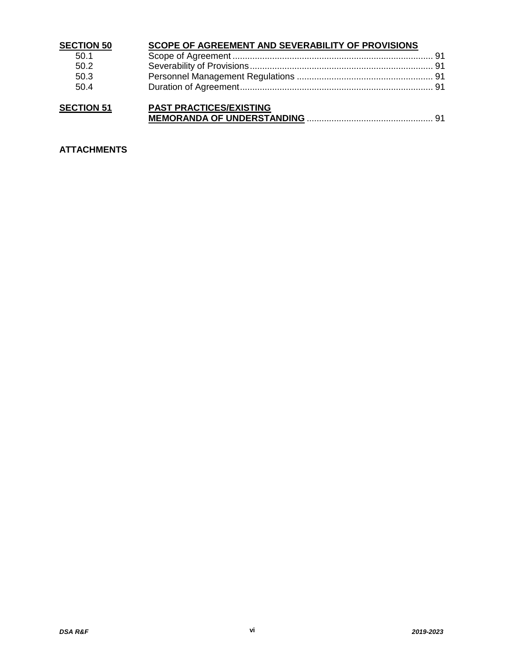| <b>SECTION 50</b> | <b>SCOPE OF AGREEMENT AND SEVERABILITY OF PROVISIONS</b> |  |
|-------------------|----------------------------------------------------------|--|
| 50.1              |                                                          |  |
| 50.2              |                                                          |  |
| 50.3              |                                                          |  |
| 50.4              |                                                          |  |
| <b>SECTION 51</b> | DAST DRACTICES/EYISTING                                  |  |

| <b>SECTION 51</b> | <b>PAST PRACTICES/EXISTING</b> |
|-------------------|--------------------------------|
|                   |                                |

## **ATTACHMENTS**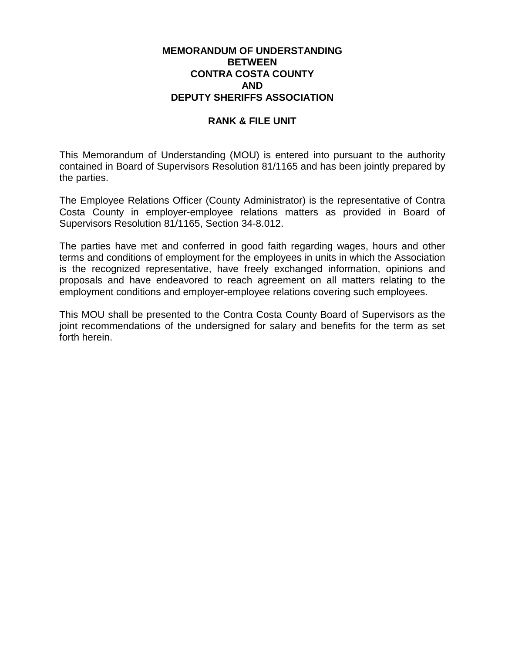#### **MEMORANDUM OF UNDERSTANDING BETWEEN CONTRA COSTA COUNTY AND DEPUTY SHERIFFS ASSOCIATION**

#### **RANK & FILE UNIT**

This Memorandum of Understanding (MOU) is entered into pursuant to the authority contained in Board of Supervisors Resolution 81/1165 and has been jointly prepared by the parties.

The Employee Relations Officer (County Administrator) is the representative of Contra Costa County in employer-employee relations matters as provided in Board of Supervisors Resolution 81/1165, Section 34-8.012.

The parties have met and conferred in good faith regarding wages, hours and other terms and conditions of employment for the employees in units in which the Association is the recognized representative, have freely exchanged information, opinions and proposals and have endeavored to reach agreement on all matters relating to the employment conditions and employer-employee relations covering such employees.

This MOU shall be presented to the Contra Costa County Board of Supervisors as the joint recommendations of the undersigned for salary and benefits for the term as set forth herein.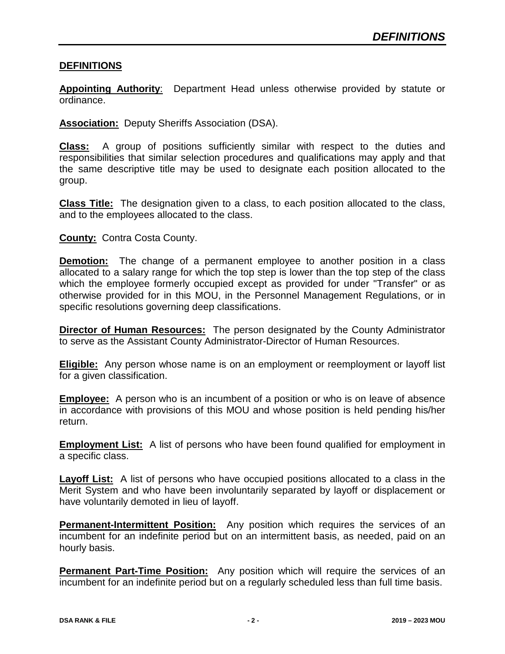#### **DEFINITIONS**

**Appointing Authority**: Department Head unless otherwise provided by statute or ordinance.

**Association:** Deputy Sheriffs Association (DSA).

**Class:** A group of positions sufficiently similar with respect to the duties and responsibilities that similar selection procedures and qualifications may apply and that the same descriptive title may be used to designate each position allocated to the group.

**Class Title:** The designation given to a class, to each position allocated to the class, and to the employees allocated to the class.

#### **County:** Contra Costa County.

**Demotion:** The change of a permanent employee to another position in a class allocated to a salary range for which the top step is lower than the top step of the class which the employee formerly occupied except as provided for under "Transfer" or as otherwise provided for in this MOU, in the Personnel Management Regulations, or in specific resolutions governing deep classifications.

**Director of Human Resources:** The person designated by the County Administrator to serve as the Assistant County Administrator-Director of Human Resources.

**Eligible:** Any person whose name is on an employment or reemployment or layoff list for a given classification.

**Employee:** A person who is an incumbent of a position or who is on leave of absence in accordance with provisions of this MOU and whose position is held pending his/her return.

**Employment List:** A list of persons who have been found qualified for employment in a specific class.

**Layoff List:** A list of persons who have occupied positions allocated to a class in the Merit System and who have been involuntarily separated by layoff or displacement or have voluntarily demoted in lieu of layoff.

**Permanent-Intermittent Position:** Any position which requires the services of an incumbent for an indefinite period but on an intermittent basis, as needed, paid on an hourly basis.

**Permanent Part-Time Position:** Any position which will require the services of an incumbent for an indefinite period but on a regularly scheduled less than full time basis.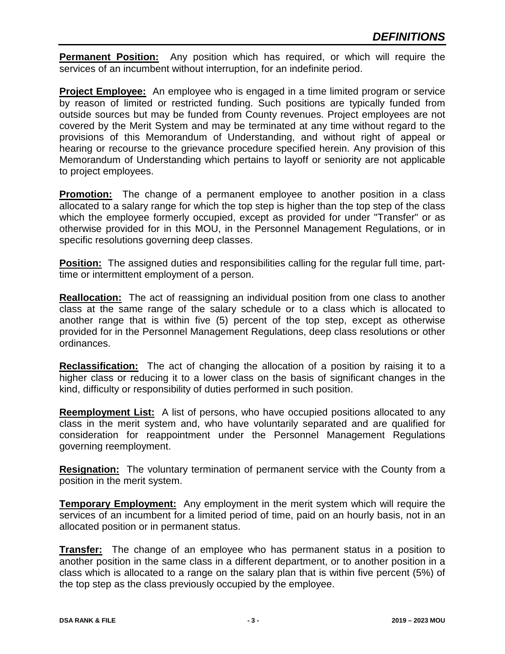**Permanent Position:** Any position which has required, or which will require the services of an incumbent without interruption, for an indefinite period.

**Project Employee:** An employee who is engaged in a time limited program or service by reason of limited or restricted funding. Such positions are typically funded from outside sources but may be funded from County revenues. Project employees are not covered by the Merit System and may be terminated at any time without regard to the provisions of this Memorandum of Understanding, and without right of appeal or hearing or recourse to the grievance procedure specified herein. Any provision of this Memorandum of Understanding which pertains to layoff or seniority are not applicable to project employees.

**Promotion:** The change of a permanent employee to another position in a class allocated to a salary range for which the top step is higher than the top step of the class which the employee formerly occupied, except as provided for under "Transfer" or as otherwise provided for in this MOU, in the Personnel Management Regulations, or in specific resolutions governing deep classes.

**Position:** The assigned duties and responsibilities calling for the regular full time, parttime or intermittent employment of a person.

**Reallocation:** The act of reassigning an individual position from one class to another class at the same range of the salary schedule or to a class which is allocated to another range that is within five (5) percent of the top step, except as otherwise provided for in the Personnel Management Regulations, deep class resolutions or other ordinances.

**Reclassification:** The act of changing the allocation of a position by raising it to a higher class or reducing it to a lower class on the basis of significant changes in the kind, difficulty or responsibility of duties performed in such position.

**Reemployment List:** A list of persons, who have occupied positions allocated to any class in the merit system and, who have voluntarily separated and are qualified for consideration for reappointment under the Personnel Management Regulations governing reemployment.

**Resignation:** The voluntary termination of permanent service with the County from a position in the merit system.

**Temporary Employment:** Any employment in the merit system which will require the services of an incumbent for a limited period of time, paid on an hourly basis, not in an allocated position or in permanent status.

**Transfer:** The change of an employee who has permanent status in a position to another position in the same class in a different department, or to another position in a class which is allocated to a range on the salary plan that is within five percent (5%) of the top step as the class previously occupied by the employee.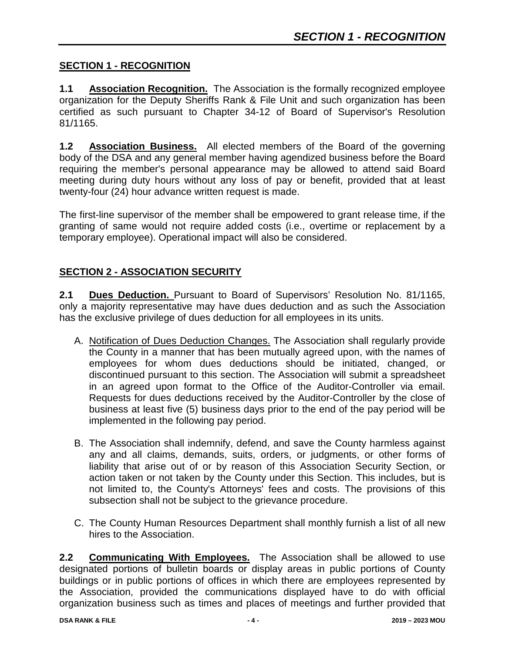#### **SECTION 1 - RECOGNITION**

**1.1 Association Recognition.** The Association is the formally recognized employee organization for the Deputy Sheriffs Rank & File Unit and such organization has been certified as such pursuant to Chapter 34-12 of Board of Supervisor's Resolution 81/1165.

**1.2 Association Business.** All elected members of the Board of the governing body of the DSA and any general member having agendized business before the Board requiring the member's personal appearance may be allowed to attend said Board meeting during duty hours without any loss of pay or benefit, provided that at least twenty-four (24) hour advance written request is made.

The first-line supervisor of the member shall be empowered to grant release time, if the granting of same would not require added costs (i.e., overtime or replacement by a temporary employee). Operational impact will also be considered.

## **SECTION 2 - ASSOCIATION SECURITY**

**2.1 Dues Deduction.** Pursuant to Board of Supervisors' Resolution No. 81/1165, only a majority representative may have dues deduction and as such the Association has the exclusive privilege of dues deduction for all employees in its units.

- A. Notification of Dues Deduction Changes. The Association shall regularly provide the County in a manner that has been mutually agreed upon, with the names of employees for whom dues deductions should be initiated, changed, or discontinued pursuant to this section. The Association will submit a spreadsheet in an agreed upon format to the Office of the Auditor-Controller via email. Requests for dues deductions received by the Auditor-Controller by the close of business at least five (5) business days prior to the end of the pay period will be implemented in the following pay period.
- B. The Association shall indemnify, defend, and save the County harmless against any and all claims, demands, suits, orders, or judgments, or other forms of liability that arise out of or by reason of this Association Security Section, or action taken or not taken by the County under this Section. This includes, but is not limited to, the County's Attorneys' fees and costs. The provisions of this subsection shall not be subject to the grievance procedure.
- C. The County Human Resources Department shall monthly furnish a list of all new hires to the Association.

**2.2 Communicating With Employees.** The Association shall be allowed to use designated portions of bulletin boards or display areas in public portions of County buildings or in public portions of offices in which there are employees represented by the Association, provided the communications displayed have to do with official organization business such as times and places of meetings and further provided that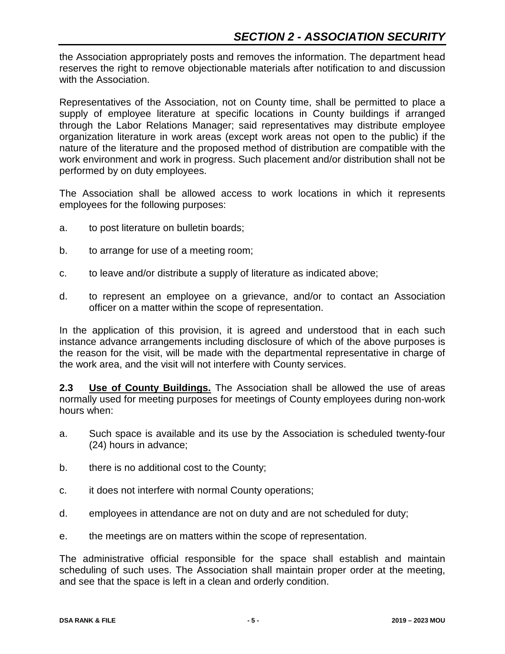the Association appropriately posts and removes the information. The department head reserves the right to remove objectionable materials after notification to and discussion with the Association.

Representatives of the Association, not on County time, shall be permitted to place a supply of employee literature at specific locations in County buildings if arranged through the Labor Relations Manager; said representatives may distribute employee organization literature in work areas (except work areas not open to the public) if the nature of the literature and the proposed method of distribution are compatible with the work environment and work in progress. Such placement and/or distribution shall not be performed by on duty employees.

The Association shall be allowed access to work locations in which it represents employees for the following purposes:

- a. to post literature on bulletin boards;
- b. to arrange for use of a meeting room;
- c. to leave and/or distribute a supply of literature as indicated above;
- d. to represent an employee on a grievance, and/or to contact an Association officer on a matter within the scope of representation.

In the application of this provision, it is agreed and understood that in each such instance advance arrangements including disclosure of which of the above purposes is the reason for the visit, will be made with the departmental representative in charge of the work area, and the visit will not interfere with County services.

**2.3 Use of County Buildings.** The Association shall be allowed the use of areas normally used for meeting purposes for meetings of County employees during non-work hours when:

- a. Such space is available and its use by the Association is scheduled twenty-four (24) hours in advance;
- b. there is no additional cost to the County;
- c. it does not interfere with normal County operations;
- d. employees in attendance are not on duty and are not scheduled for duty;
- e. the meetings are on matters within the scope of representation.

The administrative official responsible for the space shall establish and maintain scheduling of such uses. The Association shall maintain proper order at the meeting, and see that the space is left in a clean and orderly condition.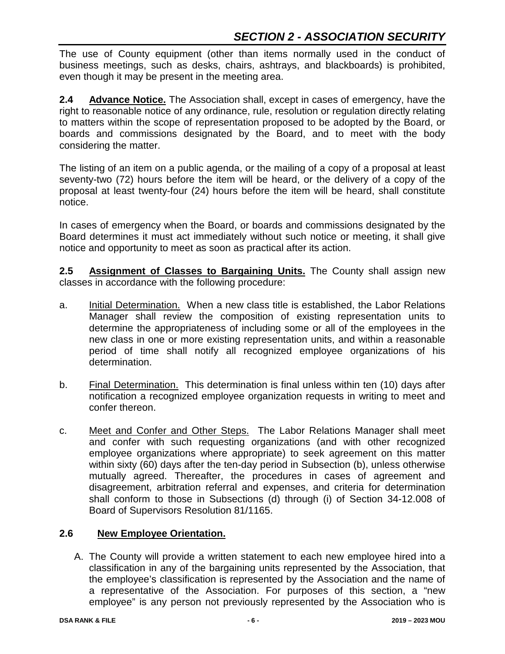The use of County equipment (other than items normally used in the conduct of business meetings, such as desks, chairs, ashtrays, and blackboards) is prohibited, even though it may be present in the meeting area.

**2.4 Advance Notice.** The Association shall, except in cases of emergency, have the right to reasonable notice of any ordinance, rule, resolution or regulation directly relating to matters within the scope of representation proposed to be adopted by the Board, or boards and commissions designated by the Board, and to meet with the body considering the matter.

The listing of an item on a public agenda, or the mailing of a copy of a proposal at least seventy-two (72) hours before the item will be heard, or the delivery of a copy of the proposal at least twenty-four (24) hours before the item will be heard, shall constitute notice.

In cases of emergency when the Board, or boards and commissions designated by the Board determines it must act immediately without such notice or meeting, it shall give notice and opportunity to meet as soon as practical after its action.

**2.5 Assignment of Classes to Bargaining Units.** The County shall assign new classes in accordance with the following procedure:

- a. Initial Determination. When a new class title is established, the Labor Relations Manager shall review the composition of existing representation units to determine the appropriateness of including some or all of the employees in the new class in one or more existing representation units, and within a reasonable period of time shall notify all recognized employee organizations of his determination.
- b. Final Determination. This determination is final unless within ten (10) days after notification a recognized employee organization requests in writing to meet and confer thereon.
- c. Meet and Confer and Other Steps. The Labor Relations Manager shall meet and confer with such requesting organizations (and with other recognized employee organizations where appropriate) to seek agreement on this matter within sixty (60) days after the ten-day period in Subsection (b), unless otherwise mutually agreed. Thereafter, the procedures in cases of agreement and disagreement, arbitration referral and expenses, and criteria for determination shall conform to those in Subsections (d) through (i) of Section 34-12.008 of Board of Supervisors Resolution 81/1165.

# **2.6 New Employee Orientation.**

A. The County will provide a written statement to each new employee hired into a classification in any of the bargaining units represented by the Association, that the employee's classification is represented by the Association and the name of a representative of the Association. For purposes of this section, a "new employee" is any person not previously represented by the Association who is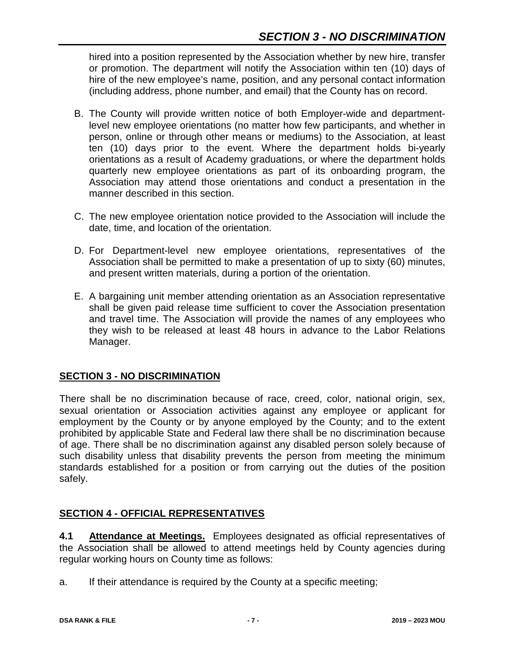hired into a position represented by the Association whether by new hire, transfer or promotion. The department will notify the Association within ten (10) days of hire of the new employee's name, position, and any personal contact information (including address, phone number, and email) that the County has on record.

- B. The County will provide written notice of both Employer-wide and departmentlevel new employee orientations (no matter how few participants, and whether in person, online or through other means or mediums) to the Association, at least ten (10) days prior to the event. Where the department holds bi-yearly orientations as a result of Academy graduations, or where the department holds quarterly new employee orientations as part of its onboarding program, the Association may attend those orientations and conduct a presentation in the manner described in this section.
- C. The new employee orientation notice provided to the Association will include the date, time, and location of the orientation.
- D. For Department-level new employee orientations, representatives of the Association shall be permitted to make a presentation of up to sixty (60) minutes, and present written materials, during a portion of the orientation.
- E. A bargaining unit member attending orientation as an Association representative shall be given paid release time sufficient to cover the Association presentation and travel time. The Association will provide the names of any employees who they wish to be released at least 48 hours in advance to the Labor Relations Manager.

## **SECTION 3 - NO DISCRIMINATION**

There shall be no discrimination because of race, creed, color, national origin, sex, sexual orientation or Association activities against any employee or applicant for employment by the County or by anyone employed by the County; and to the extent prohibited by applicable State and Federal law there shall be no discrimination because of age. There shall be no discrimination against any disabled person solely because of such disability unless that disability prevents the person from meeting the minimum standards established for a position or from carrying out the duties of the position safely.

## **SECTION 4 - OFFICIAL REPRESENTATIVES**

**4.1 Attendance at Meetings.** Employees designated as official representatives of the Association shall be allowed to attend meetings held by County agencies during regular working hours on County time as follows:

a. If their attendance is required by the County at a specific meeting;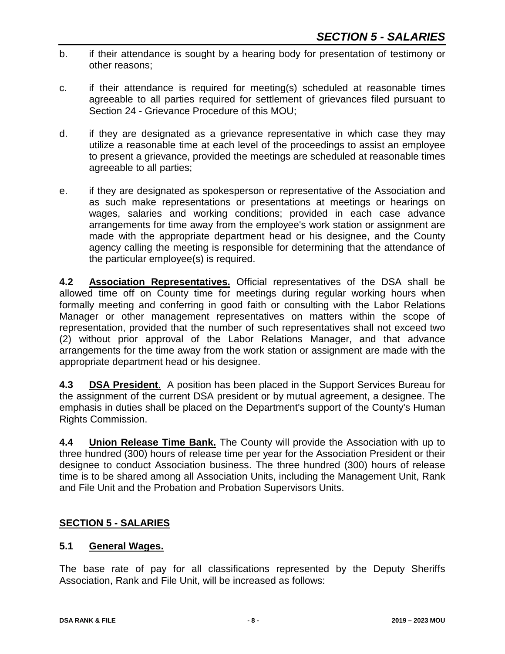- b. if their attendance is sought by a hearing body for presentation of testimony or other reasons;
- c. if their attendance is required for meeting(s) scheduled at reasonable times agreeable to all parties required for settlement of grievances filed pursuant to Section 24 - Grievance Procedure of this MOU;
- d. if they are designated as a grievance representative in which case they may utilize a reasonable time at each level of the proceedings to assist an employee to present a grievance, provided the meetings are scheduled at reasonable times agreeable to all parties;
- e. if they are designated as spokesperson or representative of the Association and as such make representations or presentations at meetings or hearings on wages, salaries and working conditions; provided in each case advance arrangements for time away from the employee's work station or assignment are made with the appropriate department head or his designee, and the County agency calling the meeting is responsible for determining that the attendance of the particular employee(s) is required.

**4.2 Association Representatives.** Official representatives of the DSA shall be allowed time off on County time for meetings during regular working hours when formally meeting and conferring in good faith or consulting with the Labor Relations Manager or other management representatives on matters within the scope of representation, provided that the number of such representatives shall not exceed two (2) without prior approval of the Labor Relations Manager, and that advance arrangements for the time away from the work station or assignment are made with the appropriate department head or his designee.

**4.3 DSA President**. A position has been placed in the Support Services Bureau for the assignment of the current DSA president or by mutual agreement, a designee. The emphasis in duties shall be placed on the Department's support of the County's Human Rights Commission.

**4.4 Union Release Time Bank.** The County will provide the Association with up to three hundred (300) hours of release time per year for the Association President or their designee to conduct Association business. The three hundred (300) hours of release time is to be shared among all Association Units, including the Management Unit, Rank and File Unit and the Probation and Probation Supervisors Units.

## **SECTION 5 - SALARIES**

#### **5.1 General Wages.**

The base rate of pay for all classifications represented by the Deputy Sheriffs Association, Rank and File Unit, will be increased as follows: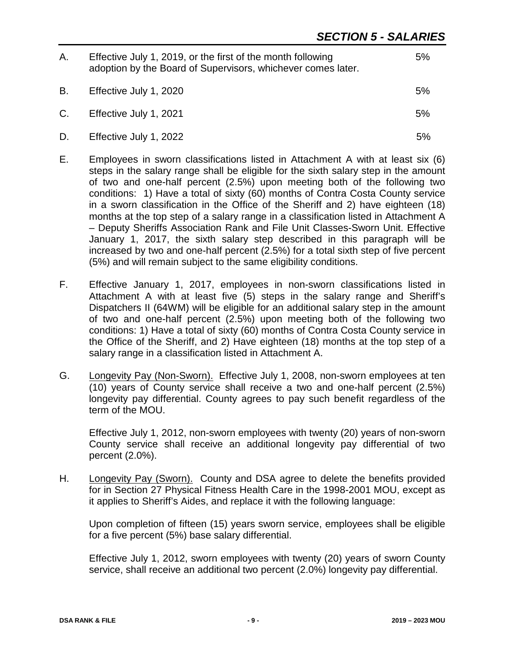| Α. | Effective July 1, 2019, or the first of the month following<br>adoption by the Board of Supervisors, whichever comes later. | 5% |
|----|-----------------------------------------------------------------------------------------------------------------------------|----|
| В. | Effective July 1, 2020                                                                                                      | 5% |
|    | C. Effective July 1, 2021                                                                                                   | 5% |
| D. | Effective July 1, 2022                                                                                                      | 5% |

- E. Employees in sworn classifications listed in Attachment A with at least six (6) steps in the salary range shall be eligible for the sixth salary step in the amount of two and one-half percent (2.5%) upon meeting both of the following two conditions: 1) Have a total of sixty (60) months of Contra Costa County service in a sworn classification in the Office of the Sheriff and 2) have eighteen (18) months at the top step of a salary range in a classification listed in Attachment A – Deputy Sheriffs Association Rank and File Unit Classes-Sworn Unit. Effective January 1, 2017, the sixth salary step described in this paragraph will be increased by two and one-half percent (2.5%) for a total sixth step of five percent (5%) and will remain subject to the same eligibility conditions.
- F. Effective January 1, 2017, employees in non-sworn classifications listed in Attachment A with at least five (5) steps in the salary range and Sheriff's Dispatchers II (64WM) will be eligible for an additional salary step in the amount of two and one-half percent (2.5%) upon meeting both of the following two conditions: 1) Have a total of sixty (60) months of Contra Costa County service in the Office of the Sheriff, and 2) Have eighteen (18) months at the top step of a salary range in a classification listed in Attachment A.
- G. Longevity Pay (Non-Sworn). Effective July 1, 2008, non-sworn employees at ten (10) years of County service shall receive a two and one-half percent (2.5%) longevity pay differential. County agrees to pay such benefit regardless of the term of the MOU.

Effective July 1, 2012, non-sworn employees with twenty (20) years of non-sworn County service shall receive an additional longevity pay differential of two percent (2.0%).

H. Longevity Pay (Sworn). County and DSA agree to delete the benefits provided for in Section 27 Physical Fitness Health Care in the 1998-2001 MOU, except as it applies to Sheriff's Aides, and replace it with the following language:

Upon completion of fifteen (15) years sworn service, employees shall be eligible for a five percent (5%) base salary differential.

Effective July 1, 2012, sworn employees with twenty (20) years of sworn County service, shall receive an additional two percent (2.0%) longevity pay differential.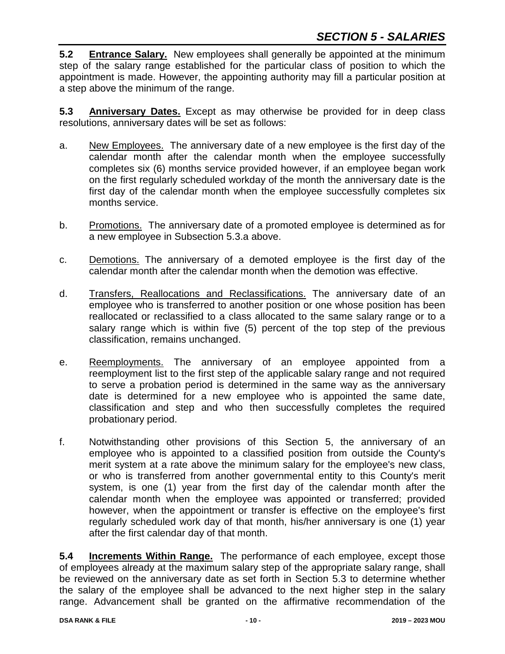**5.2 Entrance Salary.** New employees shall generally be appointed at the minimum step of the salary range established for the particular class of position to which the appointment is made. However, the appointing authority may fill a particular position at a step above the minimum of the range.

**5.3 Anniversary Dates.** Except as may otherwise be provided for in deep class resolutions, anniversary dates will be set as follows:

- a. New Employees. The anniversary date of a new employee is the first day of the calendar month after the calendar month when the employee successfully completes six (6) months service provided however, if an employee began work on the first regularly scheduled workday of the month the anniversary date is the first day of the calendar month when the employee successfully completes six months service.
- b. Promotions. The anniversary date of a promoted employee is determined as for a new employee in Subsection 5.3.a above.
- c. Demotions. The anniversary of a demoted employee is the first day of the calendar month after the calendar month when the demotion was effective.
- d. Transfers, Reallocations and Reclassifications. The anniversary date of an employee who is transferred to another position or one whose position has been reallocated or reclassified to a class allocated to the same salary range or to a salary range which is within five (5) percent of the top step of the previous classification, remains unchanged.
- e. Reemployments. The anniversary of an employee appointed from a reemployment list to the first step of the applicable salary range and not required to serve a probation period is determined in the same way as the anniversary date is determined for a new employee who is appointed the same date, classification and step and who then successfully completes the required probationary period.
- f. Notwithstanding other provisions of this Section 5, the anniversary of an employee who is appointed to a classified position from outside the County's merit system at a rate above the minimum salary for the employee's new class, or who is transferred from another governmental entity to this County's merit system, is one (1) year from the first day of the calendar month after the calendar month when the employee was appointed or transferred; provided however, when the appointment or transfer is effective on the employee's first regularly scheduled work day of that month, his/her anniversary is one (1) year after the first calendar day of that month.

**5.4 Increments Within Range.** The performance of each employee, except those of employees already at the maximum salary step of the appropriate salary range, shall be reviewed on the anniversary date as set forth in Section 5.3 to determine whether the salary of the employee shall be advanced to the next higher step in the salary range. Advancement shall be granted on the affirmative recommendation of the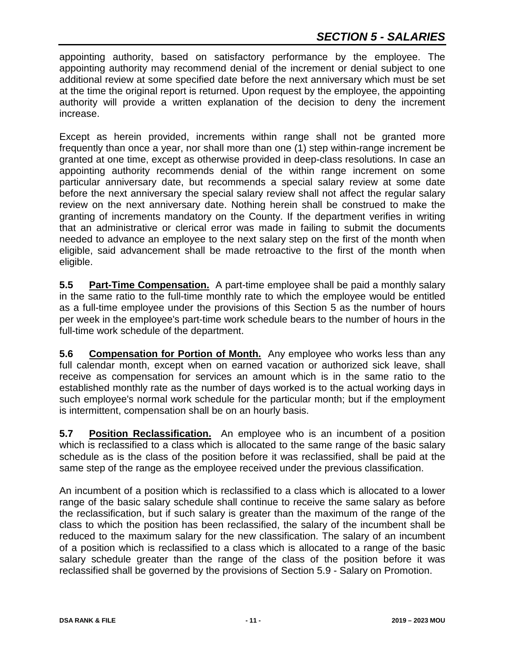# *SECTION 5 - SALARIES*

appointing authority, based on satisfactory performance by the employee. The appointing authority may recommend denial of the increment or denial subject to one additional review at some specified date before the next anniversary which must be set at the time the original report is returned. Upon request by the employee, the appointing authority will provide a written explanation of the decision to deny the increment increase.

Except as herein provided, increments within range shall not be granted more frequently than once a year, nor shall more than one (1) step within-range increment be granted at one time, except as otherwise provided in deep-class resolutions. In case an appointing authority recommends denial of the within range increment on some particular anniversary date, but recommends a special salary review at some date before the next anniversary the special salary review shall not affect the regular salary review on the next anniversary date. Nothing herein shall be construed to make the granting of increments mandatory on the County. If the department verifies in writing that an administrative or clerical error was made in failing to submit the documents needed to advance an employee to the next salary step on the first of the month when eligible, said advancement shall be made retroactive to the first of the month when eligible.

**5.5 Part-Time Compensation.** A part-time employee shall be paid a monthly salary in the same ratio to the full-time monthly rate to which the employee would be entitled as a full-time employee under the provisions of this Section 5 as the number of hours per week in the employee's part-time work schedule bears to the number of hours in the full-time work schedule of the department.

**5.6 Compensation for Portion of Month.** Any employee who works less than any full calendar month, except when on earned vacation or authorized sick leave, shall receive as compensation for services an amount which is in the same ratio to the established monthly rate as the number of days worked is to the actual working days in such employee's normal work schedule for the particular month; but if the employment is intermittent, compensation shall be on an hourly basis.

**5.7 Position Reclassification.** An employee who is an incumbent of a position which is reclassified to a class which is allocated to the same range of the basic salary schedule as is the class of the position before it was reclassified, shall be paid at the same step of the range as the employee received under the previous classification.

An incumbent of a position which is reclassified to a class which is allocated to a lower range of the basic salary schedule shall continue to receive the same salary as before the reclassification, but if such salary is greater than the maximum of the range of the class to which the position has been reclassified, the salary of the incumbent shall be reduced to the maximum salary for the new classification. The salary of an incumbent of a position which is reclassified to a class which is allocated to a range of the basic salary schedule greater than the range of the class of the position before it was reclassified shall be governed by the provisions of Section 5.9 - Salary on Promotion.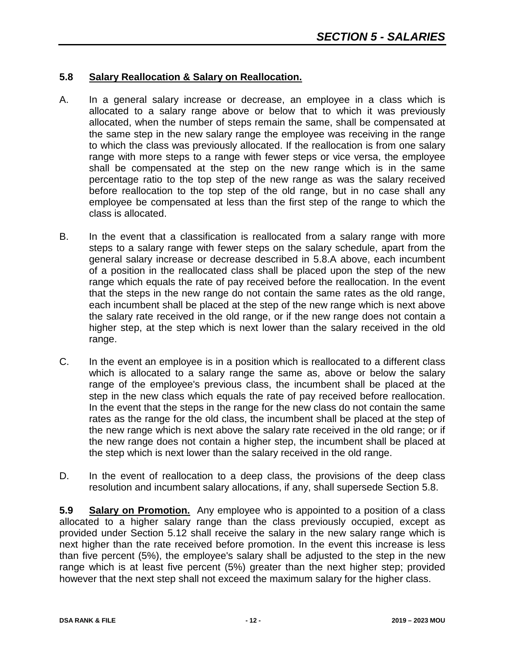#### **5.8 Salary Reallocation & Salary on Reallocation.**

- A. In a general salary increase or decrease, an employee in a class which is allocated to a salary range above or below that to which it was previously allocated, when the number of steps remain the same, shall be compensated at the same step in the new salary range the employee was receiving in the range to which the class was previously allocated. If the reallocation is from one salary range with more steps to a range with fewer steps or vice versa, the employee shall be compensated at the step on the new range which is in the same percentage ratio to the top step of the new range as was the salary received before reallocation to the top step of the old range, but in no case shall any employee be compensated at less than the first step of the range to which the class is allocated.
- B. In the event that a classification is reallocated from a salary range with more steps to a salary range with fewer steps on the salary schedule, apart from the general salary increase or decrease described in 5.8.A above, each incumbent of a position in the reallocated class shall be placed upon the step of the new range which equals the rate of pay received before the reallocation. In the event that the steps in the new range do not contain the same rates as the old range, each incumbent shall be placed at the step of the new range which is next above the salary rate received in the old range, or if the new range does not contain a higher step, at the step which is next lower than the salary received in the old range.
- C. In the event an employee is in a position which is reallocated to a different class which is allocated to a salary range the same as, above or below the salary range of the employee's previous class, the incumbent shall be placed at the step in the new class which equals the rate of pay received before reallocation. In the event that the steps in the range for the new class do not contain the same rates as the range for the old class, the incumbent shall be placed at the step of the new range which is next above the salary rate received in the old range; or if the new range does not contain a higher step, the incumbent shall be placed at the step which is next lower than the salary received in the old range.
- D. In the event of reallocation to a deep class, the provisions of the deep class resolution and incumbent salary allocations, if any, shall supersede Section 5.8.

**5.9 Salary on Promotion.** Any employee who is appointed to a position of a class allocated to a higher salary range than the class previously occupied, except as provided under Section 5.12 shall receive the salary in the new salary range which is next higher than the rate received before promotion. In the event this increase is less than five percent (5%), the employee's salary shall be adjusted to the step in the new range which is at least five percent (5%) greater than the next higher step; provided however that the next step shall not exceed the maximum salary for the higher class.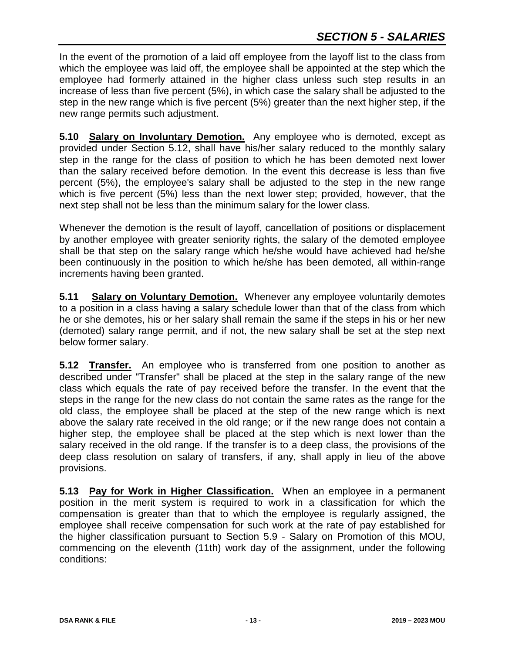In the event of the promotion of a laid off employee from the layoff list to the class from which the employee was laid off, the employee shall be appointed at the step which the employee had formerly attained in the higher class unless such step results in an increase of less than five percent (5%), in which case the salary shall be adjusted to the step in the new range which is five percent (5%) greater than the next higher step, if the new range permits such adjustment.

**5.10 Salary on Involuntary Demotion.** Any employee who is demoted, except as provided under Section 5.12, shall have his/her salary reduced to the monthly salary step in the range for the class of position to which he has been demoted next lower than the salary received before demotion. In the event this decrease is less than five percent (5%), the employee's salary shall be adjusted to the step in the new range which is five percent (5%) less than the next lower step; provided, however, that the next step shall not be less than the minimum salary for the lower class.

Whenever the demotion is the result of layoff, cancellation of positions or displacement by another employee with greater seniority rights, the salary of the demoted employee shall be that step on the salary range which he/she would have achieved had he/she been continuously in the position to which he/she has been demoted, all within-range increments having been granted.

**5.11 Salary on Voluntary Demotion.** Whenever any employee voluntarily demotes to a position in a class having a salary schedule lower than that of the class from which he or she demotes, his or her salary shall remain the same if the steps in his or her new (demoted) salary range permit, and if not, the new salary shall be set at the step next below former salary.

**5.12 Transfer.** An employee who is transferred from one position to another as described under "Transfer" shall be placed at the step in the salary range of the new class which equals the rate of pay received before the transfer. In the event that the steps in the range for the new class do not contain the same rates as the range for the old class, the employee shall be placed at the step of the new range which is next above the salary rate received in the old range; or if the new range does not contain a higher step, the employee shall be placed at the step which is next lower than the salary received in the old range. If the transfer is to a deep class, the provisions of the deep class resolution on salary of transfers, if any, shall apply in lieu of the above provisions.

**5.13 Pay for Work in Higher Classification.** When an employee in a permanent position in the merit system is required to work in a classification for which the compensation is greater than that to which the employee is regularly assigned, the employee shall receive compensation for such work at the rate of pay established for the higher classification pursuant to Section 5.9 - Salary on Promotion of this MOU, commencing on the eleventh (11th) work day of the assignment, under the following conditions: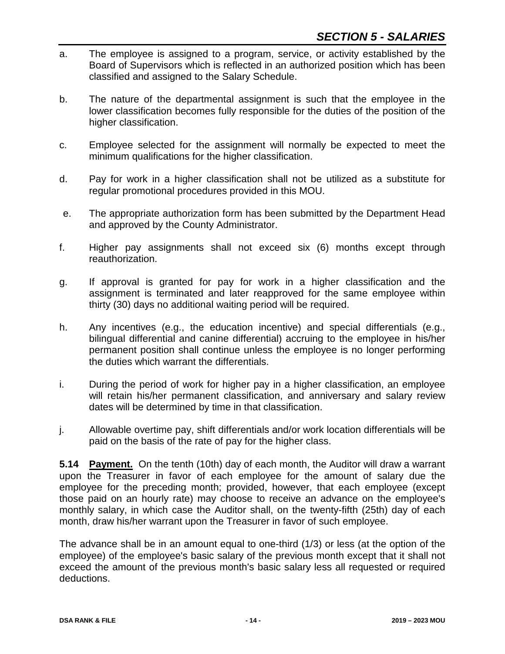- a. The employee is assigned to a program, service, or activity established by the Board of Supervisors which is reflected in an authorized position which has been classified and assigned to the Salary Schedule.
- b. The nature of the departmental assignment is such that the employee in the lower classification becomes fully responsible for the duties of the position of the higher classification.
- c. Employee selected for the assignment will normally be expected to meet the minimum qualifications for the higher classification.
- d. Pay for work in a higher classification shall not be utilized as a substitute for regular promotional procedures provided in this MOU.
- e. The appropriate authorization form has been submitted by the Department Head and approved by the County Administrator.
- f. Higher pay assignments shall not exceed six (6) months except through reauthorization.
- g. If approval is granted for pay for work in a higher classification and the assignment is terminated and later reapproved for the same employee within thirty (30) days no additional waiting period will be required.
- h. Any incentives (e.g., the education incentive) and special differentials (e.g., bilingual differential and canine differential) accruing to the employee in his/her permanent position shall continue unless the employee is no longer performing the duties which warrant the differentials.
- i. During the period of work for higher pay in a higher classification, an employee will retain his/her permanent classification, and anniversary and salary review dates will be determined by time in that classification.
- j. Allowable overtime pay, shift differentials and/or work location differentials will be paid on the basis of the rate of pay for the higher class.

**5.14 Payment.** On the tenth (10th) day of each month, the Auditor will draw a warrant upon the Treasurer in favor of each employee for the amount of salary due the employee for the preceding month; provided, however, that each employee (except those paid on an hourly rate) may choose to receive an advance on the employee's monthly salary, in which case the Auditor shall, on the twenty-fifth (25th) day of each month, draw his/her warrant upon the Treasurer in favor of such employee.

The advance shall be in an amount equal to one-third (1/3) or less (at the option of the employee) of the employee's basic salary of the previous month except that it shall not exceed the amount of the previous month's basic salary less all requested or required deductions.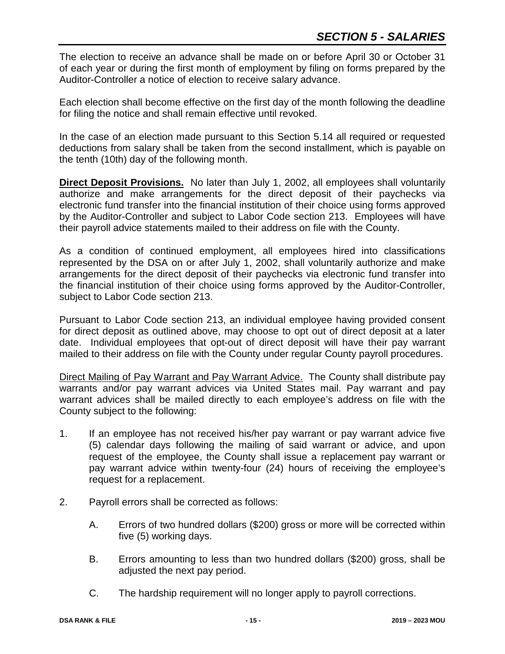The election to receive an advance shall be made on or before April 30 or October 31 of each year or during the first month of employment by filing on forms prepared by the Auditor-Controller a notice of election to receive salary advance.

Each election shall become effective on the first day of the month following the deadline for filing the notice and shall remain effective until revoked.

In the case of an election made pursuant to this Section 5.14 all required or requested deductions from salary shall be taken from the second installment, which is payable on the tenth (10th) day of the following month.

**Direct Deposit Provisions.** No later than July 1, 2002, all employees shall voluntarily authorize and make arrangements for the direct deposit of their paychecks via electronic fund transfer into the financial institution of their choice using forms approved by the Auditor-Controller and subject to Labor Code section 213. Employees will have their payroll advice statements mailed to their address on file with the County.

As a condition of continued employment, all employees hired into classifications represented by the DSA on or after July 1, 2002, shall voluntarily authorize and make arrangements for the direct deposit of their paychecks via electronic fund transfer into the financial institution of their choice using forms approved by the Auditor-Controller, subject to Labor Code section 213.

Pursuant to Labor Code section 213, an individual employee having provided consent for direct deposit as outlined above, may choose to opt out of direct deposit at a later date. Individual employees that opt-out of direct deposit will have their pay warrant mailed to their address on file with the County under regular County payroll procedures.

Direct Mailing of Pay Warrant and Pay Warrant Advice. The County shall distribute pay warrants and/or pay warrant advices via United States mail. Pay warrant and pay warrant advices shall be mailed directly to each employee's address on file with the County subject to the following:

- 1. If an employee has not received his/her pay warrant or pay warrant advice five (5) calendar days following the mailing of said warrant or advice, and upon request of the employee, the County shall issue a replacement pay warrant or pay warrant advice within twenty-four (24) hours of receiving the employee's request for a replacement.
- 2. Payroll errors shall be corrected as follows:
	- A. Errors of two hundred dollars (\$200) gross or more will be corrected within five (5) working days.
	- B. Errors amounting to less than two hundred dollars (\$200) gross, shall be adjusted the next pay period.
	- C. The hardship requirement will no longer apply to payroll corrections.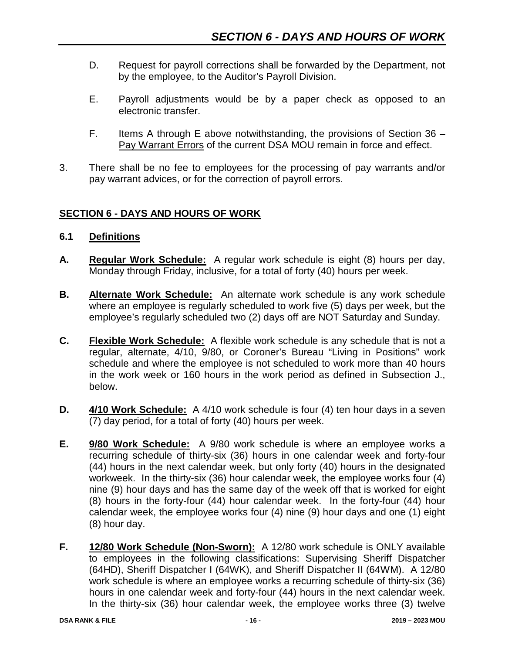- D. Request for payroll corrections shall be forwarded by the Department, not by the employee, to the Auditor's Payroll Division.
- E. Payroll adjustments would be by a paper check as opposed to an electronic transfer.
- F. Items A through E above notwithstanding, the provisions of Section  $36 -$ Pay Warrant Errors of the current DSA MOU remain in force and effect.
- 3. There shall be no fee to employees for the processing of pay warrants and/or pay warrant advices, or for the correction of payroll errors.

## **SECTION 6 - DAYS AND HOURS OF WORK**

- **6.1 Definitions**
- **A. Regular Work Schedule:** A regular work schedule is eight (8) hours per day, Monday through Friday, inclusive, for a total of forty (40) hours per week.
- **B. Alternate Work Schedule:** An alternate work schedule is any work schedule where an employee is regularly scheduled to work five (5) days per week, but the employee's regularly scheduled two (2) days off are NOT Saturday and Sunday.
- **C. Flexible Work Schedule:** A flexible work schedule is any schedule that is not a regular, alternate, 4/10, 9/80, or Coroner's Bureau "Living in Positions" work schedule and where the employee is not scheduled to work more than 40 hours in the work week or 160 hours in the work period as defined in Subsection J., below.
- **D. 4/10 Work Schedule:** A 4/10 work schedule is four (4) ten hour days in a seven (7) day period, for a total of forty (40) hours per week.
- **E. 9/80 Work Schedule:** A 9/80 work schedule is where an employee works a recurring schedule of thirty-six (36) hours in one calendar week and forty-four (44) hours in the next calendar week, but only forty (40) hours in the designated workweek. In the thirty-six (36) hour calendar week, the employee works four (4) nine (9) hour days and has the same day of the week off that is worked for eight (8) hours in the forty-four (44) hour calendar week. In the forty-four (44) hour calendar week, the employee works four (4) nine (9) hour days and one (1) eight (8) hour day.
- **F. 12/80 Work Schedule (Non-Sworn):** A 12/80 work schedule is ONLY available to employees in the following classifications: Supervising Sheriff Dispatcher (64HD), Sheriff Dispatcher I (64WK), and Sheriff Dispatcher II (64WM). A 12/80 work schedule is where an employee works a recurring schedule of thirty-six (36) hours in one calendar week and forty-four (44) hours in the next calendar week. In the thirty-six (36) hour calendar week, the employee works three (3) twelve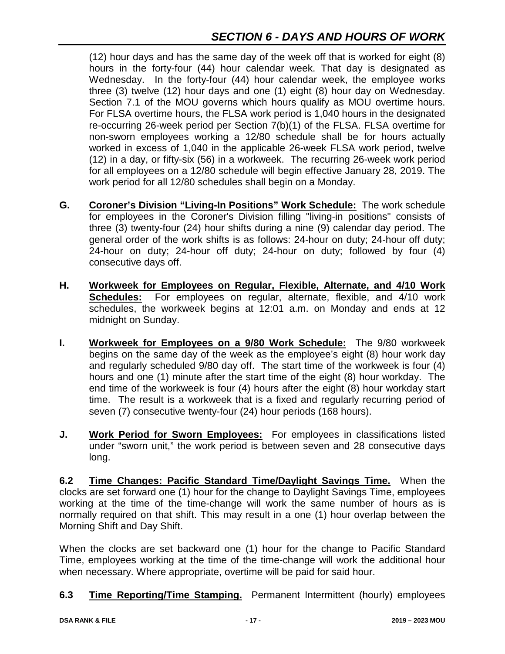(12) hour days and has the same day of the week off that is worked for eight (8) hours in the forty-four (44) hour calendar week. That day is designated as Wednesday. In the forty-four (44) hour calendar week, the employee works three (3) twelve (12) hour days and one (1) eight (8) hour day on Wednesday. Section 7.1 of the MOU governs which hours qualify as MOU overtime hours. For FLSA overtime hours, the FLSA work period is 1,040 hours in the designated re-occurring 26-week period per Section 7(b)(1) of the FLSA. FLSA overtime for non-sworn employees working a 12/80 schedule shall be for hours actually worked in excess of 1,040 in the applicable 26-week FLSA work period, twelve (12) in a day, or fifty-six (56) in a workweek. The recurring 26-week work period for all employees on a 12/80 schedule will begin effective January 28, 2019. The work period for all 12/80 schedules shall begin on a Monday.

- **G. Coroner's Division "Living-In Positions" Work Schedule:** The work schedule for employees in the Coroner's Division filling "living-in positions" consists of three (3) twenty-four (24) hour shifts during a nine (9) calendar day period. The general order of the work shifts is as follows: 24-hour on duty; 24-hour off duty; 24-hour on duty; 24-hour off duty; 24-hour on duty; followed by four (4) consecutive days off.
- **H. Workweek for Employees on Regular, Flexible, Alternate, and 4/10 Work Schedules:** For employees on regular, alternate, flexible, and 4/10 work schedules, the workweek begins at 12:01 a.m. on Monday and ends at 12 midnight on Sunday.
- **I. Workweek for Employees on a 9/80 Work Schedule:** The 9/80 workweek begins on the same day of the week as the employee's eight (8) hour work day and regularly scheduled 9/80 day off. The start time of the workweek is four (4) hours and one (1) minute after the start time of the eight (8) hour workday. The end time of the workweek is four (4) hours after the eight (8) hour workday start time. The result is a workweek that is a fixed and regularly recurring period of seven (7) consecutive twenty-four (24) hour periods (168 hours).
- **J. Work Period for Sworn Employees:** For employees in classifications listed under "sworn unit," the work period is between seven and 28 consecutive days long.

**6.2 Time Changes: Pacific Standard Time/Daylight Savings Time.** When the clocks are set forward one (1) hour for the change to Daylight Savings Time, employees working at the time of the time-change will work the same number of hours as is normally required on that shift. This may result in a one (1) hour overlap between the Morning Shift and Day Shift.

When the clocks are set backward one (1) hour for the change to Pacific Standard Time, employees working at the time of the time-change will work the additional hour when necessary. Where appropriate, overtime will be paid for said hour.

**6.3 Time Reporting/Time Stamping.** Permanent Intermittent (hourly) employees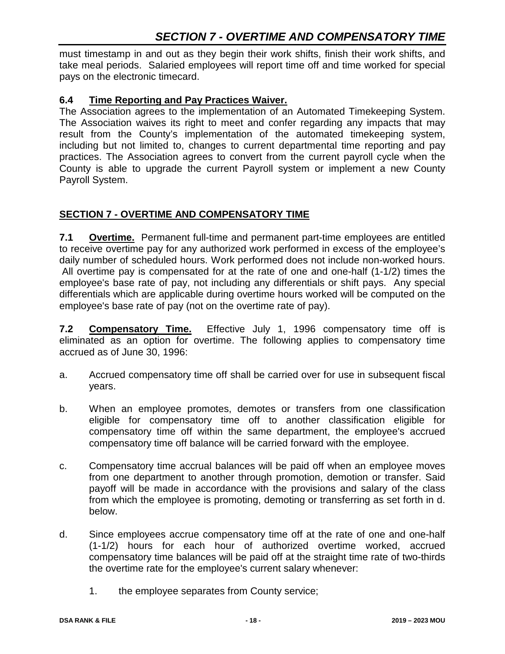must timestamp in and out as they begin their work shifts, finish their work shifts, and take meal periods. Salaried employees will report time off and time worked for special pays on the electronic timecard.

## **6.4 Time Reporting and Pay Practices Waiver.**

The Association agrees to the implementation of an Automated Timekeeping System. The Association waives its right to meet and confer regarding any impacts that may result from the County's implementation of the automated timekeeping system, including but not limited to, changes to current departmental time reporting and pay practices. The Association agrees to convert from the current payroll cycle when the County is able to upgrade the current Payroll system or implement a new County Payroll System.

# **SECTION 7 - OVERTIME AND COMPENSATORY TIME**

**7.1 Overtime.** Permanent full-time and permanent part-time employees are entitled to receive overtime pay for any authorized work performed in excess of the employee's daily number of scheduled hours. Work performed does not include non-worked hours. All overtime pay is compensated for at the rate of one and one-half (1-1/2) times the employee's base rate of pay, not including any differentials or shift pays. Any special differentials which are applicable during overtime hours worked will be computed on the employee's base rate of pay (not on the overtime rate of pay).

**7.2 Compensatory Time.** Effective July 1, 1996 compensatory time off is eliminated as an option for overtime. The following applies to compensatory time accrued as of June 30, 1996:

- a. Accrued compensatory time off shall be carried over for use in subsequent fiscal years.
- b. When an employee promotes, demotes or transfers from one classification eligible for compensatory time off to another classification eligible for compensatory time off within the same department, the employee's accrued compensatory time off balance will be carried forward with the employee.
- c. Compensatory time accrual balances will be paid off when an employee moves from one department to another through promotion, demotion or transfer. Said payoff will be made in accordance with the provisions and salary of the class from which the employee is promoting, demoting or transferring as set forth in d. below.
- d. Since employees accrue compensatory time off at the rate of one and one-half (1-1/2) hours for each hour of authorized overtime worked, accrued compensatory time balances will be paid off at the straight time rate of two-thirds the overtime rate for the employee's current salary whenever:
	- 1. the employee separates from County service;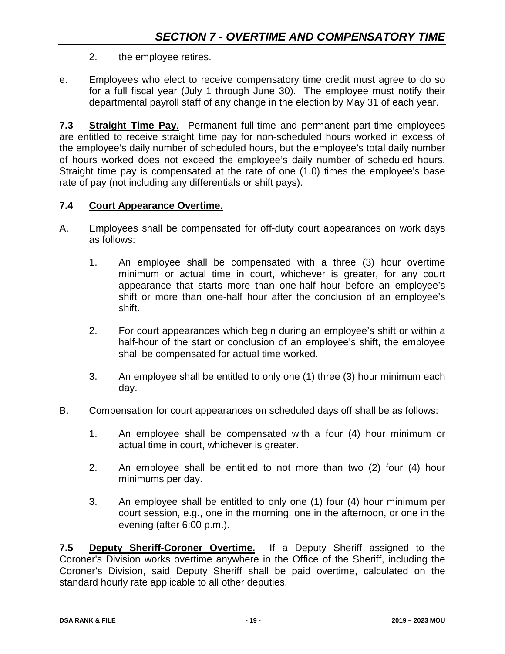- 2. the employee retires.
- e. Employees who elect to receive compensatory time credit must agree to do so for a full fiscal year (July 1 through June 30). The employee must notify their departmental payroll staff of any change in the election by May 31 of each year.

**7.3 Straight Time Pay**. Permanent full-time and permanent part-time employees are entitled to receive straight time pay for non-scheduled hours worked in excess of the employee's daily number of scheduled hours, but the employee's total daily number of hours worked does not exceed the employee's daily number of scheduled hours. Straight time pay is compensated at the rate of one (1.0) times the employee's base rate of pay (not including any differentials or shift pays).

#### **7.4 Court Appearance Overtime.**

- A. Employees shall be compensated for off-duty court appearances on work days as follows:
	- 1. An employee shall be compensated with a three (3) hour overtime minimum or actual time in court, whichever is greater, for any court appearance that starts more than one-half hour before an employee's shift or more than one-half hour after the conclusion of an employee's shift.
	- 2. For court appearances which begin during an employee's shift or within a half-hour of the start or conclusion of an employee's shift, the employee shall be compensated for actual time worked.
	- 3. An employee shall be entitled to only one (1) three (3) hour minimum each day.
- B. Compensation for court appearances on scheduled days off shall be as follows:
	- 1. An employee shall be compensated with a four (4) hour minimum or actual time in court, whichever is greater.
	- 2. An employee shall be entitled to not more than two (2) four (4) hour minimums per day.
	- 3. An employee shall be entitled to only one (1) four (4) hour minimum per court session, e.g., one in the morning, one in the afternoon, or one in the evening (after 6:00 p.m.).

**7.5 Deputy Sheriff-Coroner Overtime.** If a Deputy Sheriff assigned to the Coroner's Division works overtime anywhere in the Office of the Sheriff, including the Coroner's Division, said Deputy Sheriff shall be paid overtime, calculated on the standard hourly rate applicable to all other deputies.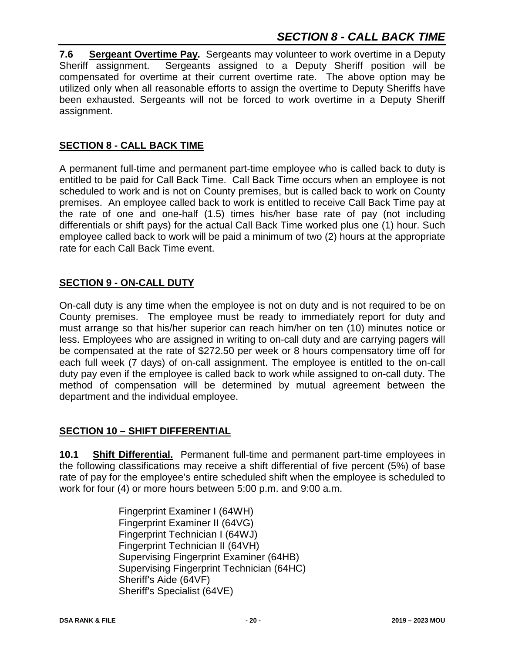**7.6 Sergeant Overtime Pay.** Sergeants may volunteer to work overtime in a Deputy Sheriff assignment. Sergeants assigned to a Deputy Sheriff position will be compensated for overtime at their current overtime rate. The above option may be utilized only when all reasonable efforts to assign the overtime to Deputy Sheriffs have been exhausted. Sergeants will not be forced to work overtime in a Deputy Sheriff assignment.

## **SECTION 8 - CALL BACK TIME**

A permanent full-time and permanent part-time employee who is called back to duty is entitled to be paid for Call Back Time. Call Back Time occurs when an employee is not scheduled to work and is not on County premises, but is called back to work on County premises. An employee called back to work is entitled to receive Call Back Time pay at the rate of one and one-half (1.5) times his/her base rate of pay (not including differentials or shift pays) for the actual Call Back Time worked plus one (1) hour. Such employee called back to work will be paid a minimum of two (2) hours at the appropriate rate for each Call Back Time event.

## **SECTION 9 - ON-CALL DUTY**

On-call duty is any time when the employee is not on duty and is not required to be on County premises. The employee must be ready to immediately report for duty and must arrange so that his/her superior can reach him/her on ten (10) minutes notice or less. Employees who are assigned in writing to on-call duty and are carrying pagers will be compensated at the rate of \$272.50 per week or 8 hours compensatory time off for each full week (7 days) of on-call assignment. The employee is entitled to the on-call duty pay even if the employee is called back to work while assigned to on-call duty. The method of compensation will be determined by mutual agreement between the department and the individual employee.

## **SECTION 10 – SHIFT DIFFERENTIAL**

**10.1 Shift Differential.** Permanent full-time and permanent part-time employees in the following classifications may receive a shift differential of five percent (5%) of base rate of pay for the employee's entire scheduled shift when the employee is scheduled to work for four (4) or more hours between 5:00 p.m. and 9:00 a.m.

> Fingerprint Examiner I (64WH) Fingerprint Examiner II (64VG) Fingerprint Technician I (64WJ) Fingerprint Technician II (64VH) Supervising Fingerprint Examiner (64HB) Supervising Fingerprint Technician (64HC) Sheriff's Aide (64VF) Sheriff's Specialist (64VE)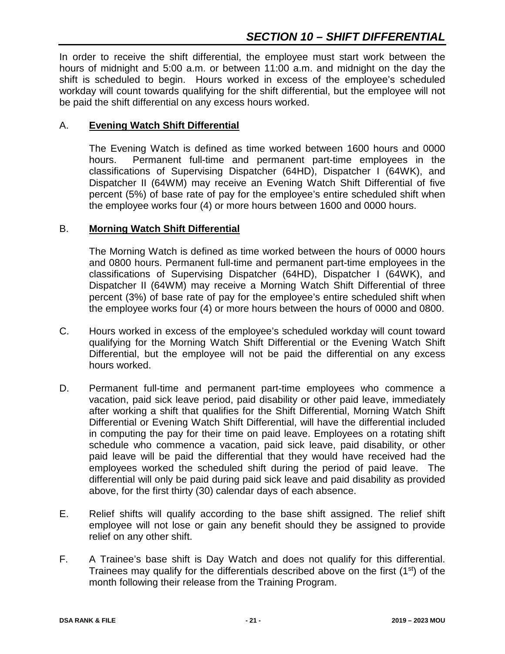In order to receive the shift differential, the employee must start work between the hours of midnight and 5:00 a.m. or between 11:00 a.m. and midnight on the day the shift is scheduled to begin. Hours worked in excess of the employee's scheduled workday will count towards qualifying for the shift differential, but the employee will not be paid the shift differential on any excess hours worked.

#### A. **Evening Watch Shift Differential**

The Evening Watch is defined as time worked between 1600 hours and 0000 hours. Permanent full-time and permanent part-time employees in the classifications of Supervising Dispatcher (64HD), Dispatcher I (64WK), and Dispatcher II (64WM) may receive an Evening Watch Shift Differential of five percent (5%) of base rate of pay for the employee's entire scheduled shift when the employee works four (4) or more hours between 1600 and 0000 hours.

#### B. **Morning Watch Shift Differential**

The Morning Watch is defined as time worked between the hours of 0000 hours and 0800 hours. Permanent full-time and permanent part-time employees in the classifications of Supervising Dispatcher (64HD), Dispatcher I (64WK), and Dispatcher II (64WM) may receive a Morning Watch Shift Differential of three percent (3%) of base rate of pay for the employee's entire scheduled shift when the employee works four (4) or more hours between the hours of 0000 and 0800.

- C. Hours worked in excess of the employee's scheduled workday will count toward qualifying for the Morning Watch Shift Differential or the Evening Watch Shift Differential, but the employee will not be paid the differential on any excess hours worked.
- D. Permanent full-time and permanent part-time employees who commence a vacation, paid sick leave period, paid disability or other paid leave, immediately after working a shift that qualifies for the Shift Differential, Morning Watch Shift Differential or Evening Watch Shift Differential, will have the differential included in computing the pay for their time on paid leave. Employees on a rotating shift schedule who commence a vacation, paid sick leave, paid disability, or other paid leave will be paid the differential that they would have received had the employees worked the scheduled shift during the period of paid leave. The differential will only be paid during paid sick leave and paid disability as provided above, for the first thirty (30) calendar days of each absence.
- E. Relief shifts will qualify according to the base shift assigned. The relief shift employee will not lose or gain any benefit should they be assigned to provide relief on any other shift.
- F. A Trainee's base shift is Day Watch and does not qualify for this differential. Trainees may qualify for the differentials described above on the first  $(1<sup>st</sup>)$  of the month following their release from the Training Program.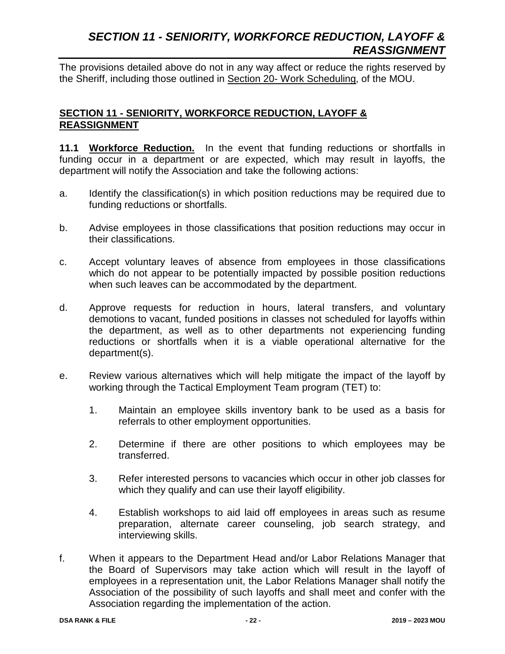# *SECTION 11 - SENIORITY, WORKFORCE REDUCTION, LAYOFF & REASSIGNMENT*

The provisions detailed above do not in any way affect or reduce the rights reserved by the Sheriff, including those outlined in Section 20- Work Scheduling, of the MOU.

#### **SECTION 11 - SENIORITY, WORKFORCE REDUCTION, LAYOFF & REASSIGNMENT**

**11.1 Workforce Reduction.** In the event that funding reductions or shortfalls in funding occur in a department or are expected, which may result in layoffs, the department will notify the Association and take the following actions:

- a. Identify the classification(s) in which position reductions may be required due to funding reductions or shortfalls.
- b. Advise employees in those classifications that position reductions may occur in their classifications.
- c. Accept voluntary leaves of absence from employees in those classifications which do not appear to be potentially impacted by possible position reductions when such leaves can be accommodated by the department.
- d. Approve requests for reduction in hours, lateral transfers, and voluntary demotions to vacant, funded positions in classes not scheduled for layoffs within the department, as well as to other departments not experiencing funding reductions or shortfalls when it is a viable operational alternative for the department(s).
- e. Review various alternatives which will help mitigate the impact of the layoff by working through the Tactical Employment Team program (TET) to:
	- 1. Maintain an employee skills inventory bank to be used as a basis for referrals to other employment opportunities.
	- 2. Determine if there are other positions to which employees may be transferred.
	- 3. Refer interested persons to vacancies which occur in other job classes for which they qualify and can use their layoff eligibility.
	- 4. Establish workshops to aid laid off employees in areas such as resume preparation, alternate career counseling, job search strategy, and interviewing skills.
- f. When it appears to the Department Head and/or Labor Relations Manager that the Board of Supervisors may take action which will result in the layoff of employees in a representation unit, the Labor Relations Manager shall notify the Association of the possibility of such layoffs and shall meet and confer with the Association regarding the implementation of the action.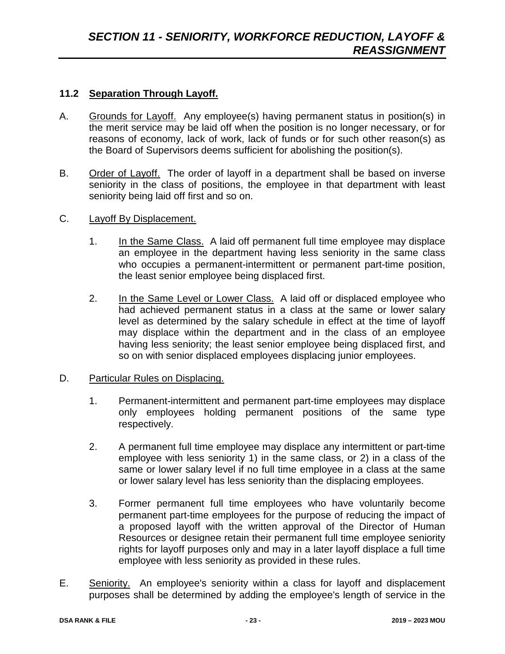#### **11.2 Separation Through Layoff.**

- A. Grounds for Layoff. Any employee(s) having permanent status in position(s) in the merit service may be laid off when the position is no longer necessary, or for reasons of economy, lack of work, lack of funds or for such other reason(s) as the Board of Supervisors deems sufficient for abolishing the position(s).
- B. Order of Layoff. The order of layoff in a department shall be based on inverse seniority in the class of positions, the employee in that department with least seniority being laid off first and so on.
- C. Layoff By Displacement.
	- 1. In the Same Class. A laid off permanent full time employee may displace an employee in the department having less seniority in the same class who occupies a permanent-intermittent or permanent part-time position, the least senior employee being displaced first.
	- 2. In the Same Level or Lower Class. A laid off or displaced employee who had achieved permanent status in a class at the same or lower salary level as determined by the salary schedule in effect at the time of layoff may displace within the department and in the class of an employee having less seniority; the least senior employee being displaced first, and so on with senior displaced employees displacing junior employees.
- D. Particular Rules on Displacing.
	- 1. Permanent-intermittent and permanent part-time employees may displace only employees holding permanent positions of the same type respectively.
	- 2. A permanent full time employee may displace any intermittent or part-time employee with less seniority 1) in the same class, or 2) in a class of the same or lower salary level if no full time employee in a class at the same or lower salary level has less seniority than the displacing employees.
	- 3. Former permanent full time employees who have voluntarily become permanent part-time employees for the purpose of reducing the impact of a proposed layoff with the written approval of the Director of Human Resources or designee retain their permanent full time employee seniority rights for layoff purposes only and may in a later layoff displace a full time employee with less seniority as provided in these rules.
- E. Seniority. An employee's seniority within a class for layoff and displacement purposes shall be determined by adding the employee's length of service in the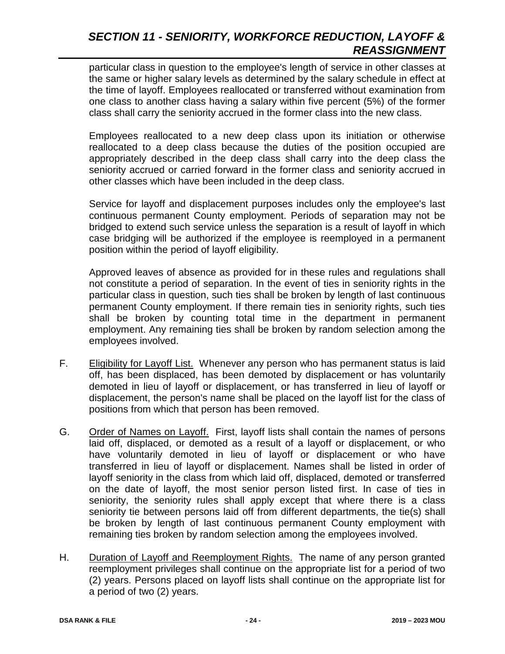# *SECTION 11 - SENIORITY, WORKFORCE REDUCTION, LAYOFF & REASSIGNMENT*

particular class in question to the employee's length of service in other classes at the same or higher salary levels as determined by the salary schedule in effect at the time of layoff. Employees reallocated or transferred without examination from one class to another class having a salary within five percent (5%) of the former class shall carry the seniority accrued in the former class into the new class.

Employees reallocated to a new deep class upon its initiation or otherwise reallocated to a deep class because the duties of the position occupied are appropriately described in the deep class shall carry into the deep class the seniority accrued or carried forward in the former class and seniority accrued in other classes which have been included in the deep class.

Service for layoff and displacement purposes includes only the employee's last continuous permanent County employment. Periods of separation may not be bridged to extend such service unless the separation is a result of layoff in which case bridging will be authorized if the employee is reemployed in a permanent position within the period of layoff eligibility.

Approved leaves of absence as provided for in these rules and regulations shall not constitute a period of separation. In the event of ties in seniority rights in the particular class in question, such ties shall be broken by length of last continuous permanent County employment. If there remain ties in seniority rights, such ties shall be broken by counting total time in the department in permanent employment. Any remaining ties shall be broken by random selection among the employees involved.

- F. Eligibility for Layoff List. Whenever any person who has permanent status is laid off, has been displaced, has been demoted by displacement or has voluntarily demoted in lieu of layoff or displacement, or has transferred in lieu of layoff or displacement, the person's name shall be placed on the layoff list for the class of positions from which that person has been removed.
- G. Order of Names on Layoff. First, layoff lists shall contain the names of persons laid off, displaced, or demoted as a result of a layoff or displacement, or who have voluntarily demoted in lieu of layoff or displacement or who have transferred in lieu of layoff or displacement. Names shall be listed in order of layoff seniority in the class from which laid off, displaced, demoted or transferred on the date of layoff, the most senior person listed first. In case of ties in seniority, the seniority rules shall apply except that where there is a class seniority tie between persons laid off from different departments, the tie(s) shall be broken by length of last continuous permanent County employment with remaining ties broken by random selection among the employees involved.
- H. Duration of Layoff and Reemployment Rights. The name of any person granted reemployment privileges shall continue on the appropriate list for a period of two (2) years. Persons placed on layoff lists shall continue on the appropriate list for a period of two (2) years.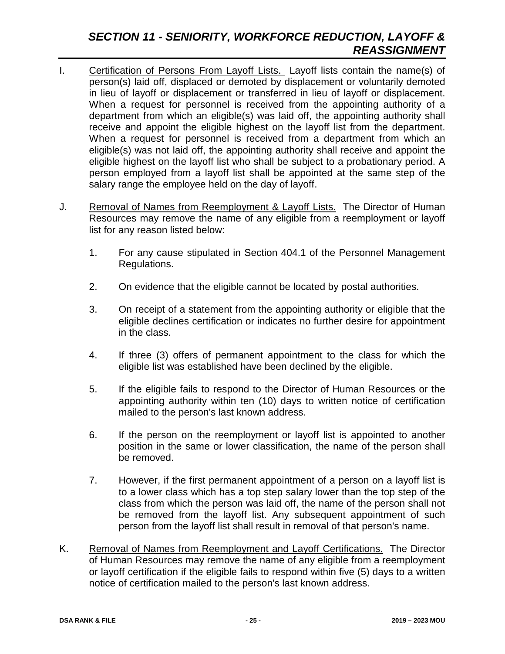# *SECTION 11 - SENIORITY, WORKFORCE REDUCTION, LAYOFF & REASSIGNMENT*

- I. Certification of Persons From Layoff Lists. Layoff lists contain the name(s) of person(s) laid off, displaced or demoted by displacement or voluntarily demoted in lieu of layoff or displacement or transferred in lieu of layoff or displacement. When a request for personnel is received from the appointing authority of a department from which an eligible(s) was laid off, the appointing authority shall receive and appoint the eligible highest on the layoff list from the department. When a request for personnel is received from a department from which an eligible(s) was not laid off, the appointing authority shall receive and appoint the eligible highest on the layoff list who shall be subject to a probationary period. A person employed from a layoff list shall be appointed at the same step of the salary range the employee held on the day of layoff.
- J. Removal of Names from Reemployment & Layoff Lists. The Director of Human Resources may remove the name of any eligible from a reemployment or layoff list for any reason listed below:
	- 1. For any cause stipulated in Section 404.1 of the Personnel Management Regulations.
	- 2. On evidence that the eligible cannot be located by postal authorities.
	- 3. On receipt of a statement from the appointing authority or eligible that the eligible declines certification or indicates no further desire for appointment in the class.
	- 4. If three (3) offers of permanent appointment to the class for which the eligible list was established have been declined by the eligible.
	- 5. If the eligible fails to respond to the Director of Human Resources or the appointing authority within ten (10) days to written notice of certification mailed to the person's last known address.
	- 6. If the person on the reemployment or layoff list is appointed to another position in the same or lower classification, the name of the person shall be removed.
	- 7. However, if the first permanent appointment of a person on a layoff list is to a lower class which has a top step salary lower than the top step of the class from which the person was laid off, the name of the person shall not be removed from the layoff list. Any subsequent appointment of such person from the layoff list shall result in removal of that person's name.
- K. Removal of Names from Reemployment and Layoff Certifications. The Director of Human Resources may remove the name of any eligible from a reemployment or layoff certification if the eligible fails to respond within five (5) days to a written notice of certification mailed to the person's last known address.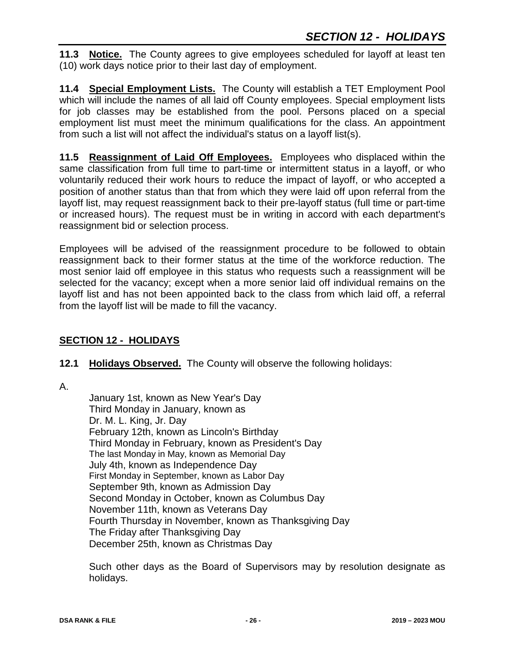**11.3 Notice.** The County agrees to give employees scheduled for layoff at least ten (10) work days notice prior to their last day of employment.

**11.4 Special Employment Lists.** The County will establish a TET Employment Pool which will include the names of all laid off County employees. Special employment lists for job classes may be established from the pool. Persons placed on a special employment list must meet the minimum qualifications for the class. An appointment from such a list will not affect the individual's status on a layoff list(s).

**11.5 Reassignment of Laid Off Employees.** Employees who displaced within the same classification from full time to part-time or intermittent status in a layoff, or who voluntarily reduced their work hours to reduce the impact of layoff, or who accepted a position of another status than that from which they were laid off upon referral from the layoff list, may request reassignment back to their pre-layoff status (full time or part-time or increased hours). The request must be in writing in accord with each department's reassignment bid or selection process.

Employees will be advised of the reassignment procedure to be followed to obtain reassignment back to their former status at the time of the workforce reduction. The most senior laid off employee in this status who requests such a reassignment will be selected for the vacancy; except when a more senior laid off individual remains on the layoff list and has not been appointed back to the class from which laid off, a referral from the layoff list will be made to fill the vacancy.

# **SECTION 12 - HOLIDAYS**

## **12.1 Holidays Observed.** The County will observe the following holidays:

A.

January 1st, known as New Year's Day Third Monday in January, known as Dr. M. L. King, Jr. Day February 12th, known as Lincoln's Birthday Third Monday in February, known as President's Day The last Monday in May, known as Memorial Day July 4th, known as Independence Day First Monday in September, known as Labor Day September 9th, known as Admission Day Second Monday in October, known as Columbus Day November 11th, known as Veterans Day Fourth Thursday in November, known as Thanksgiving Day The Friday after Thanksgiving Day December 25th, known as Christmas Day

Such other days as the Board of Supervisors may by resolution designate as holidays.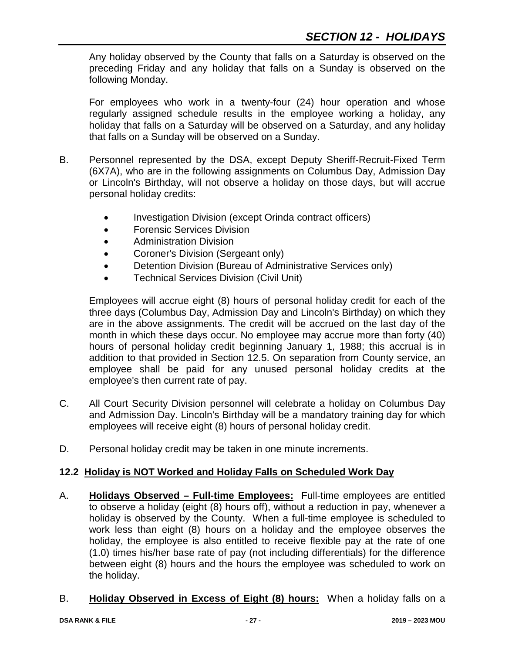Any holiday observed by the County that falls on a Saturday is observed on the preceding Friday and any holiday that falls on a Sunday is observed on the following Monday.

For employees who work in a twenty-four (24) hour operation and whose regularly assigned schedule results in the employee working a holiday, any holiday that falls on a Saturday will be observed on a Saturday, and any holiday that falls on a Sunday will be observed on a Sunday.

- B. Personnel represented by the DSA, except Deputy Sheriff-Recruit-Fixed Term (6X7A), who are in the following assignments on Columbus Day, Admission Day or Lincoln's Birthday, will not observe a holiday on those days, but will accrue personal holiday credits:
	- Investigation Division (except Orinda contract officers)
	- Forensic Services Division
	- Administration Division
	- Coroner's Division (Sergeant only)
	- Detention Division (Bureau of Administrative Services only)
	- Technical Services Division (Civil Unit)

Employees will accrue eight (8) hours of personal holiday credit for each of the three days (Columbus Day, Admission Day and Lincoln's Birthday) on which they are in the above assignments. The credit will be accrued on the last day of the month in which these days occur. No employee may accrue more than forty (40) hours of personal holiday credit beginning January 1, 1988; this accrual is in addition to that provided in Section 12.5. On separation from County service, an employee shall be paid for any unused personal holiday credits at the employee's then current rate of pay.

- C. All Court Security Division personnel will celebrate a holiday on Columbus Day and Admission Day. Lincoln's Birthday will be a mandatory training day for which employees will receive eight (8) hours of personal holiday credit.
- D. Personal holiday credit may be taken in one minute increments.

#### **12.2 Holiday is NOT Worked and Holiday Falls on Scheduled Work Day**

- A. **Holidays Observed – Full-time Employees:** Full-time employees are entitled to observe a holiday (eight (8) hours off), without a reduction in pay, whenever a holiday is observed by the County. When a full-time employee is scheduled to work less than eight (8) hours on a holiday and the employee observes the holiday, the employee is also entitled to receive flexible pay at the rate of one (1.0) times his/her base rate of pay (not including differentials) for the difference between eight (8) hours and the hours the employee was scheduled to work on the holiday.
- B. **Holiday Observed in Excess of Eight (8) hours:** When a holiday falls on a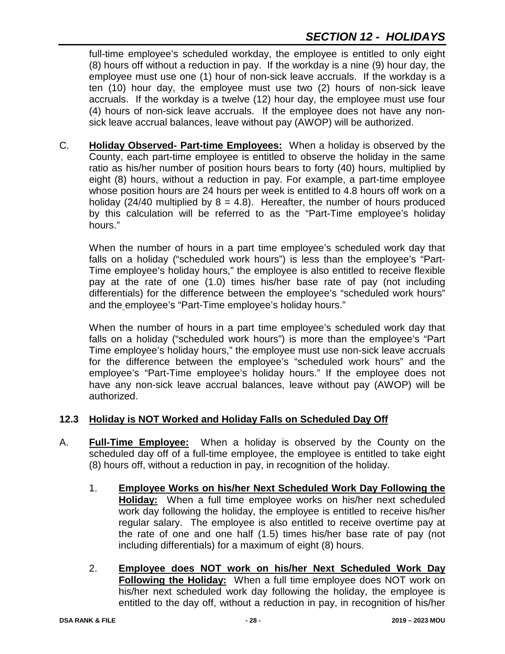full-time employee's scheduled workday, the employee is entitled to only eight (8) hours off without a reduction in pay. If the workday is a nine (9) hour day, the employee must use one (1) hour of non-sick leave accruals. If the workday is a ten (10) hour day, the employee must use two (2) hours of non-sick leave accruals. If the workday is a twelve (12) hour day, the employee must use four (4) hours of non-sick leave accruals. If the employee does not have any nonsick leave accrual balances, leave without pay (AWOP) will be authorized.

C. **Holiday Observed- Part-time Employees:** When a holiday is observed by the County, each part-time employee is entitled to observe the holiday in the same ratio as his/her number of position hours bears to forty (40) hours, multiplied by eight (8) hours, without a reduction in pay. For example, a part-time employee whose position hours are 24 hours per week is entitled to 4.8 hours off work on a holiday (24/40 multiplied by  $8 = 4.8$ ). Hereafter, the number of hours produced by this calculation will be referred to as the "Part-Time employee's holiday hours."

When the number of hours in a part time employee's scheduled work day that falls on a holiday ("scheduled work hours") is less than the employee's "Part-Time employee's holiday hours," the employee is also entitled to receive flexible pay at the rate of one (1.0) times his/her base rate of pay (not including differentials) for the difference between the employee's "scheduled work hours" and the employee's "Part-Time employee's holiday hours."

When the number of hours in a part time employee's scheduled work day that falls on a holiday ("scheduled work hours") is more than the employee's "Part Time employee's holiday hours," the employee must use non-sick leave accruals for the difference between the employee's "scheduled work hours" and the employee's "Part-Time employee's holiday hours." If the employee does not have any non-sick leave accrual balances, leave without pay (AWOP) will be authorized.

## **12.3 Holiday is NOT Worked and Holiday Falls on Scheduled Day Off**

- A. **Full-Time Employee:** When a holiday is observed by the County on the scheduled day off of a full-time employee, the employee is entitled to take eight (8) hours off, without a reduction in pay, in recognition of the holiday.
	- 1. **Employee Works on his/her Next Scheduled Work Day Following the Holiday:** When a full time employee works on his/her next scheduled work day following the holiday, the employee is entitled to receive his/her regular salary. The employee is also entitled to receive overtime pay at the rate of one and one half (1.5) times his/her base rate of pay (not including differentials) for a maximum of eight (8) hours.
	- 2. **Employee does NOT work on his/her Next Scheduled Work Day Following the Holiday:** When a full time employee does NOT work on his/her next scheduled work day following the holiday, the employee is entitled to the day off, without a reduction in pay, in recognition of his/her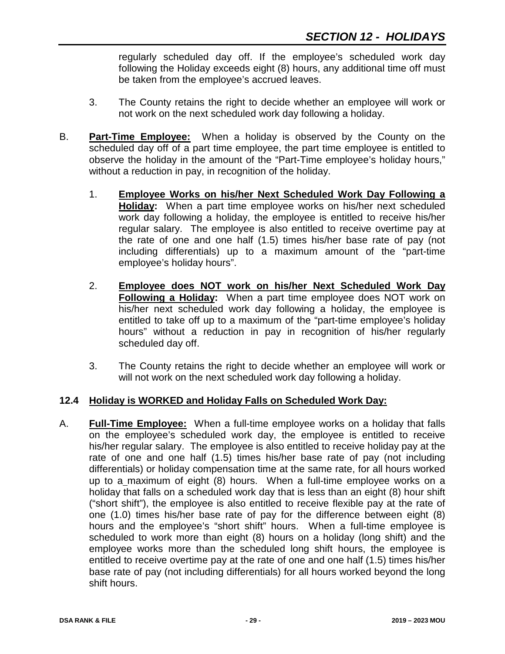regularly scheduled day off. If the employee's scheduled work day following the Holiday exceeds eight (8) hours, any additional time off must be taken from the employee's accrued leaves.

- 3. The County retains the right to decide whether an employee will work or not work on the next scheduled work day following a holiday.
- B. **Part-Time Employee:** When a holiday is observed by the County on the scheduled day off of a part time employee, the part time employee is entitled to observe the holiday in the amount of the "Part-Time employee's holiday hours," without a reduction in pay, in recognition of the holiday.
	- 1. **Employee Works on his/her Next Scheduled Work Day Following a Holiday:** When a part time employee works on his/her next scheduled work day following a holiday, the employee is entitled to receive his/her regular salary. The employee is also entitled to receive overtime pay at the rate of one and one half (1.5) times his/her base rate of pay (not including differentials) up to a maximum amount of the "part-time employee's holiday hours".
	- 2. **Employee does NOT work on his/her Next Scheduled Work Day Following a Holiday:** When a part time employee does NOT work on his/her next scheduled work day following a holiday, the employee is entitled to take off up to a maximum of the "part-time employee's holiday hours" without a reduction in pay in recognition of his/her regularly scheduled day off.
	- 3. The County retains the right to decide whether an employee will work or will not work on the next scheduled work day following a holiday.

#### **12.4 Holiday is WORKED and Holiday Falls on Scheduled Work Day:**

A. **Full-Time Employee:** When a full-time employee works on a holiday that falls on the employee's scheduled work day, the employee is entitled to receive his/her regular salary. The employee is also entitled to receive holiday pay at the rate of one and one half (1.5) times his/her base rate of pay (not including differentials) or holiday compensation time at the same rate, for all hours worked up to a maximum of eight (8) hours. When a full-time employee works on a holiday that falls on a scheduled work day that is less than an eight (8) hour shift ("short shift"), the employee is also entitled to receive flexible pay at the rate of one (1.0) times his/her base rate of pay for the difference between eight (8) hours and the employee's "short shift" hours. When a full-time employee is scheduled to work more than eight (8) hours on a holiday (long shift) and the employee works more than the scheduled long shift hours, the employee is entitled to receive overtime pay at the rate of one and one half (1.5) times his/her base rate of pay (not including differentials) for all hours worked beyond the long shift hours.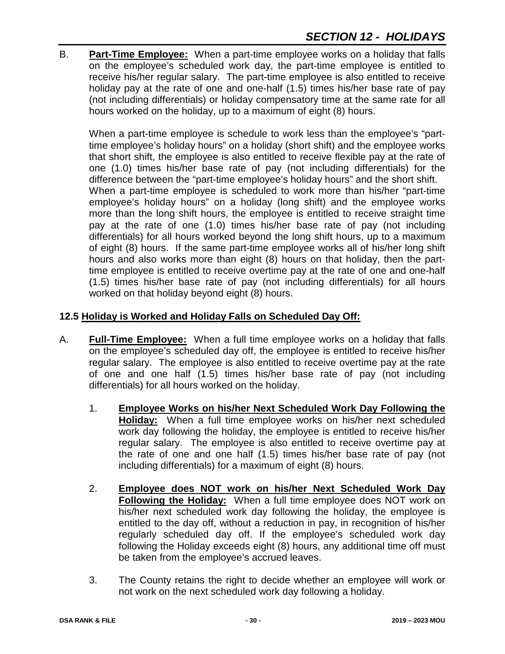B. **Part-Time Employee:** When a part-time employee works on a holiday that falls on the employee's scheduled work day, the part-time employee is entitled to receive his/her regular salary. The part-time employee is also entitled to receive holiday pay at the rate of one and one-half (1.5) times his/her base rate of pay (not including differentials) or holiday compensatory time at the same rate for all hours worked on the holiday, up to a maximum of eight (8) hours.

When a part-time employee is schedule to work less than the employee's "parttime employee's holiday hours" on a holiday (short shift) and the employee works that short shift, the employee is also entitled to receive flexible pay at the rate of one (1.0) times his/her base rate of pay (not including differentials) for the difference between the "part-time employee's holiday hours" and the short shift. When a part-time employee is scheduled to work more than his/her "part-time employee's holiday hours" on a holiday (long shift) and the employee works more than the long shift hours, the employee is entitled to receive straight time pay at the rate of one (1.0) times his/her base rate of pay (not including differentials) for all hours worked beyond the long shift hours, up to a maximum of eight (8) hours. If the same part-time employee works all of his/her long shift hours and also works more than eight (8) hours on that holiday, then the parttime employee is entitled to receive overtime pay at the rate of one and one-half (1.5) times his/her base rate of pay (not including differentials) for all hours worked on that holiday beyond eight (8) hours.

# **12.5 Holiday is Worked and Holiday Falls on Scheduled Day Off:**

- A. **Full-Time Employee:** When a full time employee works on a holiday that falls on the employee's scheduled day off, the employee is entitled to receive his/her regular salary. The employee is also entitled to receive overtime pay at the rate of one and one half (1.5) times his/her base rate of pay (not including differentials) for all hours worked on the holiday.
	- 1. **Employee Works on his/her Next Scheduled Work Day Following the Holiday:** When a full time employee works on his/her next scheduled work day following the holiday, the employee is entitled to receive his/her regular salary. The employee is also entitled to receive overtime pay at the rate of one and one half (1.5) times his/her base rate of pay (not including differentials) for a maximum of eight (8) hours.
	- 2. **Employee does NOT work on his/her Next Scheduled Work Day Following the Holiday:** When a full time employee does NOT work on his/her next scheduled work day following the holiday, the employee is entitled to the day off, without a reduction in pay, in recognition of his/her regularly scheduled day off. If the employee's scheduled work day following the Holiday exceeds eight (8) hours, any additional time off must be taken from the employee's accrued leaves.
	- 3. The County retains the right to decide whether an employee will work or not work on the next scheduled work day following a holiday.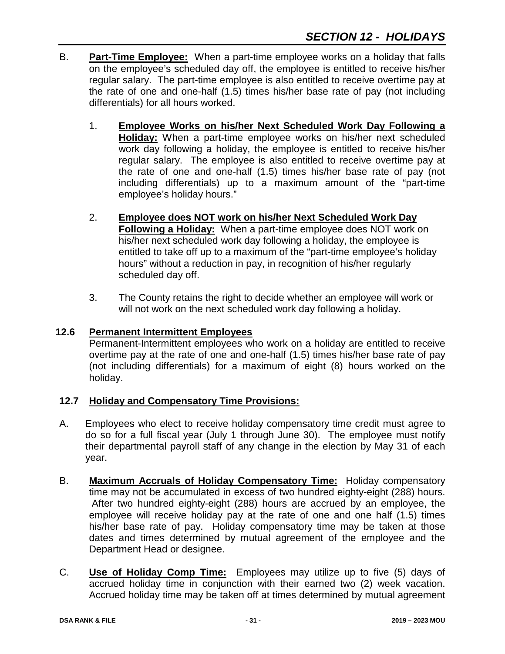- B. **Part-Time Employee:** When a part-time employee works on a holiday that falls on the employee's scheduled day off, the employee is entitled to receive his/her regular salary. The part-time employee is also entitled to receive overtime pay at the rate of one and one-half (1.5) times his/her base rate of pay (not including differentials) for all hours worked.
	- 1. **Employee Works on his/her Next Scheduled Work Day Following a Holiday:** When a part-time employee works on his/her next scheduled work day following a holiday, the employee is entitled to receive his/her regular salary. The employee is also entitled to receive overtime pay at the rate of one and one-half (1.5) times his/her base rate of pay (not including differentials) up to a maximum amount of the "part-time employee's holiday hours."
	- 2. **Employee does NOT work on his/her Next Scheduled Work Day Following a Holiday:** When a part-time employee does NOT work on his/her next scheduled work day following a holiday, the employee is entitled to take off up to a maximum of the "part-time employee's holiday hours" without a reduction in pay, in recognition of his/her regularly scheduled day off.
	- 3. The County retains the right to decide whether an employee will work or will not work on the next scheduled work day following a holiday.

## **12.6 Permanent Intermittent Employees**

Permanent-Intermittent employees who work on a holiday are entitled to receive overtime pay at the rate of one and one-half (1.5) times his/her base rate of pay (not including differentials) for a maximum of eight (8) hours worked on the holiday.

# **12.7 Holiday and Compensatory Time Provisions:**

- A. Employees who elect to receive holiday compensatory time credit must agree to do so for a full fiscal year (July 1 through June 30). The employee must notify their departmental payroll staff of any change in the election by May 31 of each year.
- B. **Maximum Accruals of Holiday Compensatory Time:** Holiday compensatory time may not be accumulated in excess of two hundred eighty-eight (288) hours. After two hundred eighty-eight (288) hours are accrued by an employee, the employee will receive holiday pay at the rate of one and one half (1.5) times his/her base rate of pay. Holiday compensatory time may be taken at those dates and times determined by mutual agreement of the employee and the Department Head or designee.
- C. **Use of Holiday Comp Time:** Employees may utilize up to five (5) days of accrued holiday time in conjunction with their earned two (2) week vacation. Accrued holiday time may be taken off at times determined by mutual agreement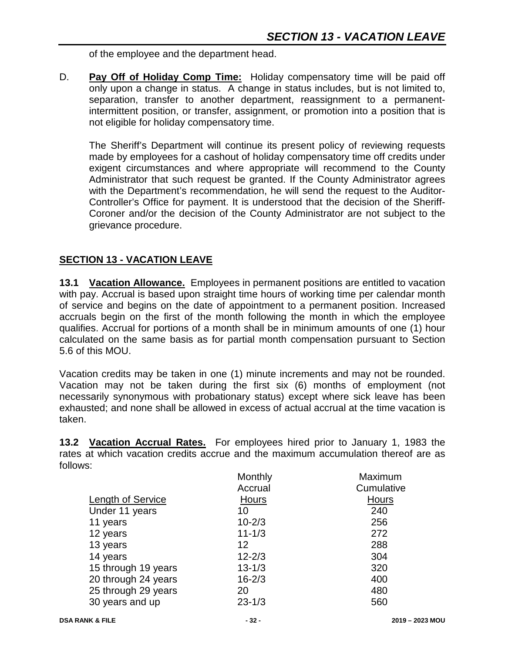of the employee and the department head.

D. **Pay Off of Holiday Comp Time:** Holiday compensatory time will be paid off only upon a change in status. A change in status includes, but is not limited to, separation, transfer to another department, reassignment to a permanentintermittent position, or transfer, assignment, or promotion into a position that is not eligible for holiday compensatory time.

The Sheriff's Department will continue its present policy of reviewing requests made by employees for a cashout of holiday compensatory time off credits under exigent circumstances and where appropriate will recommend to the County Administrator that such request be granted. If the County Administrator agrees with the Department's recommendation, he will send the request to the Auditor-Controller's Office for payment. It is understood that the decision of the Sheriff-Coroner and/or the decision of the County Administrator are not subject to the grievance procedure.

# **SECTION 13 - VACATION LEAVE**

**13.1 Vacation Allowance.** Employees in permanent positions are entitled to vacation with pay. Accrual is based upon straight time hours of working time per calendar month of service and begins on the date of appointment to a permanent position. Increased accruals begin on the first of the month following the month in which the employee qualifies. Accrual for portions of a month shall be in minimum amounts of one (1) hour calculated on the same basis as for partial month compensation pursuant to Section 5.6 of this MOU.

Vacation credits may be taken in one (1) minute increments and may not be rounded. Vacation may not be taken during the first six (6) months of employment (not necessarily synonymous with probationary status) except where sick leave has been exhausted; and none shall be allowed in excess of actual accrual at the time vacation is taken.

**13.2 Vacation Accrual Rates.** For employees hired prior to January 1, 1983 the rates at which vacation credits accrue and the maximum accumulation thereof are as follows:

|                     | Monthly           | Maximum    |
|---------------------|-------------------|------------|
|                     | Accrual           | Cumulative |
| Length of Service   | <b>Hours</b>      | Hours      |
| Under 11 years      | 10                | 240        |
| 11 years            | $10 - 2/3$        | 256        |
| 12 years            | $11 - 1/3$        | 272        |
| 13 years            | $12 \overline{ }$ | 288        |
| 14 years            | $12 - 2/3$        | 304        |
| 15 through 19 years | $13 - 1/3$        | 320        |
| 20 through 24 years | $16 - 2/3$        | 400        |
| 25 through 29 years | 20                | 480        |
| 30 years and up     | $23 - 1/3$        | 560        |
|                     |                   |            |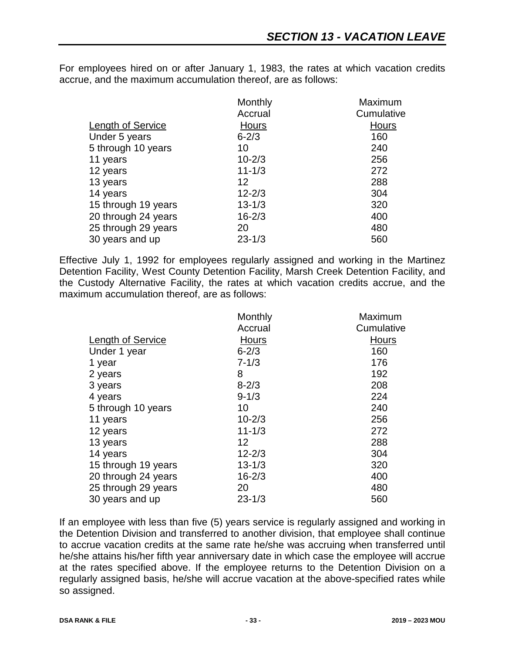For employees hired on or after January 1, 1983, the rates at which vacation credits accrue, and the maximum accumulation thereof, are as follows:

|                     | Monthly      | Maximum    |
|---------------------|--------------|------------|
|                     | Accrual      | Cumulative |
| Length of Service   | <b>Hours</b> | Hours      |
| Under 5 years       | $6 - 2/3$    | 160        |
| 5 through 10 years  | 10           | 240        |
| 11 years            | $10 - 2/3$   | 256        |
| 12 years            | $11 - 1/3$   | 272        |
| 13 years            | 12           | 288        |
| 14 years            | $12 - 2/3$   | 304        |
| 15 through 19 years | $13 - 1/3$   | 320        |
| 20 through 24 years | $16 - 2/3$   | 400        |
| 25 through 29 years | 20           | 480        |
| 30 years and up     | $23 - 1/3$   | 560        |

Effective July 1, 1992 for employees regularly assigned and working in the Martinez Detention Facility, West County Detention Facility, Marsh Creek Detention Facility, and the Custody Alternative Facility, the rates at which vacation credits accrue, and the maximum accumulation thereof, are as follows:

|                          | Monthly    | Maximum    |
|--------------------------|------------|------------|
|                          | Accrual    | Cumulative |
| <b>Length of Service</b> | Hours      | Hours      |
| Under 1 year             | $6 - 2/3$  | 160        |
| 1 year                   | $7 - 1/3$  | 176        |
| 2 years                  | 8          | 192        |
| 3 years                  | $8 - 2/3$  | 208        |
| 4 years                  | $9 - 1/3$  | 224        |
| 5 through 10 years       | 10         | 240        |
| 11 years                 | $10 - 2/3$ | 256        |
| 12 years                 | $11 - 1/3$ | 272        |
| 13 years                 | 12         | 288        |
| 14 years                 | $12 - 2/3$ | 304        |
| 15 through 19 years      | $13 - 1/3$ | 320        |
| 20 through 24 years      | $16 - 2/3$ | 400        |
| 25 through 29 years      | 20         | 480        |
| 30 years and up          | $23 - 1/3$ | 560        |

If an employee with less than five (5) years service is regularly assigned and working in the Detention Division and transferred to another division, that employee shall continue to accrue vacation credits at the same rate he/she was accruing when transferred until he/she attains his/her fifth year anniversary date in which case the employee will accrue at the rates specified above. If the employee returns to the Detention Division on a regularly assigned basis, he/she will accrue vacation at the above-specified rates while so assigned.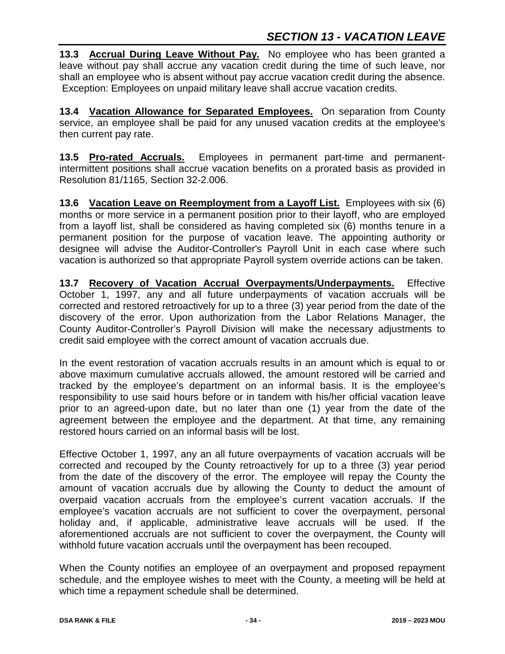**13.3 Accrual During Leave Without Pay.** No employee who has been granted a leave without pay shall accrue any vacation credit during the time of such leave, nor shall an employee who is absent without pay accrue vacation credit during the absence. Exception: Employees on unpaid military leave shall accrue vacation credits.

**13.4 Vacation Allowance for Separated Employees.** On separation from County service, an employee shall be paid for any unused vacation credits at the employee's then current pay rate.

**13.5 Pro-rated Accruals.** Employees in permanent part-time and permanentintermittent positions shall accrue vacation benefits on a prorated basis as provided in Resolution 81/1165, Section 32-2.006.

**13.6 Vacation Leave on Reemployment from a Layoff List.** Employees with six (6) months or more service in a permanent position prior to their layoff, who are employed from a layoff list, shall be considered as having completed six (6) months tenure in a permanent position for the purpose of vacation leave. The appointing authority or designee will advise the Auditor-Controller's Payroll Unit in each case where such vacation is authorized so that appropriate Payroll system override actions can be taken.

**13.7 Recovery of Vacation Accrual Overpayments/Underpayments.** Effective October 1, 1997, any and all future underpayments of vacation accruals will be corrected and restored retroactively for up to a three (3) year period from the date of the discovery of the error. Upon authorization from the Labor Relations Manager, the County Auditor-Controller's Payroll Division will make the necessary adjustments to credit said employee with the correct amount of vacation accruals due.

In the event restoration of vacation accruals results in an amount which is equal to or above maximum cumulative accruals allowed, the amount restored will be carried and tracked by the employee's department on an informal basis. It is the employee's responsibility to use said hours before or in tandem with his/her official vacation leave prior to an agreed-upon date, but no later than one (1) year from the date of the agreement between the employee and the department. At that time, any remaining restored hours carried on an informal basis will be lost.

Effective October 1, 1997, any an all future overpayments of vacation accruals will be corrected and recouped by the County retroactively for up to a three (3) year period from the date of the discovery of the error. The employee will repay the County the amount of vacation accruals due by allowing the County to deduct the amount of overpaid vacation accruals from the employee's current vacation accruals. If the employee's vacation accruals are not sufficient to cover the overpayment, personal holiday and, if applicable, administrative leave accruals will be used. If the aforementioned accruals are not sufficient to cover the overpayment, the County will withhold future vacation accruals until the overpayment has been recouped.

When the County notifies an employee of an overpayment and proposed repayment schedule, and the employee wishes to meet with the County, a meeting will be held at which time a repayment schedule shall be determined.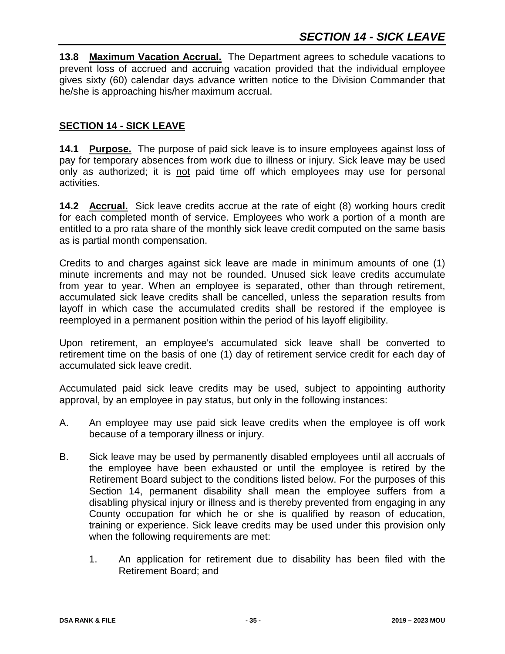**13.8 Maximum Vacation Accrual.** The Department agrees to schedule vacations to prevent loss of accrued and accruing vacation provided that the individual employee gives sixty (60) calendar days advance written notice to the Division Commander that he/she is approaching his/her maximum accrual.

## **SECTION 14 - SICK LEAVE**

**14.1 Purpose.** The purpose of paid sick leave is to insure employees against loss of pay for temporary absences from work due to illness or injury. Sick leave may be used only as authorized; it is not paid time off which employees may use for personal activities.

**14.2 Accrual.** Sick leave credits accrue at the rate of eight (8) working hours credit for each completed month of service. Employees who work a portion of a month are entitled to a pro rata share of the monthly sick leave credit computed on the same basis as is partial month compensation.

Credits to and charges against sick leave are made in minimum amounts of one (1) minute increments and may not be rounded. Unused sick leave credits accumulate from year to year. When an employee is separated, other than through retirement, accumulated sick leave credits shall be cancelled, unless the separation results from layoff in which case the accumulated credits shall be restored if the employee is reemployed in a permanent position within the period of his layoff eligibility.

Upon retirement, an employee's accumulated sick leave shall be converted to retirement time on the basis of one (1) day of retirement service credit for each day of accumulated sick leave credit.

Accumulated paid sick leave credits may be used, subject to appointing authority approval, by an employee in pay status, but only in the following instances:

- A. An employee may use paid sick leave credits when the employee is off work because of a temporary illness or injury.
- B. Sick leave may be used by permanently disabled employees until all accruals of the employee have been exhausted or until the employee is retired by the Retirement Board subject to the conditions listed below. For the purposes of this Section 14, permanent disability shall mean the employee suffers from a disabling physical injury or illness and is thereby prevented from engaging in any County occupation for which he or she is qualified by reason of education, training or experience. Sick leave credits may be used under this provision only when the following requirements are met:
	- 1. An application for retirement due to disability has been filed with the Retirement Board; and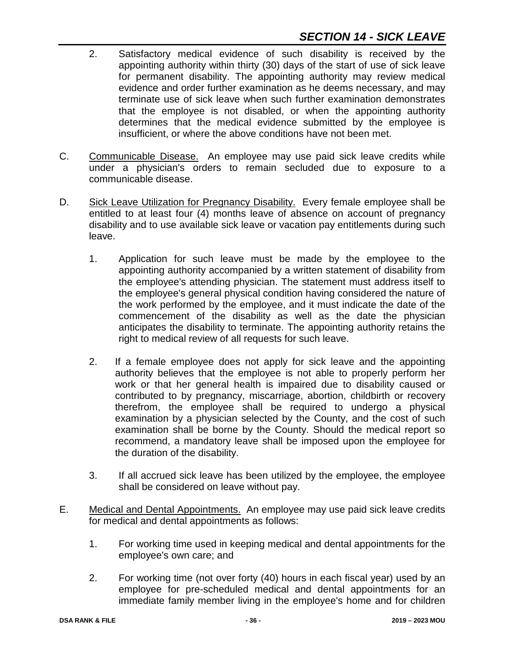- 2. Satisfactory medical evidence of such disability is received by the appointing authority within thirty (30) days of the start of use of sick leave for permanent disability. The appointing authority may review medical evidence and order further examination as he deems necessary, and may terminate use of sick leave when such further examination demonstrates that the employee is not disabled, or when the appointing authority determines that the medical evidence submitted by the employee is insufficient, or where the above conditions have not been met.
- C. Communicable Disease. An employee may use paid sick leave credits while under a physician's orders to remain secluded due to exposure to a communicable disease.
- D. Sick Leave Utilization for Pregnancy Disability. Every female employee shall be entitled to at least four (4) months leave of absence on account of pregnancy disability and to use available sick leave or vacation pay entitlements during such leave.
	- 1. Application for such leave must be made by the employee to the appointing authority accompanied by a written statement of disability from the employee's attending physician. The statement must address itself to the employee's general physical condition having considered the nature of the work performed by the employee, and it must indicate the date of the commencement of the disability as well as the date the physician anticipates the disability to terminate. The appointing authority retains the right to medical review of all requests for such leave.
	- 2. If a female employee does not apply for sick leave and the appointing authority believes that the employee is not able to properly perform her work or that her general health is impaired due to disability caused or contributed to by pregnancy, miscarriage, abortion, childbirth or recovery therefrom, the employee shall be required to undergo a physical examination by a physician selected by the County, and the cost of such examination shall be borne by the County. Should the medical report so recommend, a mandatory leave shall be imposed upon the employee for the duration of the disability.
	- 3. If all accrued sick leave has been utilized by the employee, the employee shall be considered on leave without pay.
- E. Medical and Dental Appointments. An employee may use paid sick leave credits for medical and dental appointments as follows:
	- 1. For working time used in keeping medical and dental appointments for the employee's own care; and
	- 2. For working time (not over forty (40) hours in each fiscal year) used by an employee for pre-scheduled medical and dental appointments for an immediate family member living in the employee's home and for children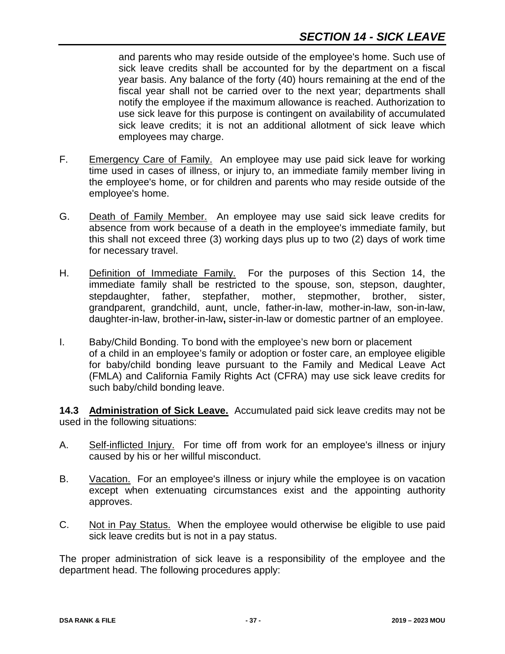and parents who may reside outside of the employee's home. Such use of sick leave credits shall be accounted for by the department on a fiscal year basis. Any balance of the forty (40) hours remaining at the end of the fiscal year shall not be carried over to the next year; departments shall notify the employee if the maximum allowance is reached. Authorization to use sick leave for this purpose is contingent on availability of accumulated sick leave credits; it is not an additional allotment of sick leave which employees may charge.

- F. Emergency Care of Family. An employee may use paid sick leave for working time used in cases of illness, or injury to, an immediate family member living in the employee's home, or for children and parents who may reside outside of the employee's home.
- G. Death of Family Member. An employee may use said sick leave credits for absence from work because of a death in the employee's immediate family, but this shall not exceed three (3) working days plus up to two (2) days of work time for necessary travel.
- H. Definition of Immediate Family. For the purposes of this Section 14, the immediate family shall be restricted to the spouse, son, stepson, daughter, stepdaughter, father, stepfather, mother, stepmother, brother, sister, grandparent, grandchild, aunt, uncle, father-in-law, mother-in-law, son-in-law, daughter-in-law, brother-in-law**,** sister-in-law or domestic partner of an employee.
- I. Baby/Child Bonding. To bond with the employee's new born or placement of a child in an employee's family or adoption or foster care, an employee eligible for baby/child bonding leave pursuant to the Family and Medical Leave Act (FMLA) and California Family Rights Act (CFRA) may use sick leave credits for such baby/child bonding leave.

**14.3 Administration of Sick Leave.** Accumulated paid sick leave credits may not be used in the following situations:

- A. Self-inflicted Injury. For time off from work for an employee's illness or injury caused by his or her willful misconduct.
- B. Vacation. For an employee's illness or injury while the employee is on vacation except when extenuating circumstances exist and the appointing authority approves.
- C. Not in Pay Status. When the employee would otherwise be eligible to use paid sick leave credits but is not in a pay status.

The proper administration of sick leave is a responsibility of the employee and the department head. The following procedures apply: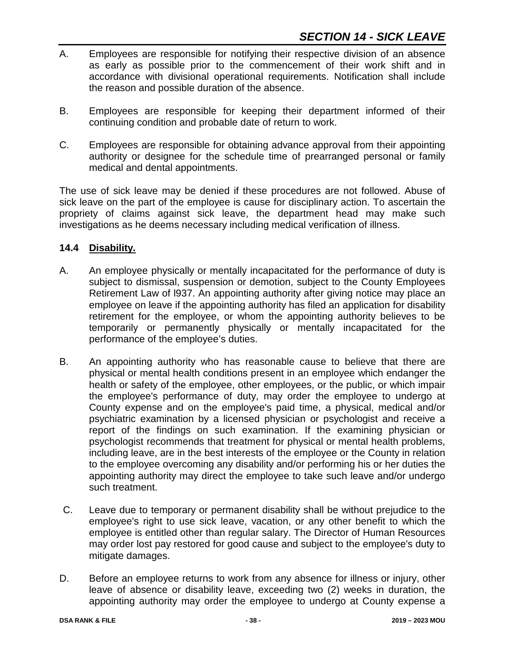- A. Employees are responsible for notifying their respective division of an absence as early as possible prior to the commencement of their work shift and in accordance with divisional operational requirements. Notification shall include the reason and possible duration of the absence.
- B. Employees are responsible for keeping their department informed of their continuing condition and probable date of return to work.
- C. Employees are responsible for obtaining advance approval from their appointing authority or designee for the schedule time of prearranged personal or family medical and dental appointments.

The use of sick leave may be denied if these procedures are not followed. Abuse of sick leave on the part of the employee is cause for disciplinary action. To ascertain the propriety of claims against sick leave, the department head may make such investigations as he deems necessary including medical verification of illness.

## **14.4 Disability.**

- A. An employee physically or mentally incapacitated for the performance of duty is subject to dismissal, suspension or demotion, subject to the County Employees Retirement Law of l937. An appointing authority after giving notice may place an employee on leave if the appointing authority has filed an application for disability retirement for the employee, or whom the appointing authority believes to be temporarily or permanently physically or mentally incapacitated for the performance of the employee's duties.
- B. An appointing authority who has reasonable cause to believe that there are physical or mental health conditions present in an employee which endanger the health or safety of the employee, other employees, or the public, or which impair the employee's performance of duty, may order the employee to undergo at County expense and on the employee's paid time, a physical, medical and/or psychiatric examination by a licensed physician or psychologist and receive a report of the findings on such examination. If the examining physician or psychologist recommends that treatment for physical or mental health problems, including leave, are in the best interests of the employee or the County in relation to the employee overcoming any disability and/or performing his or her duties the appointing authority may direct the employee to take such leave and/or undergo such treatment.
- C. Leave due to temporary or permanent disability shall be without prejudice to the employee's right to use sick leave, vacation, or any other benefit to which the employee is entitled other than regular salary. The Director of Human Resources may order lost pay restored for good cause and subject to the employee's duty to mitigate damages.
- D. Before an employee returns to work from any absence for illness or injury, other leave of absence or disability leave, exceeding two (2) weeks in duration, the appointing authority may order the employee to undergo at County expense a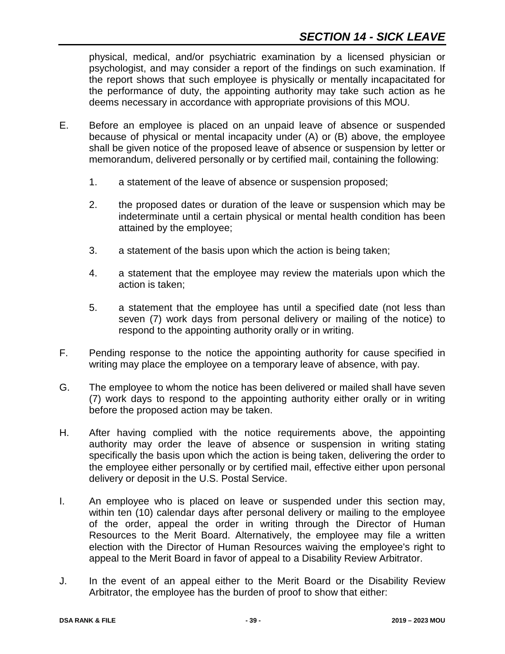physical, medical, and/or psychiatric examination by a licensed physician or psychologist, and may consider a report of the findings on such examination. If the report shows that such employee is physically or mentally incapacitated for the performance of duty, the appointing authority may take such action as he deems necessary in accordance with appropriate provisions of this MOU.

- E. Before an employee is placed on an unpaid leave of absence or suspended because of physical or mental incapacity under (A) or (B) above, the employee shall be given notice of the proposed leave of absence or suspension by letter or memorandum, delivered personally or by certified mail, containing the following:
	- 1. a statement of the leave of absence or suspension proposed;
	- 2. the proposed dates or duration of the leave or suspension which may be indeterminate until a certain physical or mental health condition has been attained by the employee;
	- 3. a statement of the basis upon which the action is being taken;
	- 4. a statement that the employee may review the materials upon which the action is taken;
	- 5. a statement that the employee has until a specified date (not less than seven (7) work days from personal delivery or mailing of the notice) to respond to the appointing authority orally or in writing.
- F. Pending response to the notice the appointing authority for cause specified in writing may place the employee on a temporary leave of absence, with pay.
- G. The employee to whom the notice has been delivered or mailed shall have seven (7) work days to respond to the appointing authority either orally or in writing before the proposed action may be taken.
- H. After having complied with the notice requirements above, the appointing authority may order the leave of absence or suspension in writing stating specifically the basis upon which the action is being taken, delivering the order to the employee either personally or by certified mail, effective either upon personal delivery or deposit in the U.S. Postal Service.
- I. An employee who is placed on leave or suspended under this section may, within ten (10) calendar days after personal delivery or mailing to the employee of the order, appeal the order in writing through the Director of Human Resources to the Merit Board. Alternatively, the employee may file a written election with the Director of Human Resources waiving the employee's right to appeal to the Merit Board in favor of appeal to a Disability Review Arbitrator.
- J. In the event of an appeal either to the Merit Board or the Disability Review Arbitrator, the employee has the burden of proof to show that either: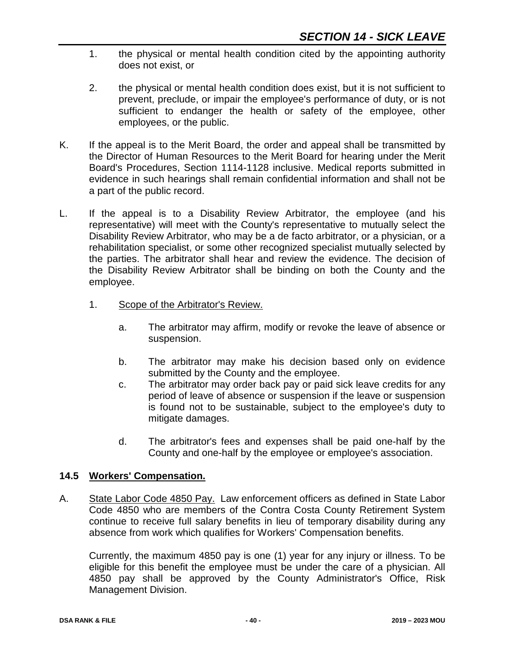- 1. the physical or mental health condition cited by the appointing authority does not exist, or
- 2. the physical or mental health condition does exist, but it is not sufficient to prevent, preclude, or impair the employee's performance of duty, or is not sufficient to endanger the health or safety of the employee, other employees, or the public.
- K. If the appeal is to the Merit Board, the order and appeal shall be transmitted by the Director of Human Resources to the Merit Board for hearing under the Merit Board's Procedures, Section 1114-1128 inclusive. Medical reports submitted in evidence in such hearings shall remain confidential information and shall not be a part of the public record.
- L. If the appeal is to a Disability Review Arbitrator, the employee (and his representative) will meet with the County's representative to mutually select the Disability Review Arbitrator, who may be a de facto arbitrator, or a physician, or a rehabilitation specialist, or some other recognized specialist mutually selected by the parties. The arbitrator shall hear and review the evidence. The decision of the Disability Review Arbitrator shall be binding on both the County and the employee.
	- 1. Scope of the Arbitrator's Review.
		- a. The arbitrator may affirm, modify or revoke the leave of absence or suspension.
		- b. The arbitrator may make his decision based only on evidence submitted by the County and the employee.
		- c. The arbitrator may order back pay or paid sick leave credits for any period of leave of absence or suspension if the leave or suspension is found not to be sustainable, subject to the employee's duty to mitigate damages.
		- d. The arbitrator's fees and expenses shall be paid one-half by the County and one-half by the employee or employee's association.

# **14.5 Workers' Compensation.**

A. State Labor Code 4850 Pay. Law enforcement officers as defined in State Labor Code 4850 who are members of the Contra Costa County Retirement System continue to receive full salary benefits in lieu of temporary disability during any absence from work which qualifies for Workers' Compensation benefits.

Currently, the maximum 4850 pay is one (1) year for any injury or illness. To be eligible for this benefit the employee must be under the care of a physician. All 4850 pay shall be approved by the County Administrator's Office, Risk Management Division.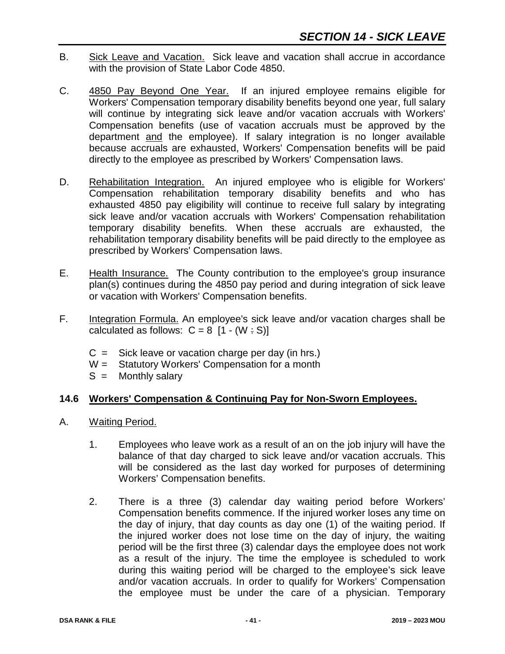- B. Sick Leave and Vacation. Sick leave and vacation shall accrue in accordance with the provision of State Labor Code 4850.
- C. 4850 Pay Beyond One Year. If an injured employee remains eligible for Workers' Compensation temporary disability benefits beyond one year, full salary will continue by integrating sick leave and/or vacation accruals with Workers' Compensation benefits (use of vacation accruals must be approved by the department and the employee). If salary integration is no longer available because accruals are exhausted, Workers' Compensation benefits will be paid directly to the employee as prescribed by Workers' Compensation laws.
- D. Rehabilitation Integration. An injured employee who is eligible for Workers' Compensation rehabilitation temporary disability benefits and who has exhausted 4850 pay eligibility will continue to receive full salary by integrating sick leave and/or vacation accruals with Workers' Compensation rehabilitation temporary disability benefits. When these accruals are exhausted, the rehabilitation temporary disability benefits will be paid directly to the employee as prescribed by Workers' Compensation laws.
- E. Health Insurance. The County contribution to the employee's group insurance plan(s) continues during the 4850 pay period and during integration of sick leave or vacation with Workers' Compensation benefits.
- F. Integration Formula. An employee's sick leave and/or vacation charges shall be calculated as follows:  $C = 8$  [1 - (W : S)]
	- $C =$  Sick leave or vacation charge per day (in hrs.)
	- $W =$  Statutory Workers' Compensation for a month  $S =$  Monthly salary
	- Monthly salary

# **14.6 Workers' Compensation & Continuing Pay for Non-Sworn Employees.**

- A. Waiting Period.
	- 1. Employees who leave work as a result of an on the job injury will have the balance of that day charged to sick leave and/or vacation accruals. This will be considered as the last day worked for purposes of determining Workers' Compensation benefits.
	- 2. There is a three (3) calendar day waiting period before Workers' Compensation benefits commence. If the injured worker loses any time on the day of injury, that day counts as day one (1) of the waiting period. If the injured worker does not lose time on the day of injury, the waiting period will be the first three (3) calendar days the employee does not work as a result of the injury. The time the employee is scheduled to work during this waiting period will be charged to the employee's sick leave and/or vacation accruals. In order to qualify for Workers' Compensation the employee must be under the care of a physician. Temporary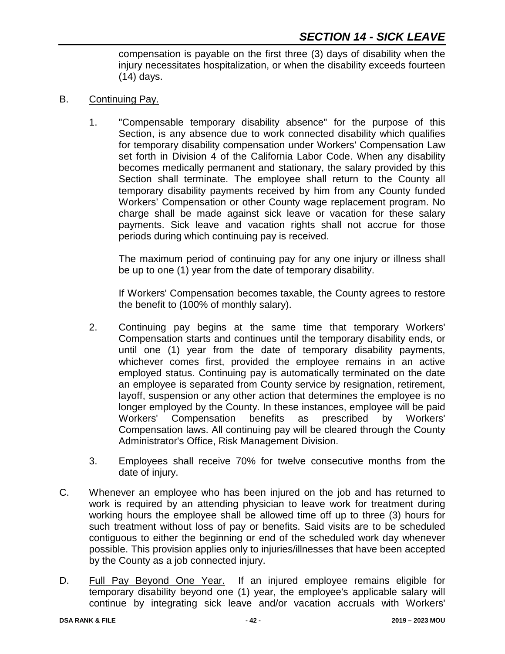compensation is payable on the first three (3) days of disability when the injury necessitates hospitalization, or when the disability exceeds fourteen (14) days.

- B. Continuing Pay.
	- 1. "Compensable temporary disability absence" for the purpose of this Section, is any absence due to work connected disability which qualifies for temporary disability compensation under Workers' Compensation Law set forth in Division 4 of the California Labor Code. When any disability becomes medically permanent and stationary, the salary provided by this Section shall terminate. The employee shall return to the County all temporary disability payments received by him from any County funded Workers' Compensation or other County wage replacement program. No charge shall be made against sick leave or vacation for these salary payments. Sick leave and vacation rights shall not accrue for those periods during which continuing pay is received.

The maximum period of continuing pay for any one injury or illness shall be up to one (1) year from the date of temporary disability.

If Workers' Compensation becomes taxable, the County agrees to restore the benefit to (100% of monthly salary).

- 2. Continuing pay begins at the same time that temporary Workers' Compensation starts and continues until the temporary disability ends, or until one (1) year from the date of temporary disability payments, whichever comes first, provided the employee remains in an active employed status. Continuing pay is automatically terminated on the date an employee is separated from County service by resignation, retirement, layoff, suspension or any other action that determines the employee is no longer employed by the County. In these instances, employee will be paid Workers' Compensation benefits as prescribed by Workers' Compensation laws. All continuing pay will be cleared through the County Administrator's Office, Risk Management Division.
- 3. Employees shall receive 70% for twelve consecutive months from the date of injury.
- C. Whenever an employee who has been injured on the job and has returned to work is required by an attending physician to leave work for treatment during working hours the employee shall be allowed time off up to three (3) hours for such treatment without loss of pay or benefits. Said visits are to be scheduled contiguous to either the beginning or end of the scheduled work day whenever possible. This provision applies only to injuries/illnesses that have been accepted by the County as a job connected injury.
- D. Full Pay Beyond One Year. If an injured employee remains eligible for temporary disability beyond one (1) year, the employee's applicable salary will continue by integrating sick leave and/or vacation accruals with Workers'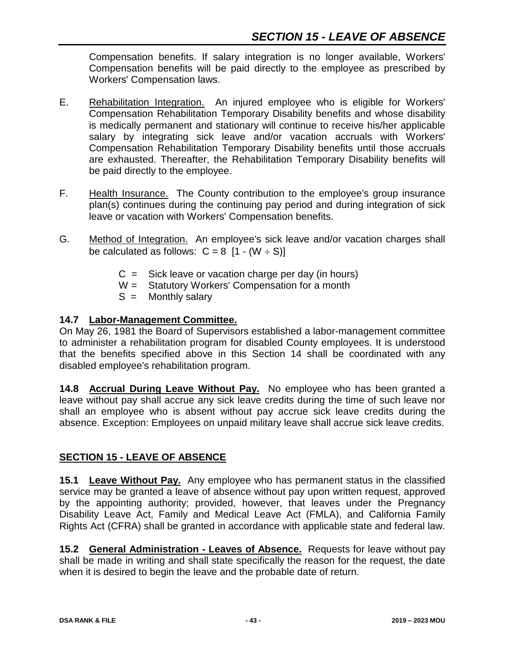Compensation benefits. If salary integration is no longer available, Workers' Compensation benefits will be paid directly to the employee as prescribed by Workers' Compensation laws.

- E. Rehabilitation Integration. An injured employee who is eligible for Workers' Compensation Rehabilitation Temporary Disability benefits and whose disability is medically permanent and stationary will continue to receive his/her applicable salary by integrating sick leave and/or vacation accruals with Workers' Compensation Rehabilitation Temporary Disability benefits until those accruals are exhausted. Thereafter, the Rehabilitation Temporary Disability benefits will be paid directly to the employee.
- F. Health Insurance. The County contribution to the employee's group insurance plan(s) continues during the continuing pay period and during integration of sick leave or vacation with Workers' Compensation benefits.
- G. Method of Integration. An employee's sick leave and/or vacation charges shall be calculated as follows:  $C = 8$  [1 - (W  $\div$  S)]
	- $C =$  Sick leave or vacation charge per day (in hours)
	- W = Statutory Workers' Compensation for a month
	- $S =$  Monthly salary

# **14.7 Labor-Management Committee.**

On May 26, 1981 the Board of Supervisors established a labor-management committee to administer a rehabilitation program for disabled County employees. It is understood that the benefits specified above in this Section 14 shall be coordinated with any disabled employee's rehabilitation program.

**14.8 Accrual During Leave Without Pay.** No employee who has been granted a leave without pay shall accrue any sick leave credits during the time of such leave nor shall an employee who is absent without pay accrue sick leave credits during the absence. Exception: Employees on unpaid military leave shall accrue sick leave credits.

# **SECTION 15 - LEAVE OF ABSENCE**

**15.1 Leave Without Pay.** Any employee who has permanent status in the classified service may be granted a leave of absence without pay upon written request, approved by the appointing authority; provided, however, that leaves under the Pregnancy Disability Leave Act, Family and Medical Leave Act (FMLA), and California Family Rights Act (CFRA) shall be granted in accordance with applicable state and federal law.

**15.2 General Administration - Leaves of Absence.** Requests for leave without pay shall be made in writing and shall state specifically the reason for the request, the date when it is desired to begin the leave and the probable date of return.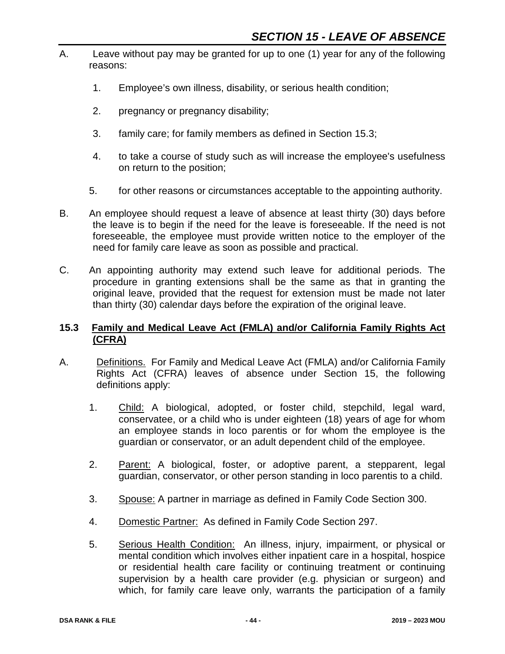- A. Leave without pay may be granted for up to one (1) year for any of the following reasons:
	- 1. Employee's own illness, disability, or serious health condition;
	- 2. pregnancy or pregnancy disability;
	- 3. family care; for family members as defined in Section 15.3;
	- 4. to take a course of study such as will increase the employee's usefulness on return to the position;
	- 5. for other reasons or circumstances acceptable to the appointing authority.
- B. An employee should request a leave of absence at least thirty (30) days before the leave is to begin if the need for the leave is foreseeable. If the need is not foreseeable, the employee must provide written notice to the employer of the need for family care leave as soon as possible and practical.
- C. An appointing authority may extend such leave for additional periods. The procedure in granting extensions shall be the same as that in granting the original leave, provided that the request for extension must be made not later than thirty (30) calendar days before the expiration of the original leave.

#### **15.3 Family and Medical Leave Act (FMLA) and/or California Family Rights Act (CFRA)**

- A. Definitions. For Family and Medical Leave Act (FMLA) and/or California Family Rights Act (CFRA) leaves of absence under Section 15, the following definitions apply:
	- 1. Child: A biological, adopted, or foster child, stepchild, legal ward, conservatee, or a child who is under eighteen (18) years of age for whom an employee stands in loco parentis or for whom the employee is the guardian or conservator, or an adult dependent child of the employee.
	- 2. Parent: A biological, foster, or adoptive parent, a stepparent, legal guardian, conservator, or other person standing in loco parentis to a child.
	- 3. Spouse: A partner in marriage as defined in Family Code Section 300.
	- 4. Domestic Partner: As defined in Family Code Section 297.
	- 5. Serious Health Condition: An illness, injury, impairment, or physical or mental condition which involves either inpatient care in a hospital, hospice or residential health care facility or continuing treatment or continuing supervision by a health care provider (e.g. physician or surgeon) and which, for family care leave only, warrants the participation of a family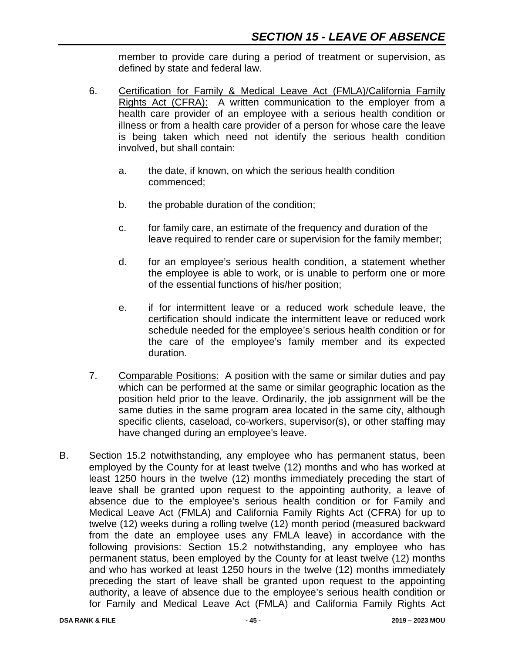member to provide care during a period of treatment or supervision, as defined by state and federal law.

- 6. Certification for Family & Medical Leave Act (FMLA)/California Family Rights Act (CFRA): A written communication to the employer from a health care provider of an employee with a serious health condition or illness or from a health care provider of a person for whose care the leave is being taken which need not identify the serious health condition involved, but shall contain:
	- a. the date, if known, on which the serious health condition commenced;
	- b. the probable duration of the condition;
	- c. for family care, an estimate of the frequency and duration of the leave required to render care or supervision for the family member;
	- d. for an employee's serious health condition, a statement whether the employee is able to work, or is unable to perform one or more of the essential functions of his/her position;
	- e. if for intermittent leave or a reduced work schedule leave, the certification should indicate the intermittent leave or reduced work schedule needed for the employee's serious health condition or for the care of the employee's family member and its expected duration.
- 7. Comparable Positions: A position with the same or similar duties and pay which can be performed at the same or similar geographic location as the position held prior to the leave. Ordinarily, the job assignment will be the same duties in the same program area located in the same city, although specific clients, caseload, co-workers, supervisor(s), or other staffing may have changed during an employee's leave.
- B. Section 15.2 notwithstanding, any employee who has permanent status, been employed by the County for at least twelve (12) months and who has worked at least 1250 hours in the twelve (12) months immediately preceding the start of leave shall be granted upon request to the appointing authority, a leave of absence due to the employee's serious health condition or for Family and Medical Leave Act (FMLA) and California Family Rights Act (CFRA) for up to twelve (12) weeks during a rolling twelve (12) month period (measured backward from the date an employee uses any FMLA leave) in accordance with the following provisions: Section 15.2 notwithstanding, any employee who has permanent status, been employed by the County for at least twelve (12) months and who has worked at least 1250 hours in the twelve (12) months immediately preceding the start of leave shall be granted upon request to the appointing authority, a leave of absence due to the employee's serious health condition or for Family and Medical Leave Act (FMLA) and California Family Rights Act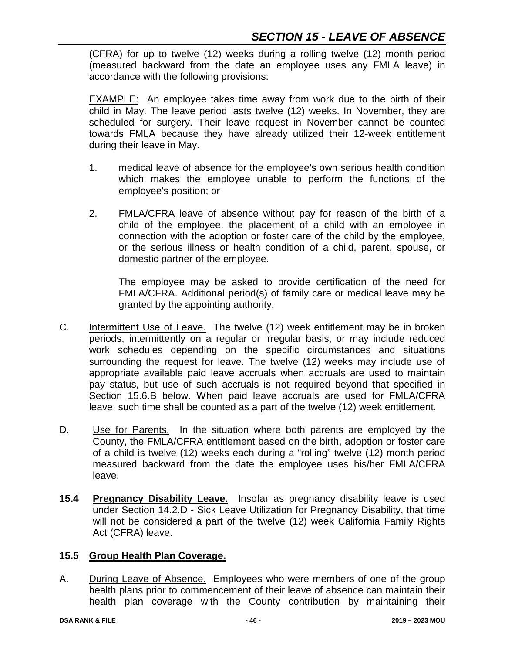(CFRA) for up to twelve (12) weeks during a rolling twelve (12) month period (measured backward from the date an employee uses any FMLA leave) in accordance with the following provisions:

**EXAMPLE:** An employee takes time away from work due to the birth of their child in May. The leave period lasts twelve (12) weeks. In November, they are scheduled for surgery. Their leave request in November cannot be counted towards FMLA because they have already utilized their 12-week entitlement during their leave in May.

- 1. medical leave of absence for the employee's own serious health condition which makes the employee unable to perform the functions of the employee's position; or
- 2. FMLA/CFRA leave of absence without pay for reason of the birth of a child of the employee, the placement of a child with an employee in connection with the adoption or foster care of the child by the employee, or the serious illness or health condition of a child, parent, spouse, or domestic partner of the employee.

The employee may be asked to provide certification of the need for FMLA/CFRA. Additional period(s) of family care or medical leave may be granted by the appointing authority.

- C. Intermittent Use of Leave. The twelve (12) week entitlement may be in broken periods, intermittently on a regular or irregular basis, or may include reduced work schedules depending on the specific circumstances and situations surrounding the request for leave. The twelve (12) weeks may include use of appropriate available paid leave accruals when accruals are used to maintain pay status, but use of such accruals is not required beyond that specified in Section 15.6.B below. When paid leave accruals are used for FMLA/CFRA leave, such time shall be counted as a part of the twelve (12) week entitlement.
- D. Use for Parents. In the situation where both parents are employed by the County, the FMLA/CFRA entitlement based on the birth, adoption or foster care of a child is twelve (12) weeks each during a "rolling" twelve (12) month period measured backward from the date the employee uses his/her FMLA/CFRA leave.
- **15.4 Pregnancy Disability Leave.** Insofar as pregnancy disability leave is used under Section 14.2.D - Sick Leave Utilization for Pregnancy Disability, that time will not be considered a part of the twelve (12) week California Family Rights Act (CFRA) leave.

# **15.5 Group Health Plan Coverage.**

A. During Leave of Absence. Employees who were members of one of the group health plans prior to commencement of their leave of absence can maintain their health plan coverage with the County contribution by maintaining their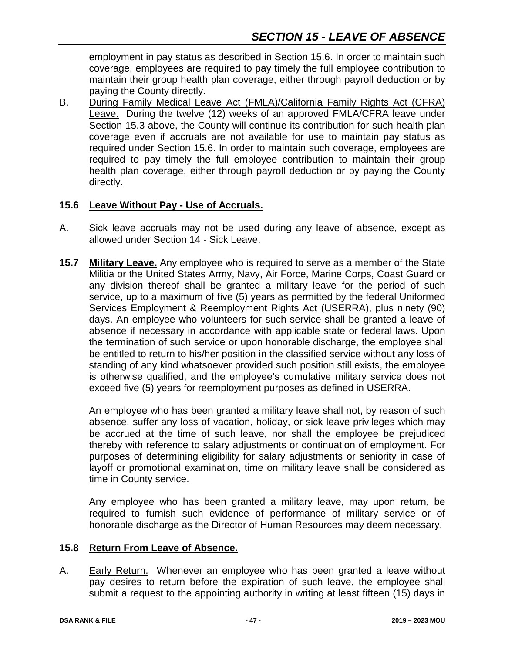employment in pay status as described in Section 15.6. In order to maintain such coverage, employees are required to pay timely the full employee contribution to maintain their group health plan coverage, either through payroll deduction or by paying the County directly.

B. During Family Medical Leave Act (FMLA)/California Family Rights Act (CFRA) Leave. During the twelve (12) weeks of an approved FMLA/CFRA leave under Section 15.3 above, the County will continue its contribution for such health plan coverage even if accruals are not available for use to maintain pay status as required under Section 15.6. In order to maintain such coverage, employees are required to pay timely the full employee contribution to maintain their group health plan coverage, either through payroll deduction or by paying the County directly.

## **15.6 Leave Without Pay - Use of Accruals.**

- A. Sick leave accruals may not be used during any leave of absence, except as allowed under Section 14 - Sick Leave.
- **15.7 Military Leave.** Any employee who is required to serve as a member of the State Militia or the United States Army, Navy, Air Force, Marine Corps, Coast Guard or any division thereof shall be granted a military leave for the period of such service, up to a maximum of five (5) years as permitted by the federal Uniformed Services Employment & Reemployment Rights Act (USERRA), plus ninety (90) days. An employee who volunteers for such service shall be granted a leave of absence if necessary in accordance with applicable state or federal laws. Upon the termination of such service or upon honorable discharge, the employee shall be entitled to return to his/her position in the classified service without any loss of standing of any kind whatsoever provided such position still exists, the employee is otherwise qualified, and the employee's cumulative military service does not exceed five (5) years for reemployment purposes as defined in USERRA.

An employee who has been granted a military leave shall not, by reason of such absence, suffer any loss of vacation, holiday, or sick leave privileges which may be accrued at the time of such leave, nor shall the employee be prejudiced thereby with reference to salary adjustments or continuation of employment. For purposes of determining eligibility for salary adjustments or seniority in case of layoff or promotional examination, time on military leave shall be considered as time in County service.

Any employee who has been granted a military leave, may upon return, be required to furnish such evidence of performance of military service or of honorable discharge as the Director of Human Resources may deem necessary.

#### **15.8 Return From Leave of Absence.**

A. Early Return. Whenever an employee who has been granted a leave without pay desires to return before the expiration of such leave, the employee shall submit a request to the appointing authority in writing at least fifteen (15) days in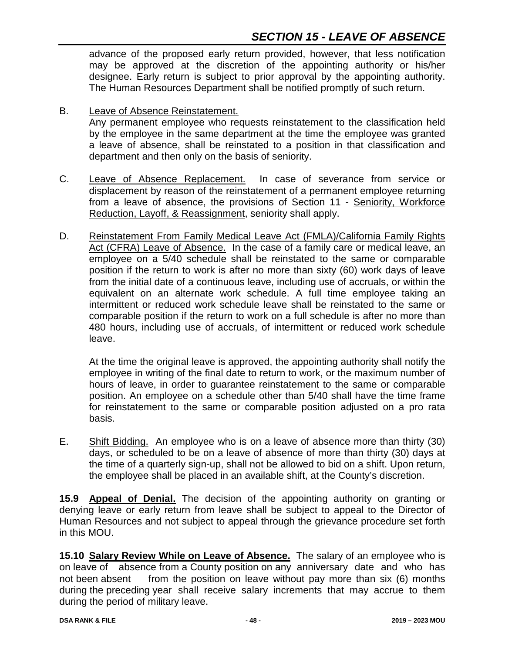advance of the proposed early return provided, however, that less notification may be approved at the discretion of the appointing authority or his/her designee. Early return is subject to prior approval by the appointing authority. The Human Resources Department shall be notified promptly of such return.

B. Leave of Absence Reinstatement.

Any permanent employee who requests reinstatement to the classification held by the employee in the same department at the time the employee was granted a leave of absence, shall be reinstated to a position in that classification and department and then only on the basis of seniority.

- C. Leave of Absence Replacement. In case of severance from service or displacement by reason of the reinstatement of a permanent employee returning from a leave of absence, the provisions of Section 11 - Seniority, Workforce Reduction, Layoff, & Reassignment, seniority shall apply.
- D. Reinstatement From Family Medical Leave Act (FMLA)/California Family Rights Act (CFRA) Leave of Absence. In the case of a family care or medical leave, an employee on a 5/40 schedule shall be reinstated to the same or comparable position if the return to work is after no more than sixty (60) work days of leave from the initial date of a continuous leave, including use of accruals, or within the equivalent on an alternate work schedule. A full time employee taking an intermittent or reduced work schedule leave shall be reinstated to the same or comparable position if the return to work on a full schedule is after no more than 480 hours, including use of accruals, of intermittent or reduced work schedule leave.

At the time the original leave is approved, the appointing authority shall notify the employee in writing of the final date to return to work, or the maximum number of hours of leave, in order to guarantee reinstatement to the same or comparable position. An employee on a schedule other than 5/40 shall have the time frame for reinstatement to the same or comparable position adjusted on a pro rata basis.

E. Shift Bidding. An employee who is on a leave of absence more than thirty (30) days, or scheduled to be on a leave of absence of more than thirty (30) days at the time of a quarterly sign-up, shall not be allowed to bid on a shift. Upon return, the employee shall be placed in an available shift, at the County's discretion.

**15.9 Appeal of Denial.** The decision of the appointing authority on granting or denying leave or early return from leave shall be subject to appeal to the Director of Human Resources and not subject to appeal through the grievance procedure set forth in this MOU.

**15.10 Salary Review While on Leave of Absence.** The salary of an employee who is on leave of absence from a County position on any anniversary date and who has not been absent from the position on leave without pay more than six (6) months during the preceding year shall receive salary increments that may accrue to them during the period of military leave.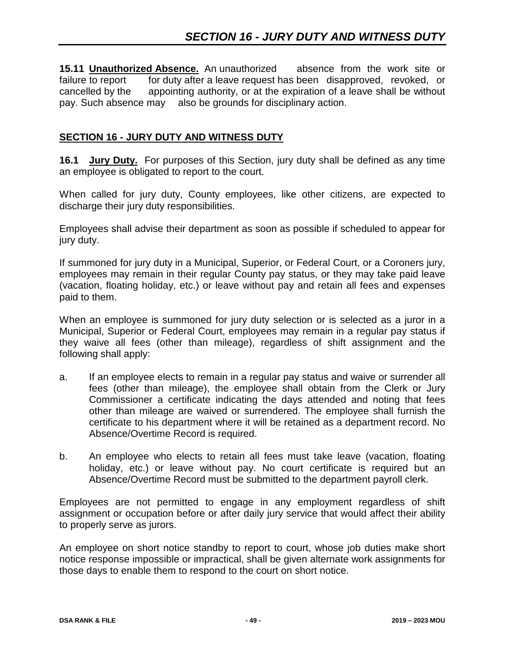**15.11 Unauthorized Absence.** An unauthorized absence from the work site or failure to report for duty after a leave request has been disapproved, revoked, or cancelled by the appointing authority, or at the expiration of a leave shall be without pay. Such absence may also be grounds for disciplinary action.

## **SECTION 16 - JURY DUTY AND WITNESS DUTY**

**16.1 Jury Duty.** For purposes of this Section, jury duty shall be defined as any time an employee is obligated to report to the court.

When called for jury duty, County employees, like other citizens, are expected to discharge their jury duty responsibilities.

Employees shall advise their department as soon as possible if scheduled to appear for jury duty.

If summoned for jury duty in a Municipal, Superior, or Federal Court, or a Coroners jury, employees may remain in their regular County pay status, or they may take paid leave (vacation, floating holiday, etc.) or leave without pay and retain all fees and expenses paid to them.

When an employee is summoned for jury duty selection or is selected as a juror in a Municipal, Superior or Federal Court, employees may remain in a regular pay status if they waive all fees (other than mileage), regardless of shift assignment and the following shall apply:

- a. If an employee elects to remain in a regular pay status and waive or surrender all fees (other than mileage), the employee shall obtain from the Clerk or Jury Commissioner a certificate indicating the days attended and noting that fees other than mileage are waived or surrendered. The employee shall furnish the certificate to his department where it will be retained as a department record. No Absence/Overtime Record is required.
- b. An employee who elects to retain all fees must take leave (vacation, floating holiday, etc.) or leave without pay. No court certificate is required but an Absence/Overtime Record must be submitted to the department payroll clerk.

Employees are not permitted to engage in any employment regardless of shift assignment or occupation before or after daily jury service that would affect their ability to properly serve as jurors.

An employee on short notice standby to report to court, whose job duties make short notice response impossible or impractical, shall be given alternate work assignments for those days to enable them to respond to the court on short notice.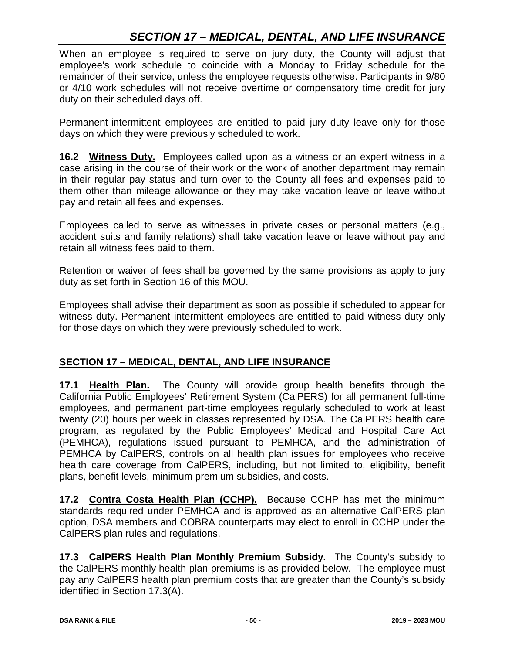# *SECTION 17 – MEDICAL, DENTAL, AND LIFE INSURANCE*

When an employee is required to serve on jury duty, the County will adjust that employee's work schedule to coincide with a Monday to Friday schedule for the remainder of their service, unless the employee requests otherwise. Participants in 9/80 or 4/10 work schedules will not receive overtime or compensatory time credit for jury duty on their scheduled days off.

Permanent-intermittent employees are entitled to paid jury duty leave only for those days on which they were previously scheduled to work.

**16.2 Witness Duty.** Employees called upon as a witness or an expert witness in a case arising in the course of their work or the work of another department may remain in their regular pay status and turn over to the County all fees and expenses paid to them other than mileage allowance or they may take vacation leave or leave without pay and retain all fees and expenses.

Employees called to serve as witnesses in private cases or personal matters (e.g., accident suits and family relations) shall take vacation leave or leave without pay and retain all witness fees paid to them.

Retention or waiver of fees shall be governed by the same provisions as apply to jury duty as set forth in Section 16 of this MOU.

Employees shall advise their department as soon as possible if scheduled to appear for witness duty. Permanent intermittent employees are entitled to paid witness duty only for those days on which they were previously scheduled to work.

#### **SECTION 17 – MEDICAL, DENTAL, AND LIFE INSURANCE**

**17.1 Health Plan.** The County will provide group health benefits through the California Public Employees' Retirement System (CalPERS) for all permanent full-time employees, and permanent part-time employees regularly scheduled to work at least twenty (20) hours per week in classes represented by DSA. The CalPERS health care program, as regulated by the Public Employees' Medical and Hospital Care Act (PEMHCA), regulations issued pursuant to PEMHCA, and the administration of PEMHCA by CalPERS, controls on all health plan issues for employees who receive health care coverage from CalPERS, including, but not limited to, eligibility, benefit plans, benefit levels, minimum premium subsidies, and costs.

**17.2 Contra Costa Health Plan (CCHP).** Because CCHP has met the minimum standards required under PEMHCA and is approved as an alternative CalPERS plan option, DSA members and COBRA counterparts may elect to enroll in CCHP under the CalPERS plan rules and regulations.

**17.3 CalPERS Health Plan Monthly Premium Subsidy.** The County's subsidy to the CalPERS monthly health plan premiums is as provided below. The employee must pay any CalPERS health plan premium costs that are greater than the County's subsidy identified in Section 17.3(A).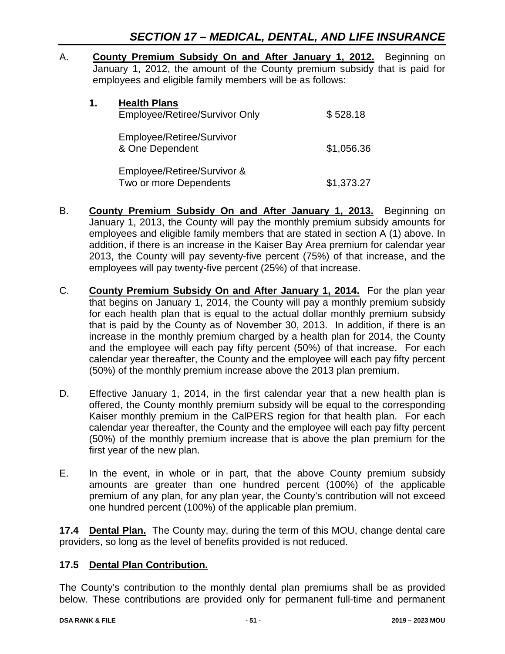A. **County Premium Subsidy On and After January 1, 2012.** Beginning on January 1, 2012, the amount of the County premium subsidy that is paid for employees and eligible family members will be as follows:

| 1. | <b>Health Plans</b><br>Employee/Retiree/Survivor Only | \$528.18   |
|----|-------------------------------------------------------|------------|
|    | Employee/Retiree/Survivor<br>& One Dependent          | \$1,056.36 |
|    | Employee/Retiree/Survivor &<br>Two or more Dependents | \$1,373.27 |

- B. **County Premium Subsidy On and After January 1, 2013.** Beginning on January 1, 2013, the County will pay the monthly premium subsidy amounts for employees and eligible family members that are stated in section A (1) above. In addition, if there is an increase in the Kaiser Bay Area premium for calendar year 2013, the County will pay seventy-five percent (75%) of that increase, and the employees will pay twenty-five percent (25%) of that increase.
- C. **County Premium Subsidy On and After January 1, 2014.** For the plan year that begins on January 1, 2014, the County will pay a monthly premium subsidy for each health plan that is equal to the actual dollar monthly premium subsidy that is paid by the County as of November 30, 2013. In addition, if there is an increase in the monthly premium charged by a health plan for 2014, the County and the employee will each pay fifty percent (50%) of that increase. For each calendar year thereafter, the County and the employee will each pay fifty percent (50%) of the monthly premium increase above the 2013 plan premium.
- D. Effective January 1, 2014, in the first calendar year that a new health plan is offered, the County monthly premium subsidy will be equal to the corresponding Kaiser monthly premium in the CalPERS region for that health plan. For each calendar year thereafter, the County and the employee will each pay fifty percent (50%) of the monthly premium increase that is above the plan premium for the first year of the new plan.
- E. In the event, in whole or in part, that the above County premium subsidy amounts are greater than one hundred percent (100%) of the applicable premium of any plan, for any plan year, the County's contribution will not exceed one hundred percent (100%) of the applicable plan premium.

**17.4 Dental Plan.** The County may, during the term of this MOU, change dental care providers, so long as the level of benefits provided is not reduced.

# **17.5 Dental Plan Contribution.**

The County's contribution to the monthly dental plan premiums shall be as provided below. These contributions are provided only for permanent full-time and permanent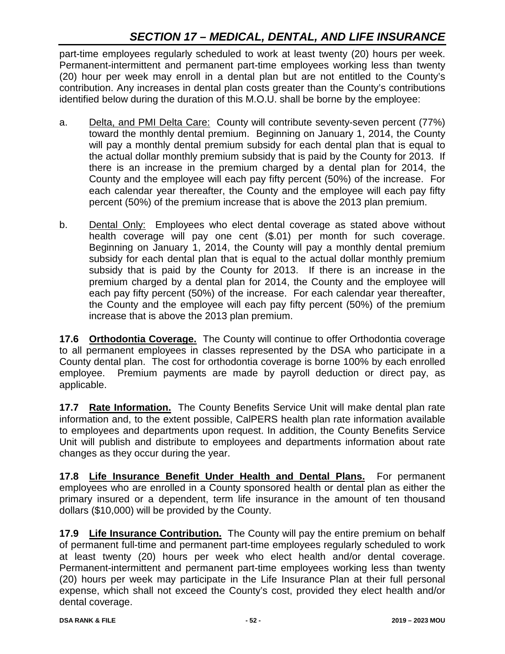# *SECTION 17 – MEDICAL, DENTAL, AND LIFE INSURANCE*

part-time employees regularly scheduled to work at least twenty (20) hours per week. Permanent-intermittent and permanent part-time employees working less than twenty (20) hour per week may enroll in a dental plan but are not entitled to the County's contribution. Any increases in dental plan costs greater than the County's contributions identified below during the duration of this M.O.U. shall be borne by the employee:

- a. Delta, and PMI Delta Care: County will contribute seventy-seven percent (77%) toward the monthly dental premium. Beginning on January 1, 2014, the County will pay a monthly dental premium subsidy for each dental plan that is equal to the actual dollar monthly premium subsidy that is paid by the County for 2013. If there is an increase in the premium charged by a dental plan for 2014, the County and the employee will each pay fifty percent (50%) of the increase. For each calendar year thereafter, the County and the employee will each pay fifty percent (50%) of the premium increase that is above the 2013 plan premium.
- b. Dental Only: Employees who elect dental coverage as stated above without health coverage will pay one cent (\$.01) per month for such coverage. Beginning on January 1, 2014, the County will pay a monthly dental premium subsidy for each dental plan that is equal to the actual dollar monthly premium subsidy that is paid by the County for 2013. If there is an increase in the premium charged by a dental plan for 2014, the County and the employee will each pay fifty percent (50%) of the increase. For each calendar year thereafter, the County and the employee will each pay fifty percent (50%) of the premium increase that is above the 2013 plan premium.

**17.6 Orthodontia Coverage.** The County will continue to offer Orthodontia coverage to all permanent employees in classes represented by the DSA who participate in a County dental plan. The cost for orthodontia coverage is borne 100% by each enrolled employee. Premium payments are made by payroll deduction or direct pay, as applicable.

**17.7 Rate Information.** The County Benefits Service Unit will make dental plan rate information and, to the extent possible, CalPERS health plan rate information available to employees and departments upon request. In addition, the County Benefits Service Unit will publish and distribute to employees and departments information about rate changes as they occur during the year.

**17.8 Life Insurance Benefit Under Health and Dental Plans.** For permanent employees who are enrolled in a County sponsored health or dental plan as either the primary insured or a dependent, term life insurance in the amount of ten thousand dollars (\$10,000) will be provided by the County.

**17.9 Life Insurance Contribution.** The County will pay the entire premium on behalf of permanent full-time and permanent part-time employees regularly scheduled to work at least twenty (20) hours per week who elect health and/or dental coverage. Permanent-intermittent and permanent part-time employees working less than twenty (20) hours per week may participate in the Life Insurance Plan at their full personal expense, which shall not exceed the County's cost, provided they elect health and/or dental coverage.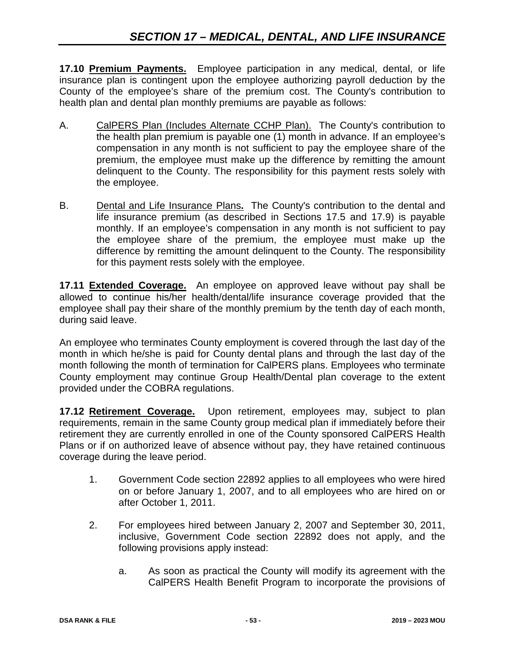**17.10 Premium Payments.** Employee participation in any medical, dental, or life insurance plan is contingent upon the employee authorizing payroll deduction by the County of the employee's share of the premium cost. The County's contribution to health plan and dental plan monthly premiums are payable as follows:

- A. CalPERS Plan (Includes Alternate CCHP Plan). The County's contribution to the health plan premium is payable one (1) month in advance. If an employee's compensation in any month is not sufficient to pay the employee share of the premium, the employee must make up the difference by remitting the amount delinquent to the County. The responsibility for this payment rests solely with the employee.
- B. Dental and Life Insurance Plans**.** The County's contribution to the dental and life insurance premium (as described in Sections 17.5 and 17.9) is payable monthly. If an employee's compensation in any month is not sufficient to pay the employee share of the premium, the employee must make up the difference by remitting the amount delinquent to the County. The responsibility for this payment rests solely with the employee.

**17.11 Extended Coverage.** An employee on approved leave without pay shall be allowed to continue his/her health/dental/life insurance coverage provided that the employee shall pay their share of the monthly premium by the tenth day of each month, during said leave.

An employee who terminates County employment is covered through the last day of the month in which he/she is paid for County dental plans and through the last day of the month following the month of termination for CalPERS plans. Employees who terminate County employment may continue Group Health/Dental plan coverage to the extent provided under the COBRA regulations.

**17.12 Retirement Coverage.** Upon retirement, employees may, subject to plan requirements, remain in the same County group medical plan if immediately before their retirement they are currently enrolled in one of the County sponsored CalPERS Health Plans or if on authorized leave of absence without pay, they have retained continuous coverage during the leave period.

- 1. Government Code section 22892 applies to all employees who were hired on or before January 1, 2007, and to all employees who are hired on or after October 1, 2011.
- 2. For employees hired between January 2, 2007 and September 30, 2011, inclusive, Government Code section 22892 does not apply, and the following provisions apply instead:
	- a. As soon as practical the County will modify its agreement with the CalPERS Health Benefit Program to incorporate the provisions of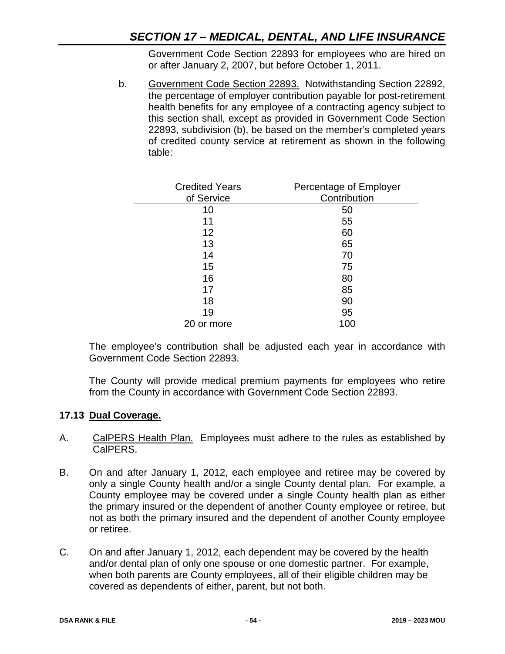Government Code Section 22893 for employees who are hired on or after January 2, 2007, but before October 1, 2011.

b. Government Code Section 22893. Notwithstanding Section 22892, the percentage of employer contribution payable for post-retirement health benefits for any employee of a contracting agency subject to this section shall, except as provided in Government Code Section 22893, subdivision (b), be based on the member's completed years of credited county service at retirement as shown in the following table:

| <b>Credited Years</b><br>of Service | Percentage of Employer<br>Contribution |
|-------------------------------------|----------------------------------------|
| 10                                  | 50                                     |
| 11                                  | 55                                     |
| 12                                  | 60                                     |
| 13                                  | 65                                     |
| 14                                  | 70                                     |
| 15                                  | 75                                     |
| 16                                  | 80                                     |
| 17                                  | 85                                     |
| 18                                  | 90                                     |
| 19                                  | 95                                     |
| 20 or more                          | 100                                    |

The employee's contribution shall be adjusted each year in accordance with Government Code Section 22893.

The County will provide medical premium payments for employees who retire from the County in accordance with Government Code Section 22893.

# **17.13 Dual Coverage.**

- A. CalPERS Health Plan. Employees must adhere to the rules as established by CalPERS.
- B. On and after January 1, 2012, each employee and retiree may be covered by only a single County health and/or a single County dental plan. For example, a County employee may be covered under a single County health plan as either the primary insured or the dependent of another County employee or retiree, but not as both the primary insured and the dependent of another County employee or retiree.
- C. On and after January 1, 2012, each dependent may be covered by the health and/or dental plan of only one spouse or one domestic partner. For example, when both parents are County employees, all of their eligible children may be covered as dependents of either, parent, but not both.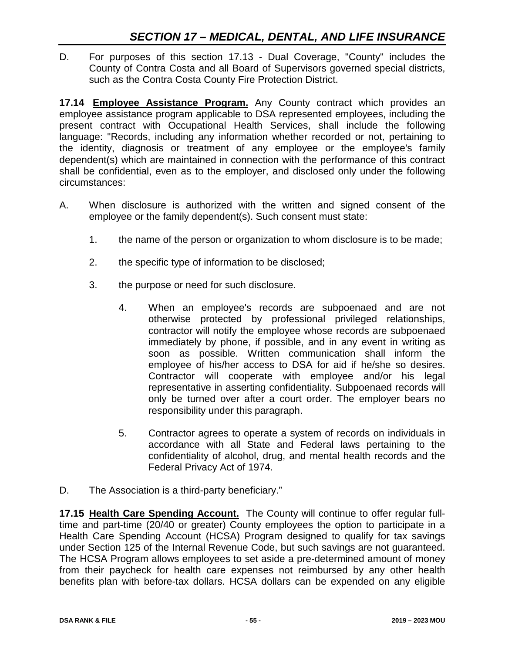D. For purposes of this section 17.13 - Dual Coverage, "County" includes the County of Contra Costa and all Board of Supervisors governed special districts, such as the Contra Costa County Fire Protection District.

**17.14 Employee Assistance Program.** Any County contract which provides an employee assistance program applicable to DSA represented employees, including the present contract with Occupational Health Services, shall include the following language: "Records, including any information whether recorded or not, pertaining to the identity, diagnosis or treatment of any employee or the employee's family dependent(s) which are maintained in connection with the performance of this contract shall be confidential, even as to the employer, and disclosed only under the following circumstances:

- A. When disclosure is authorized with the written and signed consent of the employee or the family dependent(s). Such consent must state:
	- 1. the name of the person or organization to whom disclosure is to be made;
	- 2. the specific type of information to be disclosed;
	- 3. the purpose or need for such disclosure.
		- 4. When an employee's records are subpoenaed and are not otherwise protected by professional privileged relationships, contractor will notify the employee whose records are subpoenaed immediately by phone, if possible, and in any event in writing as soon as possible. Written communication shall inform the employee of his/her access to DSA for aid if he/she so desires. Contractor will cooperate with employee and/or his legal representative in asserting confidentiality. Subpoenaed records will only be turned over after a court order. The employer bears no responsibility under this paragraph.
		- 5. Contractor agrees to operate a system of records on individuals in accordance with all State and Federal laws pertaining to the confidentiality of alcohol, drug, and mental health records and the Federal Privacy Act of 1974.
- D. The Association is a third-party beneficiary."

**17.15 Health Care Spending Account.** The County will continue to offer regular fulltime and part-time (20/40 or greater) County employees the option to participate in a Health Care Spending Account (HCSA) Program designed to qualify for tax savings under Section 125 of the Internal Revenue Code, but such savings are not guaranteed. The HCSA Program allows employees to set aside a pre-determined amount of money from their paycheck for health care expenses not reimbursed by any other health benefits plan with before-tax dollars. HCSA dollars can be expended on any eligible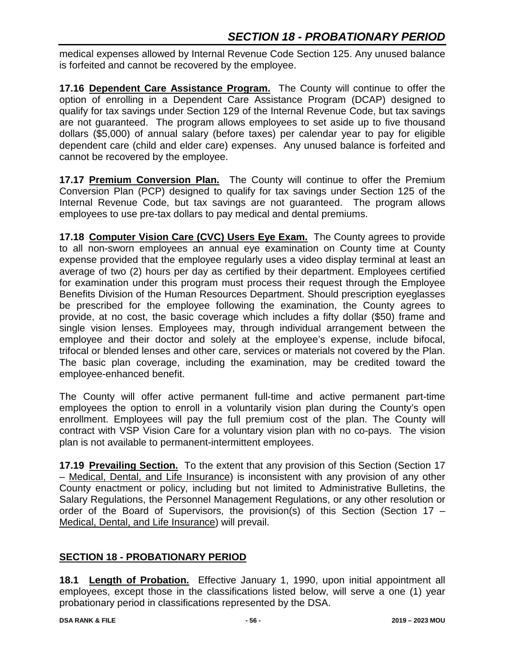medical expenses allowed by Internal Revenue Code Section 125. Any unused balance is forfeited and cannot be recovered by the employee.

**17.16 Dependent Care Assistance Program.** The County will continue to offer the option of enrolling in a Dependent Care Assistance Program (DCAP) designed to qualify for tax savings under Section 129 of the Internal Revenue Code, but tax savings are not guaranteed. The program allows employees to set aside up to five thousand dollars (\$5,000) of annual salary (before taxes) per calendar year to pay for eligible dependent care (child and elder care) expenses. Any unused balance is forfeited and cannot be recovered by the employee.

**17.17 Premium Conversion Plan.** The County will continue to offer the Premium Conversion Plan (PCP) designed to qualify for tax savings under Section 125 of the Internal Revenue Code, but tax savings are not guaranteed. The program allows employees to use pre-tax dollars to pay medical and dental premiums.

**17.18 Computer Vision Care (CVC) Users Eye Exam.** The County agrees to provide to all non-sworn employees an annual eye examination on County time at County expense provided that the employee regularly uses a video display terminal at least an average of two (2) hours per day as certified by their department. Employees certified for examination under this program must process their request through the Employee Benefits Division of the Human Resources Department. Should prescription eyeglasses be prescribed for the employee following the examination, the County agrees to provide, at no cost, the basic coverage which includes a fifty dollar (\$50) frame and single vision lenses. Employees may, through individual arrangement between the employee and their doctor and solely at the employee's expense, include bifocal, trifocal or blended lenses and other care, services or materials not covered by the Plan. The basic plan coverage, including the examination, may be credited toward the employee-enhanced benefit.

The County will offer active permanent full-time and active permanent part-time employees the option to enroll in a voluntarily vision plan during the County's open enrollment. Employees will pay the full premium cost of the plan. The County will contract with VSP Vision Care for a voluntary vision plan with no co-pays. The vision plan is not available to permanent-intermittent employees.

**17.19 Prevailing Section.** To the extent that any provision of this Section (Section 17 – Medical, Dental, and Life Insurance) is inconsistent with any provision of any other County enactment or policy, including but not limited to Administrative Bulletins, the Salary Regulations, the Personnel Management Regulations, or any other resolution or order of the Board of Supervisors, the provision(s) of this Section (Section 17 – Medical, Dental, and Life Insurance) will prevail.

# **SECTION 18 - PROBATIONARY PERIOD**

**18.1 Length of Probation.** Effective January 1, 1990, upon initial appointment all employees, except those in the classifications listed below, will serve a one (1) year probationary period in classifications represented by the DSA.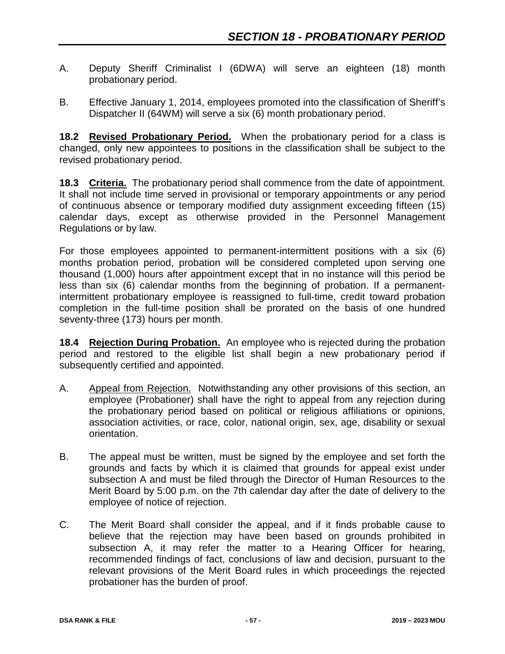- A. Deputy Sheriff Criminalist I (6DWA) will serve an eighteen (18) month probationary period.
- B. Effective January 1, 2014, employees promoted into the classification of Sheriff's Dispatcher II (64WM) will serve a six (6) month probationary period.

**18.2 Revised Probationary Period.** When the probationary period for a class is changed, only new appointees to positions in the classification shall be subject to the revised probationary period.

**18.3 Criteria.** The probationary period shall commence from the date of appointment. It shall not include time served in provisional or temporary appointments or any period of continuous absence or temporary modified duty assignment exceeding fifteen (15) calendar days, except as otherwise provided in the Personnel Management Regulations or by law.

For those employees appointed to permanent-intermittent positions with a six (6) months probation period, probation will be considered completed upon serving one thousand (1,000) hours after appointment except that in no instance will this period be less than six (6) calendar months from the beginning of probation. If a permanentintermittent probationary employee is reassigned to full-time, credit toward probation completion in the full-time position shall be prorated on the basis of one hundred seventy-three (173) hours per month.

**18.4 Rejection During Probation.** An employee who is rejected during the probation period and restored to the eligible list shall begin a new probationary period if subsequently certified and appointed.

- A. Appeal from Rejection. Notwithstanding any other provisions of this section, an employee (Probationer) shall have the right to appeal from any rejection during the probationary period based on political or religious affiliations or opinions, association activities, or race, color, national origin, sex, age, disability or sexual orientation.
- B. The appeal must be written, must be signed by the employee and set forth the grounds and facts by which it is claimed that grounds for appeal exist under subsection A and must be filed through the Director of Human Resources to the Merit Board by 5:00 p.m. on the 7th calendar day after the date of delivery to the employee of notice of rejection.
- C. The Merit Board shall consider the appeal, and if it finds probable cause to believe that the rejection may have been based on grounds prohibited in subsection A, it may refer the matter to a Hearing Officer for hearing, recommended findings of fact, conclusions of law and decision, pursuant to the relevant provisions of the Merit Board rules in which proceedings the rejected probationer has the burden of proof.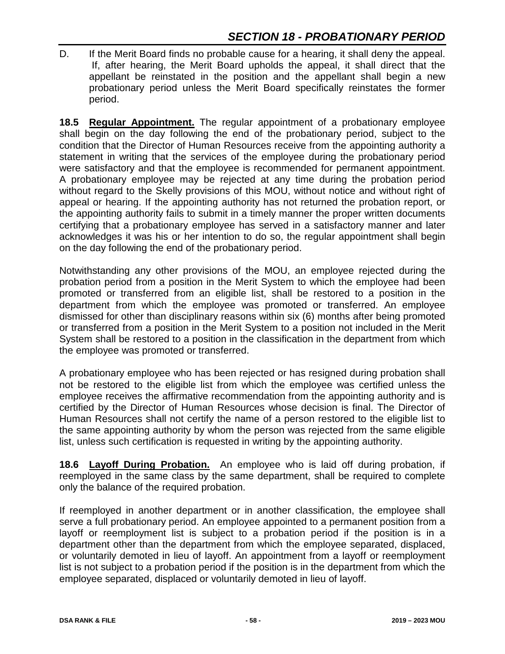D. If the Merit Board finds no probable cause for a hearing, it shall deny the appeal. If, after hearing, the Merit Board upholds the appeal, it shall direct that the appellant be reinstated in the position and the appellant shall begin a new probationary period unless the Merit Board specifically reinstates the former period.

**18.5 Regular Appointment.** The regular appointment of a probationary employee shall begin on the day following the end of the probationary period, subject to the condition that the Director of Human Resources receive from the appointing authority a statement in writing that the services of the employee during the probationary period were satisfactory and that the employee is recommended for permanent appointment. A probationary employee may be rejected at any time during the probation period without regard to the Skelly provisions of this MOU, without notice and without right of appeal or hearing. If the appointing authority has not returned the probation report, or the appointing authority fails to submit in a timely manner the proper written documents certifying that a probationary employee has served in a satisfactory manner and later acknowledges it was his or her intention to do so, the regular appointment shall begin on the day following the end of the probationary period.

Notwithstanding any other provisions of the MOU, an employee rejected during the probation period from a position in the Merit System to which the employee had been promoted or transferred from an eligible list, shall be restored to a position in the department from which the employee was promoted or transferred. An employee dismissed for other than disciplinary reasons within six (6) months after being promoted or transferred from a position in the Merit System to a position not included in the Merit System shall be restored to a position in the classification in the department from which the employee was promoted or transferred.

A probationary employee who has been rejected or has resigned during probation shall not be restored to the eligible list from which the employee was certified unless the employee receives the affirmative recommendation from the appointing authority and is certified by the Director of Human Resources whose decision is final. The Director of Human Resources shall not certify the name of a person restored to the eligible list to the same appointing authority by whom the person was rejected from the same eligible list, unless such certification is requested in writing by the appointing authority.

**18.6 Layoff During Probation.** An employee who is laid off during probation, if reemployed in the same class by the same department, shall be required to complete only the balance of the required probation.

If reemployed in another department or in another classification, the employee shall serve a full probationary period. An employee appointed to a permanent position from a layoff or reemployment list is subject to a probation period if the position is in a department other than the department from which the employee separated, displaced, or voluntarily demoted in lieu of layoff. An appointment from a layoff or reemployment list is not subject to a probation period if the position is in the department from which the employee separated, displaced or voluntarily demoted in lieu of layoff.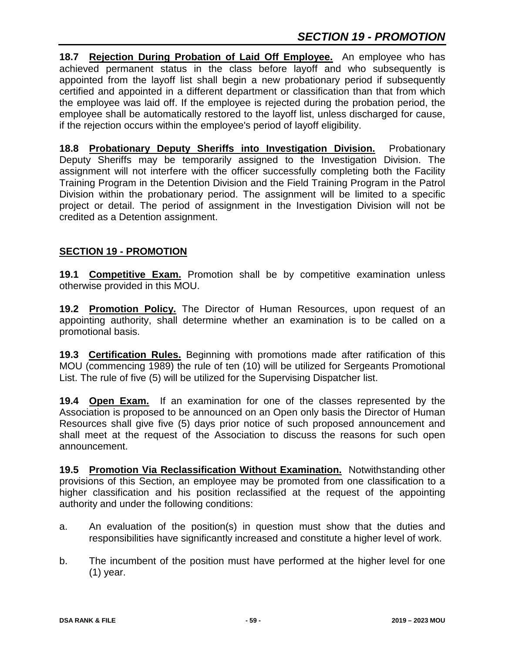**18.7 Rejection During Probation of Laid Off Employee.** An employee who has achieved permanent status in the class before layoff and who subsequently is appointed from the layoff list shall begin a new probationary period if subsequently certified and appointed in a different department or classification than that from which the employee was laid off. If the employee is rejected during the probation period, the employee shall be automatically restored to the layoff list, unless discharged for cause, if the rejection occurs within the employee's period of layoff eligibility.

**18.8 Probationary Deputy Sheriffs into Investigation Division.** Probationary Deputy Sheriffs may be temporarily assigned to the Investigation Division. The assignment will not interfere with the officer successfully completing both the Facility Training Program in the Detention Division and the Field Training Program in the Patrol Division within the probationary period. The assignment will be limited to a specific project or detail. The period of assignment in the Investigation Division will not be credited as a Detention assignment.

# **SECTION 19 - PROMOTION**

**19.1 Competitive Exam.** Promotion shall be by competitive examination unless otherwise provided in this MOU.

**19.2 Promotion Policy.** The Director of Human Resources, upon request of an appointing authority, shall determine whether an examination is to be called on a promotional basis.

**19.3 Certification Rules.** Beginning with promotions made after ratification of this MOU (commencing 1989) the rule of ten (10) will be utilized for Sergeants Promotional List. The rule of five (5) will be utilized for the Supervising Dispatcher list.

**19.4 Open Exam.** If an examination for one of the classes represented by the Association is proposed to be announced on an Open only basis the Director of Human Resources shall give five (5) days prior notice of such proposed announcement and shall meet at the request of the Association to discuss the reasons for such open announcement.

**19.5 Promotion Via Reclassification Without Examination.** Notwithstanding other provisions of this Section, an employee may be promoted from one classification to a higher classification and his position reclassified at the request of the appointing authority and under the following conditions:

- a. An evaluation of the position(s) in question must show that the duties and responsibilities have significantly increased and constitute a higher level of work.
- b. The incumbent of the position must have performed at the higher level for one (1) year.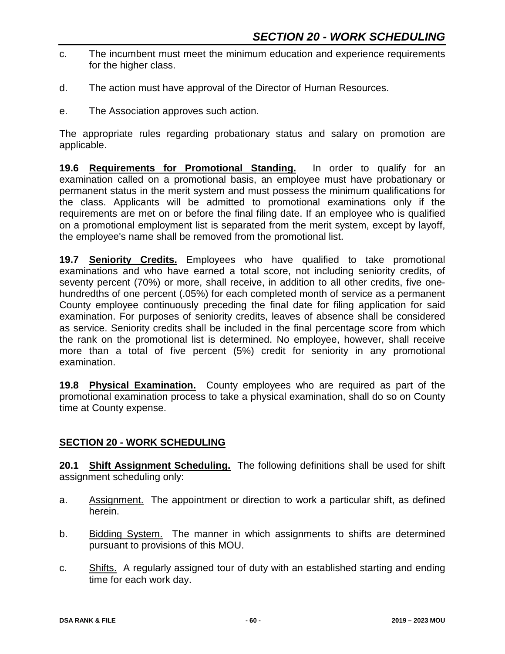- c. The incumbent must meet the minimum education and experience requirements for the higher class.
- d. The action must have approval of the Director of Human Resources.
- e. The Association approves such action.

The appropriate rules regarding probationary status and salary on promotion are applicable.

**19.6 Requirements for Promotional Standing.** In order to qualify for an examination called on a promotional basis, an employee must have probationary or permanent status in the merit system and must possess the minimum qualifications for the class. Applicants will be admitted to promotional examinations only if the requirements are met on or before the final filing date. If an employee who is qualified on a promotional employment list is separated from the merit system, except by layoff, the employee's name shall be removed from the promotional list.

**19.7 Seniority Credits.** Employees who have qualified to take promotional examinations and who have earned a total score, not including seniority credits, of seventy percent (70%) or more, shall receive, in addition to all other credits, five onehundredths of one percent (.05%) for each completed month of service as a permanent County employee continuously preceding the final date for filing application for said examination. For purposes of seniority credits, leaves of absence shall be considered as service. Seniority credits shall be included in the final percentage score from which the rank on the promotional list is determined. No employee, however, shall receive more than a total of five percent (5%) credit for seniority in any promotional examination.

**19.8 Physical Examination.** County employees who are required as part of the promotional examination process to take a physical examination, shall do so on County time at County expense.

#### **SECTION 20 - WORK SCHEDULING**

**20.1 Shift Assignment Scheduling.** The following definitions shall be used for shift assignment scheduling only:

- a. Assignment. The appointment or direction to work a particular shift, as defined herein.
- b. Bidding System. The manner in which assignments to shifts are determined pursuant to provisions of this MOU.
- c. Shifts. A regularly assigned tour of duty with an established starting and ending time for each work day.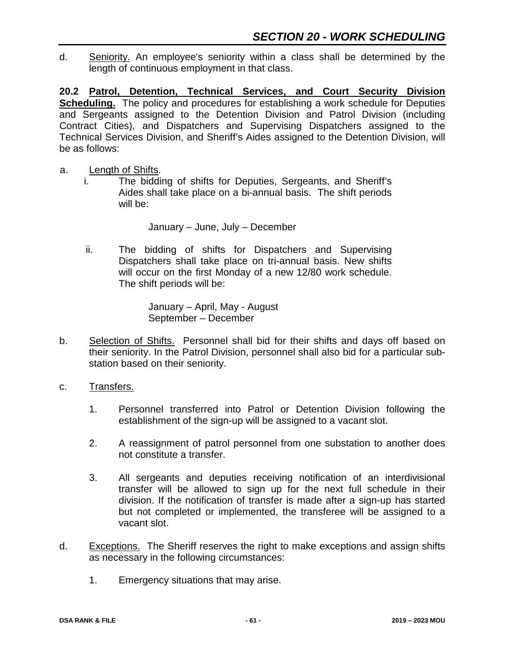d. Seniority. An employee's seniority within a class shall be determined by the length of continuous employment in that class.

**20.2 Patrol, Detention, Technical Services, and Court Security Division Scheduling.** The policy and procedures for establishing a work schedule for Deputies and Sergeants assigned to the Detention Division and Patrol Division (including Contract Cities), and Dispatchers and Supervising Dispatchers assigned to the Technical Services Division, and Sheriff's Aides assigned to the Detention Division, will be as follows:

- a. Length of Shifts.
	- i. The bidding of shifts for Deputies, Sergeants, and Sheriff's Aides shall take place on a bi-annual basis. The shift periods will be:

January – June, July – December

ii. The bidding of shifts for Dispatchers and Supervising Dispatchers shall take place on tri-annual basis. New shifts will occur on the first Monday of a new 12/80 work schedule. The shift periods will be:

> January – April, May - August September – December

- b. Selection of Shifts. Personnel shall bid for their shifts and days off based on their seniority. In the Patrol Division, personnel shall also bid for a particular substation based on their seniority.
- c. Transfers.
	- 1. Personnel transferred into Patrol or Detention Division following the establishment of the sign-up will be assigned to a vacant slot.
	- 2. A reassignment of patrol personnel from one substation to another does not constitute a transfer.
	- 3. All sergeants and deputies receiving notification of an interdivisional transfer will be allowed to sign up for the next full schedule in their division. If the notification of transfer is made after a sign-up has started but not completed or implemented, the transferee will be assigned to a vacant slot.
- d. Exceptions. The Sheriff reserves the right to make exceptions and assign shifts as necessary in the following circumstances:
	- 1. Emergency situations that may arise.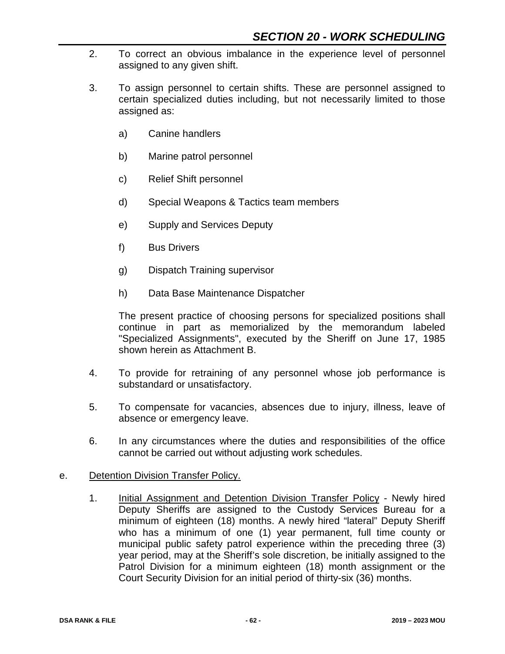- 2. To correct an obvious imbalance in the experience level of personnel assigned to any given shift.
- 3. To assign personnel to certain shifts. These are personnel assigned to certain specialized duties including, but not necessarily limited to those assigned as:
	- a) Canine handlers
	- b) Marine patrol personnel
	- c) Relief Shift personnel
	- d) Special Weapons & Tactics team members
	- e) Supply and Services Deputy
	- f) Bus Drivers
	- g) Dispatch Training supervisor
	- h) Data Base Maintenance Dispatcher

The present practice of choosing persons for specialized positions shall continue in part as memorialized by the memorandum labeled "Specialized Assignments", executed by the Sheriff on June 17, 1985 shown herein as Attachment B.

- 4. To provide for retraining of any personnel whose job performance is substandard or unsatisfactory.
- 5. To compensate for vacancies, absences due to injury, illness, leave of absence or emergency leave.
- 6. In any circumstances where the duties and responsibilities of the office cannot be carried out without adjusting work schedules.

#### e. Detention Division Transfer Policy.

1. Initial Assignment and Detention Division Transfer Policy - Newly hired Deputy Sheriffs are assigned to the Custody Services Bureau for a minimum of eighteen (18) months. A newly hired "lateral" Deputy Sheriff who has a minimum of one (1) year permanent, full time county or municipal public safety patrol experience within the preceding three (3) year period, may at the Sheriff's sole discretion, be initially assigned to the Patrol Division for a minimum eighteen (18) month assignment or the Court Security Division for an initial period of thirty-six (36) months.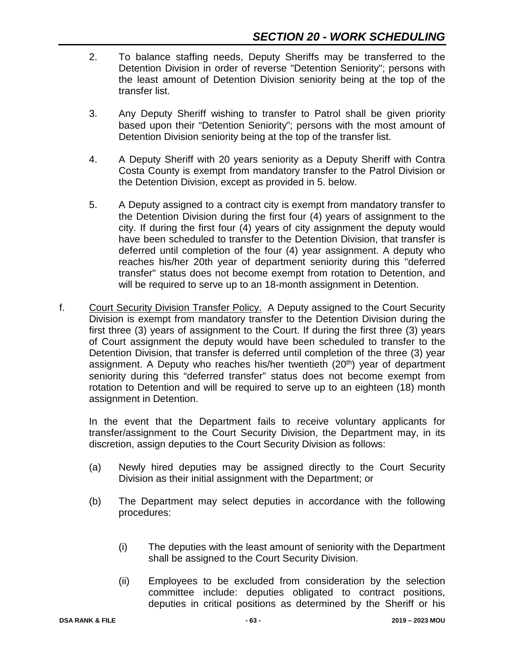- 2. To balance staffing needs, Deputy Sheriffs may be transferred to the Detention Division in order of reverse "Detention Seniority"; persons with the least amount of Detention Division seniority being at the top of the transfer list.
- 3. Any Deputy Sheriff wishing to transfer to Patrol shall be given priority based upon their "Detention Seniority"; persons with the most amount of Detention Division seniority being at the top of the transfer list.
- 4. A Deputy Sheriff with 20 years seniority as a Deputy Sheriff with Contra Costa County is exempt from mandatory transfer to the Patrol Division or the Detention Division, except as provided in 5. below.
- 5. A Deputy assigned to a contract city is exempt from mandatory transfer to the Detention Division during the first four (4) years of assignment to the city. If during the first four  $(4)$  years of city assignment the deputy would have been scheduled to transfer to the Detention Division, that transfer is deferred until completion of the four (4) year assignment. A deputy who reaches his/her 20th year of department seniority during this "deferred transfer" status does not become exempt from rotation to Detention, and will be required to serve up to an 18-month assignment in Detention.
- f. Court Security Division Transfer Policy. A Deputy assigned to the Court Security Division is exempt from mandatory transfer to the Detention Division during the first three (3) years of assignment to the Court. If during the first three (3) years of Court assignment the deputy would have been scheduled to transfer to the Detention Division, that transfer is deferred until completion of the three (3) year assignment. A Deputy who reaches his/her twentieth (20<sup>th</sup>) year of department seniority during this "deferred transfer" status does not become exempt from rotation to Detention and will be required to serve up to an eighteen (18) month assignment in Detention.

In the event that the Department fails to receive voluntary applicants for transfer/assignment to the Court Security Division, the Department may, in its discretion, assign deputies to the Court Security Division as follows:

- (a) Newly hired deputies may be assigned directly to the Court Security Division as their initial assignment with the Department; or
- (b) The Department may select deputies in accordance with the following procedures:
	- (i) The deputies with the least amount of seniority with the Department shall be assigned to the Court Security Division.
	- (ii) Employees to be excluded from consideration by the selection committee include: deputies obligated to contract positions, deputies in critical positions as determined by the Sheriff or his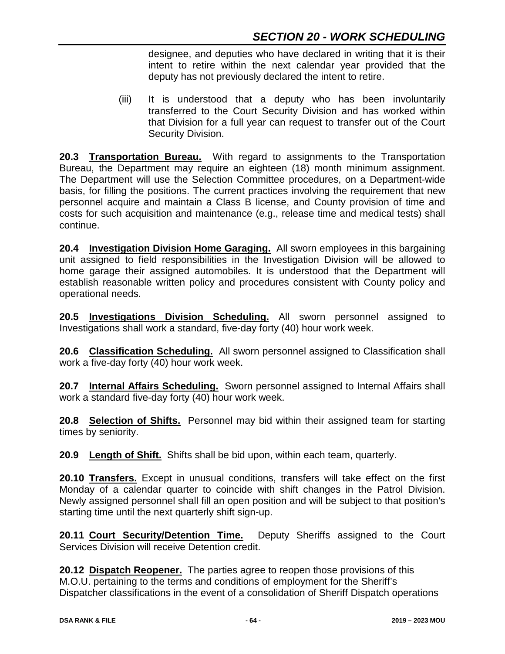designee, and deputies who have declared in writing that it is their intent to retire within the next calendar year provided that the deputy has not previously declared the intent to retire.

(iii) It is understood that a deputy who has been involuntarily transferred to the Court Security Division and has worked within that Division for a full year can request to transfer out of the Court Security Division.

**20.3 Transportation Bureau.** With regard to assignments to the Transportation Bureau, the Department may require an eighteen (18) month minimum assignment. The Department will use the Selection Committee procedures, on a Department-wide basis, for filling the positions. The current practices involving the requirement that new personnel acquire and maintain a Class B license, and County provision of time and costs for such acquisition and maintenance (e.g., release time and medical tests) shall continue.

**20.4 Investigation Division Home Garaging.** All sworn employees in this bargaining unit assigned to field responsibilities in the Investigation Division will be allowed to home garage their assigned automobiles. It is understood that the Department will establish reasonable written policy and procedures consistent with County policy and operational needs.

**20.5 Investigations Division Scheduling.** All sworn personnel assigned to Investigations shall work a standard, five-day forty (40) hour work week.

**20.6 Classification Scheduling.** All sworn personnel assigned to Classification shall work a five-day forty (40) hour work week.

**20.7 Internal Affairs Scheduling.** Sworn personnel assigned to Internal Affairs shall work a standard five-day forty (40) hour work week.

**20.8 Selection of Shifts.** Personnel may bid within their assigned team for starting times by seniority.

**20.9 Length of Shift.** Shifts shall be bid upon, within each team, quarterly.

**20.10 Transfers.** Except in unusual conditions, transfers will take effect on the first Monday of a calendar quarter to coincide with shift changes in the Patrol Division. Newly assigned personnel shall fill an open position and will be subject to that position's starting time until the next quarterly shift sign-up.

**20.11 Court Security/Detention Time.** Deputy Sheriffs assigned to the Court Services Division will receive Detention credit.

**20.12 Dispatch Reopener.** The parties agree to reopen those provisions of this M.O.U. pertaining to the terms and conditions of employment for the Sheriff's Dispatcher classifications in the event of a consolidation of Sheriff Dispatch operations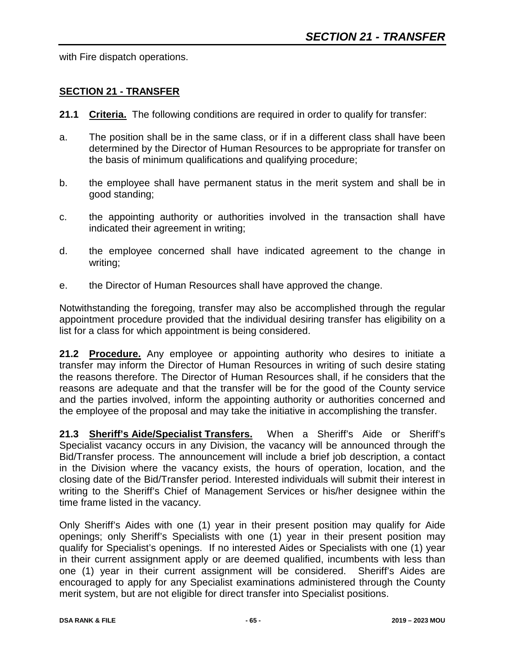with Fire dispatch operations.

#### **SECTION 21 - TRANSFER**

- **21.1 Criteria.** The following conditions are required in order to qualify for transfer:
- a. The position shall be in the same class, or if in a different class shall have been determined by the Director of Human Resources to be appropriate for transfer on the basis of minimum qualifications and qualifying procedure;
- b. the employee shall have permanent status in the merit system and shall be in good standing;
- c. the appointing authority or authorities involved in the transaction shall have indicated their agreement in writing;
- d. the employee concerned shall have indicated agreement to the change in writing;
- e. the Director of Human Resources shall have approved the change.

Notwithstanding the foregoing, transfer may also be accomplished through the regular appointment procedure provided that the individual desiring transfer has eligibility on a list for a class for which appointment is being considered.

21.2 Procedure. Any employee or appointing authority who desires to initiate a transfer may inform the Director of Human Resources in writing of such desire stating the reasons therefore. The Director of Human Resources shall, if he considers that the reasons are adequate and that the transfer will be for the good of the County service and the parties involved, inform the appointing authority or authorities concerned and the employee of the proposal and may take the initiative in accomplishing the transfer.

**21.3 Sheriff's Aide/Specialist Transfers.** When a Sheriff's Aide or Sheriff's Specialist vacancy occurs in any Division, the vacancy will be announced through the Bid/Transfer process. The announcement will include a brief job description, a contact in the Division where the vacancy exists, the hours of operation, location, and the closing date of the Bid/Transfer period. Interested individuals will submit their interest in writing to the Sheriff's Chief of Management Services or his/her designee within the time frame listed in the vacancy.

Only Sheriff's Aides with one (1) year in their present position may qualify for Aide openings; only Sheriff's Specialists with one (1) year in their present position may qualify for Specialist's openings. If no interested Aides or Specialists with one (1) year in their current assignment apply or are deemed qualified, incumbents with less than one (1) year in their current assignment will be considered. Sheriff's Aides are encouraged to apply for any Specialist examinations administered through the County merit system, but are not eligible for direct transfer into Specialist positions.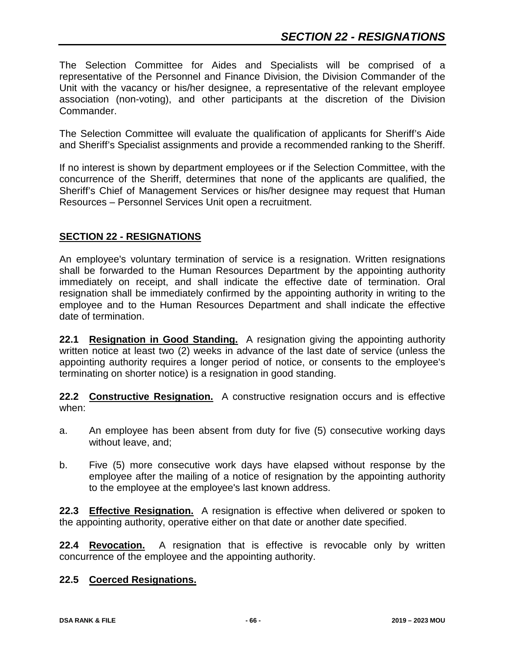The Selection Committee for Aides and Specialists will be comprised of a representative of the Personnel and Finance Division, the Division Commander of the Unit with the vacancy or his/her designee, a representative of the relevant employee association (non-voting), and other participants at the discretion of the Division Commander.

The Selection Committee will evaluate the qualification of applicants for Sheriff's Aide and Sheriff's Specialist assignments and provide a recommended ranking to the Sheriff.

If no interest is shown by department employees or if the Selection Committee, with the concurrence of the Sheriff, determines that none of the applicants are qualified, the Sheriff's Chief of Management Services or his/her designee may request that Human Resources – Personnel Services Unit open a recruitment.

## **SECTION 22 - RESIGNATIONS**

An employee's voluntary termination of service is a resignation. Written resignations shall be forwarded to the Human Resources Department by the appointing authority immediately on receipt, and shall indicate the effective date of termination. Oral resignation shall be immediately confirmed by the appointing authority in writing to the employee and to the Human Resources Department and shall indicate the effective date of termination.

**22.1 Resignation in Good Standing.** A resignation giving the appointing authority written notice at least two (2) weeks in advance of the last date of service (unless the appointing authority requires a longer period of notice, or consents to the employee's terminating on shorter notice) is a resignation in good standing.

**22.2 Constructive Resignation.** A constructive resignation occurs and is effective when:

- a. An employee has been absent from duty for five (5) consecutive working days without leave, and;
- b. Five (5) more consecutive work days have elapsed without response by the employee after the mailing of a notice of resignation by the appointing authority to the employee at the employee's last known address.

**22.3 Effective Resignation.** A resignation is effective when delivered or spoken to the appointing authority, operative either on that date or another date specified.

**22.4 Revocation.** A resignation that is effective is revocable only by written concurrence of the employee and the appointing authority.

## **22.5 Coerced Resignations.**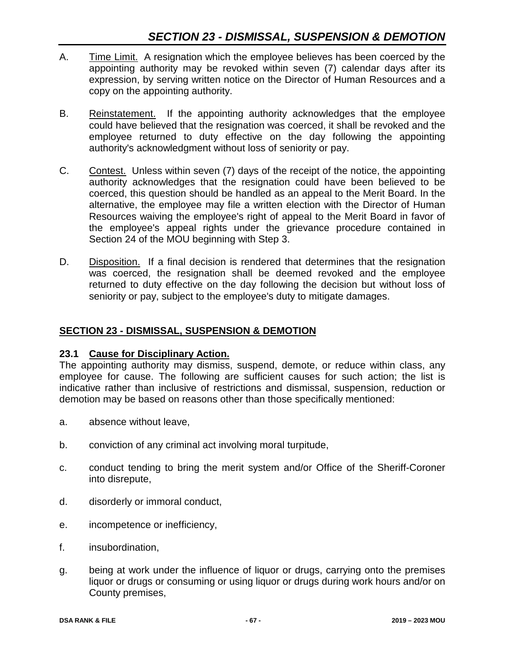- A. Time Limit. A resignation which the employee believes has been coerced by the appointing authority may be revoked within seven (7) calendar days after its expression, by serving written notice on the Director of Human Resources and a copy on the appointing authority.
- B. Reinstatement. If the appointing authority acknowledges that the employee could have believed that the resignation was coerced, it shall be revoked and the employee returned to duty effective on the day following the appointing authority's acknowledgment without loss of seniority or pay.
- C. Contest. Unless within seven (7) days of the receipt of the notice, the appointing authority acknowledges that the resignation could have been believed to be coerced, this question should be handled as an appeal to the Merit Board. In the alternative, the employee may file a written election with the Director of Human Resources waiving the employee's right of appeal to the Merit Board in favor of the employee's appeal rights under the grievance procedure contained in Section 24 of the MOU beginning with Step 3.
- D. Disposition. If a final decision is rendered that determines that the resignation was coerced, the resignation shall be deemed revoked and the employee returned to duty effective on the day following the decision but without loss of seniority or pay, subject to the employee's duty to mitigate damages.

## **SECTION 23 - DISMISSAL, SUSPENSION & DEMOTION**

## **23.1 Cause for Disciplinary Action.**

The appointing authority may dismiss, suspend, demote, or reduce within class, any employee for cause. The following are sufficient causes for such action; the list is indicative rather than inclusive of restrictions and dismissal, suspension, reduction or demotion may be based on reasons other than those specifically mentioned:

- a. absence without leave,
- b. conviction of any criminal act involving moral turpitude,
- c. conduct tending to bring the merit system and/or Office of the Sheriff-Coroner into disrepute,
- d. disorderly or immoral conduct,
- e. incompetence or inefficiency,
- f. insubordination,
- g. being at work under the influence of liquor or drugs, carrying onto the premises liquor or drugs or consuming or using liquor or drugs during work hours and/or on County premises,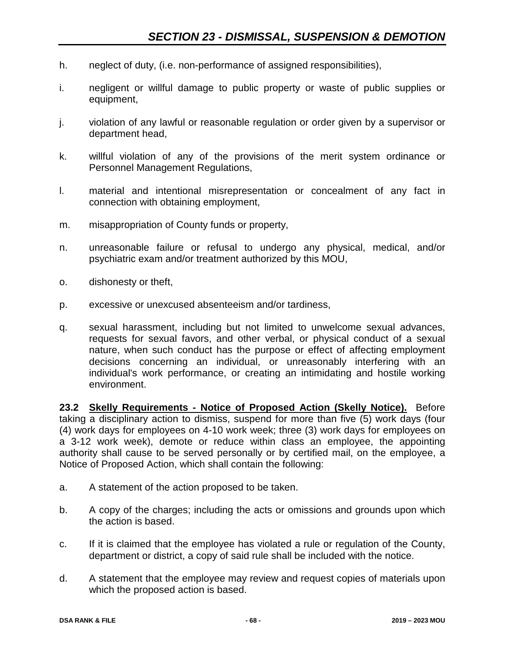- h. neglect of duty, (i.e. non-performance of assigned responsibilities),
- i. negligent or willful damage to public property or waste of public supplies or equipment,
- j. violation of any lawful or reasonable regulation or order given by a supervisor or department head,
- k. willful violation of any of the provisions of the merit system ordinance or Personnel Management Regulations,
- l. material and intentional misrepresentation or concealment of any fact in connection with obtaining employment,
- m. misappropriation of County funds or property,
- n. unreasonable failure or refusal to undergo any physical, medical, and/or psychiatric exam and/or treatment authorized by this MOU,
- o. dishonesty or theft,
- p. excessive or unexcused absenteeism and/or tardiness,
- q. sexual harassment, including but not limited to unwelcome sexual advances, requests for sexual favors, and other verbal, or physical conduct of a sexual nature, when such conduct has the purpose or effect of affecting employment decisions concerning an individual, or unreasonably interfering with an individual's work performance, or creating an intimidating and hostile working environment.

**23.2 Skelly Requirements - Notice of Proposed Action (Skelly Notice).** Before taking a disciplinary action to dismiss, suspend for more than five (5) work days (four (4) work days for employees on 4-10 work week; three (3) work days for employees on a 3-12 work week), demote or reduce within class an employee, the appointing authority shall cause to be served personally or by certified mail, on the employee, a Notice of Proposed Action, which shall contain the following:

- a. A statement of the action proposed to be taken.
- b. A copy of the charges; including the acts or omissions and grounds upon which the action is based.
- c. If it is claimed that the employee has violated a rule or regulation of the County, department or district, a copy of said rule shall be included with the notice.
- d. A statement that the employee may review and request copies of materials upon which the proposed action is based.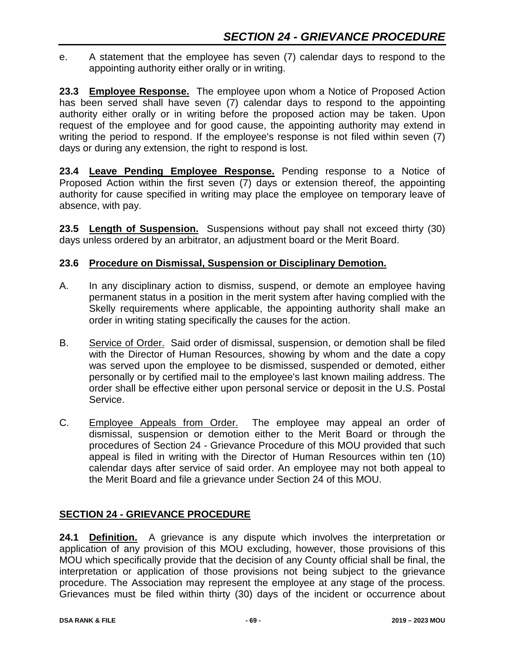e. A statement that the employee has seven (7) calendar days to respond to the appointing authority either orally or in writing.

**23.3 Employee Response.** The employee upon whom a Notice of Proposed Action has been served shall have seven (7) calendar days to respond to the appointing authority either orally or in writing before the proposed action may be taken. Upon request of the employee and for good cause, the appointing authority may extend in writing the period to respond. If the employee's response is not filed within seven (7) days or during any extension, the right to respond is lost.

**23.4 Leave Pending Employee Response.** Pending response to a Notice of Proposed Action within the first seven (7) days or extension thereof, the appointing authority for cause specified in writing may place the employee on temporary leave of absence, with pay.

**23.5 Length of Suspension.** Suspensions without pay shall not exceed thirty (30) days unless ordered by an arbitrator, an adjustment board or the Merit Board.

## **23.6 Procedure on Dismissal, Suspension or Disciplinary Demotion.**

- A. In any disciplinary action to dismiss, suspend, or demote an employee having permanent status in a position in the merit system after having complied with the Skelly requirements where applicable, the appointing authority shall make an order in writing stating specifically the causes for the action.
- B. Service of Order. Said order of dismissal, suspension, or demotion shall be filed with the Director of Human Resources, showing by whom and the date a copy was served upon the employee to be dismissed, suspended or demoted, either personally or by certified mail to the employee's last known mailing address. The order shall be effective either upon personal service or deposit in the U.S. Postal Service.
- C. Employee Appeals from Order. The employee may appeal an order of dismissal, suspension or demotion either to the Merit Board or through the procedures of Section 24 - Grievance Procedure of this MOU provided that such appeal is filed in writing with the Director of Human Resources within ten (10) calendar days after service of said order. An employee may not both appeal to the Merit Board and file a grievance under Section 24 of this MOU.

## **SECTION 24 - GRIEVANCE PROCEDURE**

**24.1 Definition.** A grievance is any dispute which involves the interpretation or application of any provision of this MOU excluding, however, those provisions of this MOU which specifically provide that the decision of any County official shall be final, the interpretation or application of those provisions not being subject to the grievance procedure. The Association may represent the employee at any stage of the process. Grievances must be filed within thirty (30) days of the incident or occurrence about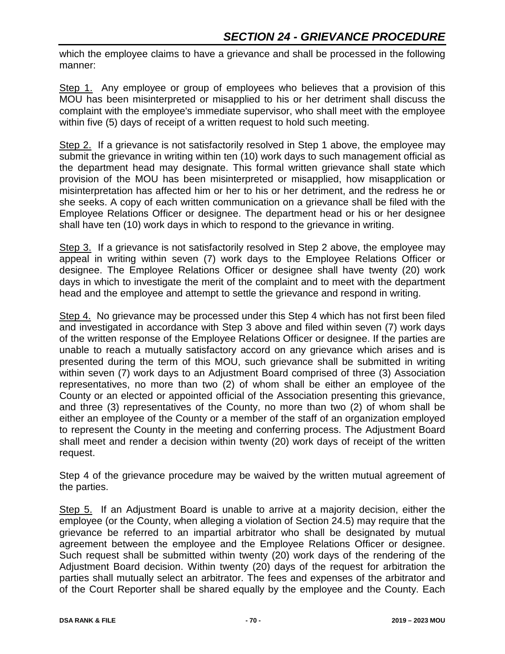which the employee claims to have a grievance and shall be processed in the following manner:

Step 1. Any employee or group of employees who believes that a provision of this MOU has been misinterpreted or misapplied to his or her detriment shall discuss the complaint with the employee's immediate supervisor, who shall meet with the employee within five (5) days of receipt of a written request to hold such meeting.

Step 2. If a grievance is not satisfactorily resolved in Step 1 above, the employee may submit the grievance in writing within ten (10) work days to such management official as the department head may designate. This formal written grievance shall state which provision of the MOU has been misinterpreted or misapplied, how misapplication or misinterpretation has affected him or her to his or her detriment, and the redress he or she seeks. A copy of each written communication on a grievance shall be filed with the Employee Relations Officer or designee. The department head or his or her designee shall have ten (10) work days in which to respond to the grievance in writing.

Step 3. If a grievance is not satisfactorily resolved in Step 2 above, the employee may appeal in writing within seven (7) work days to the Employee Relations Officer or designee. The Employee Relations Officer or designee shall have twenty (20) work days in which to investigate the merit of the complaint and to meet with the department head and the employee and attempt to settle the grievance and respond in writing.

Step 4. No grievance may be processed under this Step 4 which has not first been filed and investigated in accordance with Step 3 above and filed within seven (7) work days of the written response of the Employee Relations Officer or designee. If the parties are unable to reach a mutually satisfactory accord on any grievance which arises and is presented during the term of this MOU, such grievance shall be submitted in writing within seven (7) work days to an Adjustment Board comprised of three (3) Association representatives, no more than two (2) of whom shall be either an employee of the County or an elected or appointed official of the Association presenting this grievance, and three (3) representatives of the County, no more than two (2) of whom shall be either an employee of the County or a member of the staff of an organization employed to represent the County in the meeting and conferring process. The Adjustment Board shall meet and render a decision within twenty (20) work days of receipt of the written request.

Step 4 of the grievance procedure may be waived by the written mutual agreement of the parties.

Step 5. If an Adjustment Board is unable to arrive at a majority decision, either the employee (or the County, when alleging a violation of Section 24.5) may require that the grievance be referred to an impartial arbitrator who shall be designated by mutual agreement between the employee and the Employee Relations Officer or designee. Such request shall be submitted within twenty (20) work days of the rendering of the Adjustment Board decision. Within twenty (20) days of the request for arbitration the parties shall mutually select an arbitrator. The fees and expenses of the arbitrator and of the Court Reporter shall be shared equally by the employee and the County. Each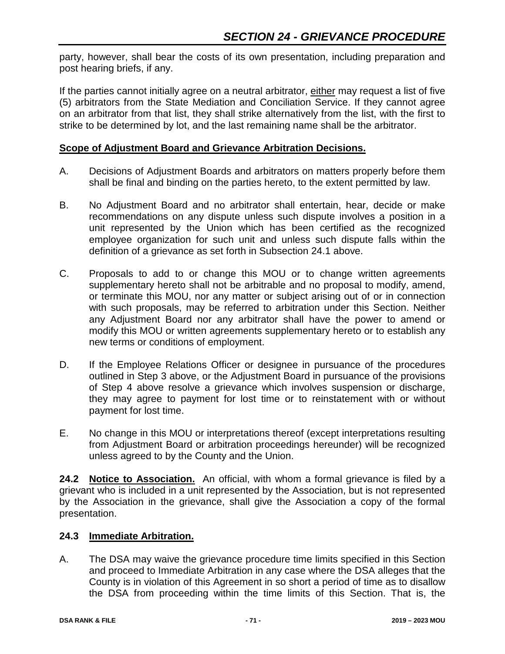party, however, shall bear the costs of its own presentation, including preparation and post hearing briefs, if any.

If the parties cannot initially agree on a neutral arbitrator, either may request a list of five (5) arbitrators from the State Mediation and Conciliation Service. If they cannot agree on an arbitrator from that list, they shall strike alternatively from the list, with the first to strike to be determined by lot, and the last remaining name shall be the arbitrator.

### **Scope of Adjustment Board and Grievance Arbitration Decisions.**

- A. Decisions of Adjustment Boards and arbitrators on matters properly before them shall be final and binding on the parties hereto, to the extent permitted by law.
- B. No Adjustment Board and no arbitrator shall entertain, hear, decide or make recommendations on any dispute unless such dispute involves a position in a unit represented by the Union which has been certified as the recognized employee organization for such unit and unless such dispute falls within the definition of a grievance as set forth in Subsection 24.1 above.
- C. Proposals to add to or change this MOU or to change written agreements supplementary hereto shall not be arbitrable and no proposal to modify, amend, or terminate this MOU, nor any matter or subject arising out of or in connection with such proposals, may be referred to arbitration under this Section. Neither any Adjustment Board nor any arbitrator shall have the power to amend or modify this MOU or written agreements supplementary hereto or to establish any new terms or conditions of employment.
- D. If the Employee Relations Officer or designee in pursuance of the procedures outlined in Step 3 above, or the Adjustment Board in pursuance of the provisions of Step 4 above resolve a grievance which involves suspension or discharge, they may agree to payment for lost time or to reinstatement with or without payment for lost time.
- E. No change in this MOU or interpretations thereof (except interpretations resulting from Adjustment Board or arbitration proceedings hereunder) will be recognized unless agreed to by the County and the Union.

**24.2 Notice to Association.** An official, with whom a formal grievance is filed by a grievant who is included in a unit represented by the Association, but is not represented by the Association in the grievance, shall give the Association a copy of the formal presentation.

## **24.3 Immediate Arbitration.**

A. The DSA may waive the grievance procedure time limits specified in this Section and proceed to Immediate Arbitration in any case where the DSA alleges that the County is in violation of this Agreement in so short a period of time as to disallow the DSA from proceeding within the time limits of this Section. That is, the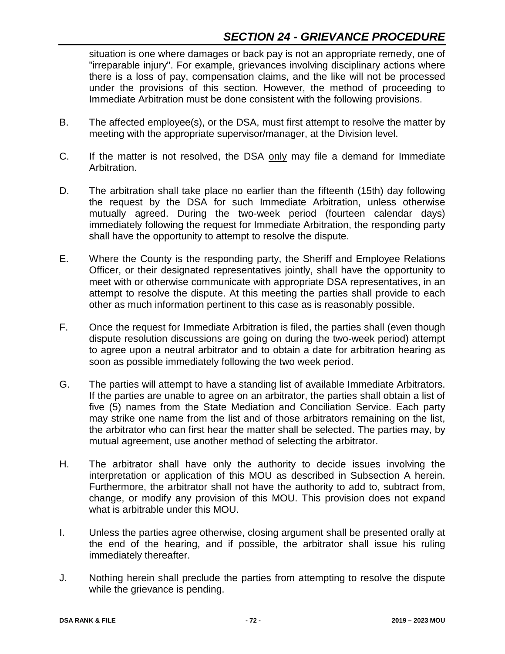# *SECTION 24 - GRIEVANCE PROCEDURE*

situation is one where damages or back pay is not an appropriate remedy, one of "irreparable injury". For example, grievances involving disciplinary actions where there is a loss of pay, compensation claims, and the like will not be processed under the provisions of this section. However, the method of proceeding to Immediate Arbitration must be done consistent with the following provisions.

- B. The affected employee(s), or the DSA, must first attempt to resolve the matter by meeting with the appropriate supervisor/manager, at the Division level.
- C. If the matter is not resolved, the DSA only may file a demand for Immediate Arbitration.
- D. The arbitration shall take place no earlier than the fifteenth (15th) day following the request by the DSA for such Immediate Arbitration, unless otherwise mutually agreed. During the two-week period (fourteen calendar days) immediately following the request for Immediate Arbitration, the responding party shall have the opportunity to attempt to resolve the dispute.
- E. Where the County is the responding party, the Sheriff and Employee Relations Officer, or their designated representatives jointly, shall have the opportunity to meet with or otherwise communicate with appropriate DSA representatives, in an attempt to resolve the dispute. At this meeting the parties shall provide to each other as much information pertinent to this case as is reasonably possible.
- F. Once the request for Immediate Arbitration is filed, the parties shall (even though dispute resolution discussions are going on during the two-week period) attempt to agree upon a neutral arbitrator and to obtain a date for arbitration hearing as soon as possible immediately following the two week period.
- G. The parties will attempt to have a standing list of available Immediate Arbitrators. If the parties are unable to agree on an arbitrator, the parties shall obtain a list of five (5) names from the State Mediation and Conciliation Service. Each party may strike one name from the list and of those arbitrators remaining on the list, the arbitrator who can first hear the matter shall be selected. The parties may, by mutual agreement, use another method of selecting the arbitrator.
- H. The arbitrator shall have only the authority to decide issues involving the interpretation or application of this MOU as described in Subsection A herein. Furthermore, the arbitrator shall not have the authority to add to, subtract from, change, or modify any provision of this MOU. This provision does not expand what is arbitrable under this MOU.
- I. Unless the parties agree otherwise, closing argument shall be presented orally at the end of the hearing, and if possible, the arbitrator shall issue his ruling immediately thereafter.
- J. Nothing herein shall preclude the parties from attempting to resolve the dispute while the grievance is pending.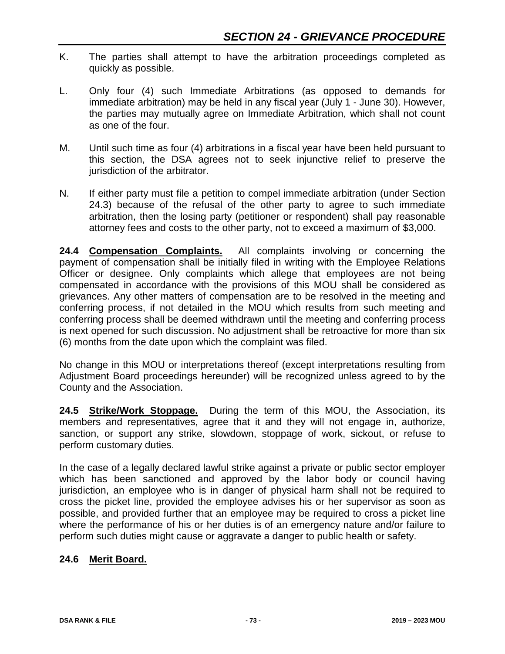- K. The parties shall attempt to have the arbitration proceedings completed as quickly as possible.
- L. Only four (4) such Immediate Arbitrations (as opposed to demands for immediate arbitration) may be held in any fiscal year (July 1 - June 30). However, the parties may mutually agree on Immediate Arbitration, which shall not count as one of the four.
- M. Until such time as four (4) arbitrations in a fiscal year have been held pursuant to this section, the DSA agrees not to seek injunctive relief to preserve the jurisdiction of the arbitrator.
- N. If either party must file a petition to compel immediate arbitration (under Section 24.3) because of the refusal of the other party to agree to such immediate arbitration, then the losing party (petitioner or respondent) shall pay reasonable attorney fees and costs to the other party, not to exceed a maximum of \$3,000.

**24.4 Compensation Complaints.** All complaints involving or concerning the payment of compensation shall be initially filed in writing with the Employee Relations Officer or designee. Only complaints which allege that employees are not being compensated in accordance with the provisions of this MOU shall be considered as grievances. Any other matters of compensation are to be resolved in the meeting and conferring process, if not detailed in the MOU which results from such meeting and conferring process shall be deemed withdrawn until the meeting and conferring process is next opened for such discussion. No adjustment shall be retroactive for more than six (6) months from the date upon which the complaint was filed.

No change in this MOU or interpretations thereof (except interpretations resulting from Adjustment Board proceedings hereunder) will be recognized unless agreed to by the County and the Association.

**24.5 Strike/Work Stoppage.** During the term of this MOU, the Association, its members and representatives, agree that it and they will not engage in, authorize, sanction, or support any strike, slowdown, stoppage of work, sickout, or refuse to perform customary duties.

In the case of a legally declared lawful strike against a private or public sector employer which has been sanctioned and approved by the labor body or council having jurisdiction, an employee who is in danger of physical harm shall not be required to cross the picket line, provided the employee advises his or her supervisor as soon as possible, and provided further that an employee may be required to cross a picket line where the performance of his or her duties is of an emergency nature and/or failure to perform such duties might cause or aggravate a danger to public health or safety.

## **24.6 Merit Board.**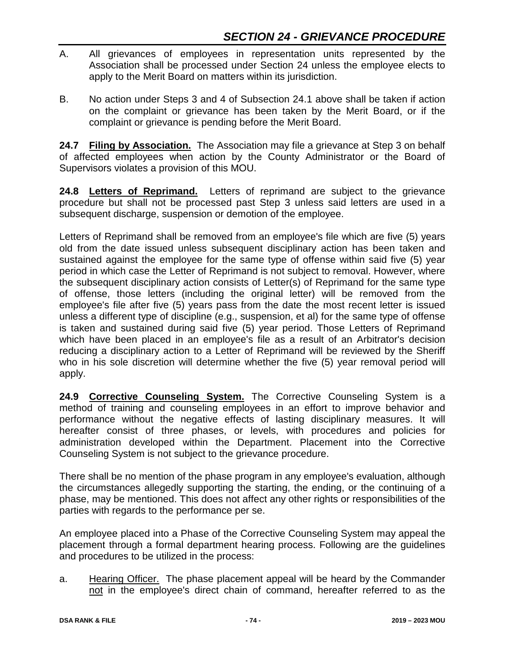- A. All grievances of employees in representation units represented by the Association shall be processed under Section 24 unless the employee elects to apply to the Merit Board on matters within its jurisdiction.
- B. No action under Steps 3 and 4 of Subsection 24.1 above shall be taken if action on the complaint or grievance has been taken by the Merit Board, or if the complaint or grievance is pending before the Merit Board.

**24.7 Filing by Association.** The Association may file a grievance at Step 3 on behalf of affected employees when action by the County Administrator or the Board of Supervisors violates a provision of this MOU.

**24.8 Letters of Reprimand.** Letters of reprimand are subject to the grievance procedure but shall not be processed past Step 3 unless said letters are used in a subsequent discharge, suspension or demotion of the employee.

Letters of Reprimand shall be removed from an employee's file which are five (5) years old from the date issued unless subsequent disciplinary action has been taken and sustained against the employee for the same type of offense within said five (5) year period in which case the Letter of Reprimand is not subject to removal. However, where the subsequent disciplinary action consists of Letter(s) of Reprimand for the same type of offense, those letters (including the original letter) will be removed from the employee's file after five (5) years pass from the date the most recent letter is issued unless a different type of discipline (e.g., suspension, et al) for the same type of offense is taken and sustained during said five (5) year period. Those Letters of Reprimand which have been placed in an employee's file as a result of an Arbitrator's decision reducing a disciplinary action to a Letter of Reprimand will be reviewed by the Sheriff who in his sole discretion will determine whether the five (5) year removal period will apply.

**24.9 Corrective Counseling System.** The Corrective Counseling System is a method of training and counseling employees in an effort to improve behavior and performance without the negative effects of lasting disciplinary measures. It will hereafter consist of three phases, or levels, with procedures and policies for administration developed within the Department. Placement into the Corrective Counseling System is not subject to the grievance procedure.

There shall be no mention of the phase program in any employee's evaluation, although the circumstances allegedly supporting the starting, the ending, or the continuing of a phase, may be mentioned. This does not affect any other rights or responsibilities of the parties with regards to the performance per se.

An employee placed into a Phase of the Corrective Counseling System may appeal the placement through a formal department hearing process. Following are the guidelines and procedures to be utilized in the process:

a. Hearing Officer. The phase placement appeal will be heard by the Commander not in the employee's direct chain of command, hereafter referred to as the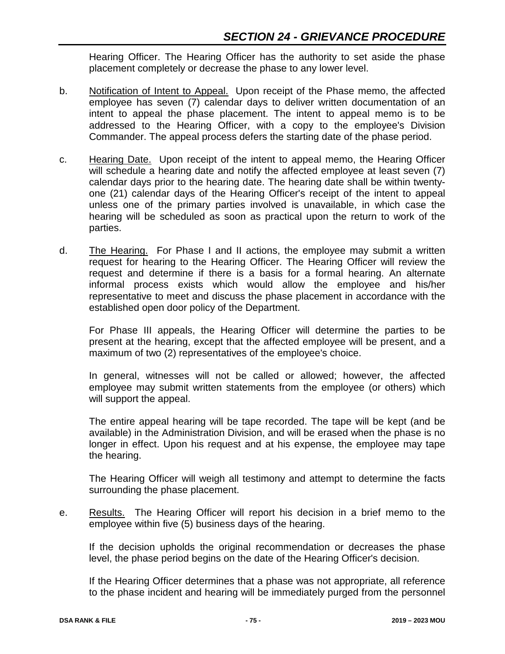Hearing Officer. The Hearing Officer has the authority to set aside the phase placement completely or decrease the phase to any lower level.

- b. Notification of Intent to Appeal. Upon receipt of the Phase memo, the affected employee has seven (7) calendar days to deliver written documentation of an intent to appeal the phase placement. The intent to appeal memo is to be addressed to the Hearing Officer, with a copy to the employee's Division Commander. The appeal process defers the starting date of the phase period.
- c. Hearing Date. Upon receipt of the intent to appeal memo, the Hearing Officer will schedule a hearing date and notify the affected employee at least seven (7) calendar days prior to the hearing date. The hearing date shall be within twentyone (21) calendar days of the Hearing Officer's receipt of the intent to appeal unless one of the primary parties involved is unavailable, in which case the hearing will be scheduled as soon as practical upon the return to work of the parties.
- d. The Hearing. For Phase I and II actions, the employee may submit a written request for hearing to the Hearing Officer. The Hearing Officer will review the request and determine if there is a basis for a formal hearing. An alternate informal process exists which would allow the employee and his/her representative to meet and discuss the phase placement in accordance with the established open door policy of the Department.

For Phase III appeals, the Hearing Officer will determine the parties to be present at the hearing, except that the affected employee will be present, and a maximum of two (2) representatives of the employee's choice.

In general, witnesses will not be called or allowed; however, the affected employee may submit written statements from the employee (or others) which will support the appeal.

The entire appeal hearing will be tape recorded. The tape will be kept (and be available) in the Administration Division, and will be erased when the phase is no longer in effect. Upon his request and at his expense, the employee may tape the hearing.

The Hearing Officer will weigh all testimony and attempt to determine the facts surrounding the phase placement.

e. Results. The Hearing Officer will report his decision in a brief memo to the employee within five (5) business days of the hearing.

If the decision upholds the original recommendation or decreases the phase level, the phase period begins on the date of the Hearing Officer's decision.

If the Hearing Officer determines that a phase was not appropriate, all reference to the phase incident and hearing will be immediately purged from the personnel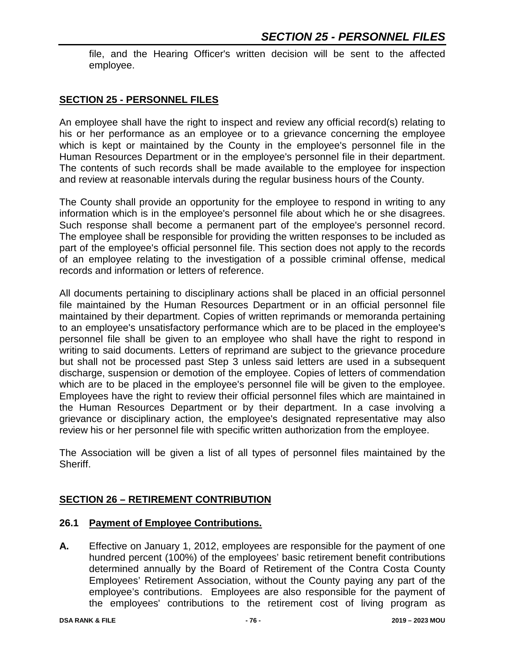file, and the Hearing Officer's written decision will be sent to the affected employee.

### **SECTION 25 - PERSONNEL FILES**

An employee shall have the right to inspect and review any official record(s) relating to his or her performance as an employee or to a grievance concerning the employee which is kept or maintained by the County in the employee's personnel file in the Human Resources Department or in the employee's personnel file in their department. The contents of such records shall be made available to the employee for inspection and review at reasonable intervals during the regular business hours of the County.

The County shall provide an opportunity for the employee to respond in writing to any information which is in the employee's personnel file about which he or she disagrees. Such response shall become a permanent part of the employee's personnel record. The employee shall be responsible for providing the written responses to be included as part of the employee's official personnel file. This section does not apply to the records of an employee relating to the investigation of a possible criminal offense, medical records and information or letters of reference.

All documents pertaining to disciplinary actions shall be placed in an official personnel file maintained by the Human Resources Department or in an official personnel file maintained by their department. Copies of written reprimands or memoranda pertaining to an employee's unsatisfactory performance which are to be placed in the employee's personnel file shall be given to an employee who shall have the right to respond in writing to said documents. Letters of reprimand are subject to the grievance procedure but shall not be processed past Step 3 unless said letters are used in a subsequent discharge, suspension or demotion of the employee. Copies of letters of commendation which are to be placed in the employee's personnel file will be given to the employee. Employees have the right to review their official personnel files which are maintained in the Human Resources Department or by their department. In a case involving a grievance or disciplinary action, the employee's designated representative may also review his or her personnel file with specific written authorization from the employee.

The Association will be given a list of all types of personnel files maintained by the Sheriff.

## **SECTION 26 – RETIREMENT CONTRIBUTION**

#### **26.1 Payment of Employee Contributions.**

**A.** Effective on January 1, 2012, employees are responsible for the payment of one hundred percent (100%) of the employees' basic retirement benefit contributions determined annually by the Board of Retirement of the Contra Costa County Employees' Retirement Association, without the County paying any part of the employee's contributions. Employees are also responsible for the payment of the employees' contributions to the retirement cost of living program as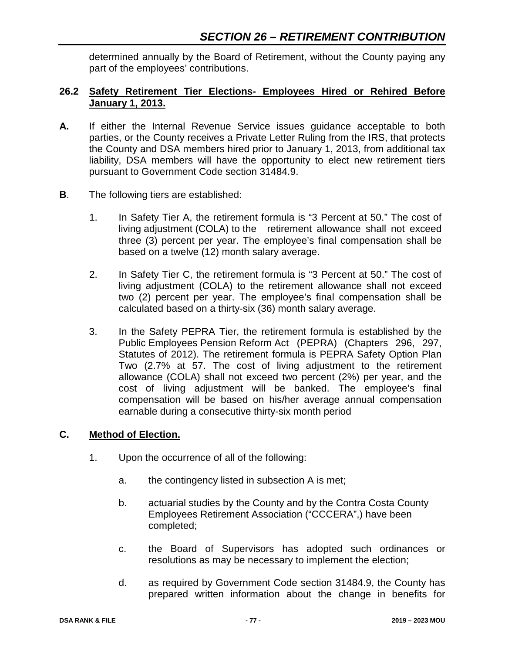determined annually by the Board of Retirement, without the County paying any part of the employees' contributions.

## **26.2 Safety Retirement Tier Elections- Employees Hired or Rehired Before January 1, 2013.**

- **A.** If either the Internal Revenue Service issues guidance acceptable to both parties, or the County receives a Private Letter Ruling from the IRS, that protects the County and DSA members hired prior to January 1, 2013, from additional tax liability, DSA members will have the opportunity to elect new retirement tiers pursuant to Government Code section 31484.9.
- **B**. The following tiers are established:
	- 1. In Safety Tier A, the retirement formula is "3 Percent at 50." The cost of living adjustment (COLA) to the retirement allowance shall not exceed three (3) percent per year. The employee's final compensation shall be based on a twelve (12) month salary average.
	- 2. In Safety Tier C, the retirement formula is "3 Percent at 50." The cost of living adjustment (COLA) to the retirement allowance shall not exceed two (2) percent per year. The employee's final compensation shall be calculated based on a thirty-six (36) month salary average.
	- 3. In the Safety PEPRA Tier, the retirement formula is established by the Public Employees Pension Reform Act (PEPRA) (Chapters 296, 297, Statutes of 2012). The retirement formula is PEPRA Safety Option Plan Two (2.7% at 57. The cost of living adjustment to the retirement allowance (COLA) shall not exceed two percent (2%) per year, and the cost of living adjustment will be banked. The employee's final compensation will be based on his/her average annual compensation earnable during a consecutive thirty-six month period

## **C. Method of Election.**

- 1. Upon the occurrence of all of the following:
	- a. the contingency listed in subsection A is met;
	- b. actuarial studies by the County and by the Contra Costa County Employees Retirement Association ("CCCERA",) have been completed;
	- c. the Board of Supervisors has adopted such ordinances or resolutions as may be necessary to implement the election;
	- d. as required by Government Code section 31484.9, the County has prepared written information about the change in benefits for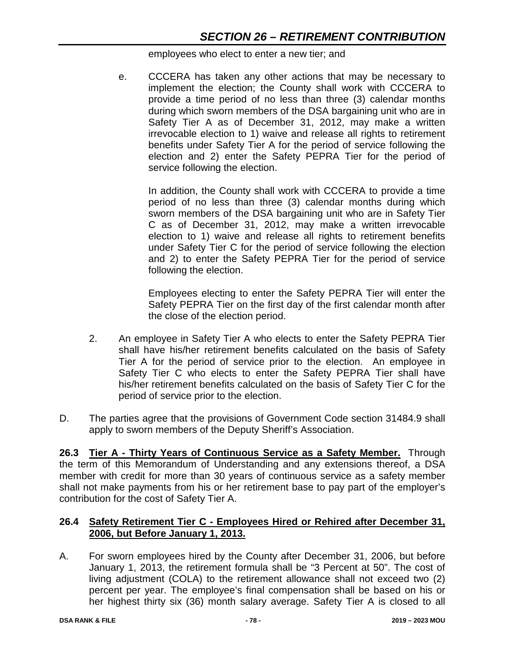employees who elect to enter a new tier; and

e. CCCERA has taken any other actions that may be necessary to implement the election; the County shall work with CCCERA to provide a time period of no less than three (3) calendar months during which sworn members of the DSA bargaining unit who are in Safety Tier A as of December 31, 2012, may make a written irrevocable election to 1) waive and release all rights to retirement benefits under Safety Tier A for the period of service following the election and 2) enter the Safety PEPRA Tier for the period of service following the election.

In addition, the County shall work with CCCERA to provide a time period of no less than three (3) calendar months during which sworn members of the DSA bargaining unit who are in Safety Tier C as of December 31, 2012, may make a written irrevocable election to 1) waive and release all rights to retirement benefits under Safety Tier C for the period of service following the election and 2) to enter the Safety PEPRA Tier for the period of service following the election.

Employees electing to enter the Safety PEPRA Tier will enter the Safety PEPRA Tier on the first day of the first calendar month after the close of the election period.

- 2. An employee in Safety Tier A who elects to enter the Safety PEPRA Tier shall have his/her retirement benefits calculated on the basis of Safety Tier A for the period of service prior to the election. An employee in Safety Tier C who elects to enter the Safety PEPRA Tier shall have his/her retirement benefits calculated on the basis of Safety Tier C for the period of service prior to the election.
- D. The parties agree that the provisions of Government Code section 31484.9 shall apply to sworn members of the Deputy Sheriff's Association.

**26.3 Tier A - Thirty Years of Continuous Service as a Safety Member.** Through the term of this Memorandum of Understanding and any extensions thereof, a DSA member with credit for more than 30 years of continuous service as a safety member shall not make payments from his or her retirement base to pay part of the employer's contribution for the cost of Safety Tier A.

## **26.4 Safety Retirement Tier C - Employees Hired or Rehired after December 31, 2006, but Before January 1, 2013.**

A. For sworn employees hired by the County after December 31, 2006, but before January 1, 2013, the retirement formula shall be "3 Percent at 50". The cost of living adjustment (COLA) to the retirement allowance shall not exceed two (2) percent per year. The employee's final compensation shall be based on his or her highest thirty six (36) month salary average. Safety Tier A is closed to all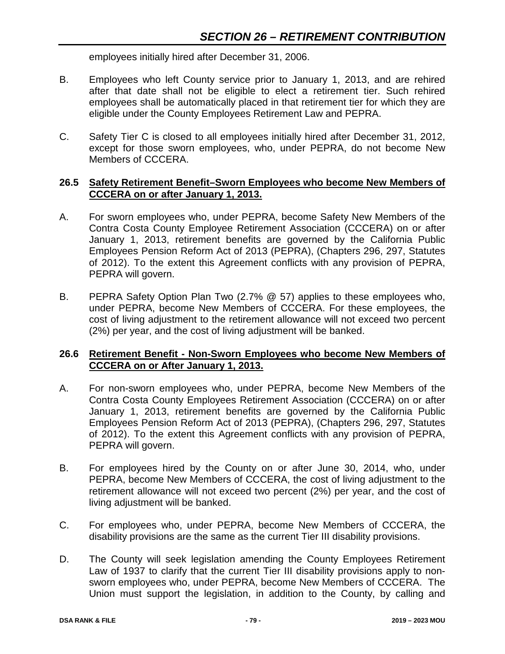employees initially hired after December 31, 2006.

- B. Employees who left County service prior to January 1, 2013, and are rehired after that date shall not be eligible to elect a retirement tier. Such rehired employees shall be automatically placed in that retirement tier for which they are eligible under the County Employees Retirement Law and PEPRA.
- C. Safety Tier C is closed to all employees initially hired after December 31, 2012, except for those sworn employees, who, under PEPRA, do not become New Members of CCCERA.

## **26.5 Safety Retirement Benefit–Sworn Employees who become New Members of CCCERA on or after January 1, 2013.**

- A. For sworn employees who, under PEPRA, become Safety New Members of the Contra Costa County Employee Retirement Association (CCCERA) on or after January 1, 2013, retirement benefits are governed by the California Public Employees Pension Reform Act of 2013 (PEPRA), (Chapters 296, 297, Statutes of 2012). To the extent this Agreement conflicts with any provision of PEPRA, PEPRA will govern.
- B. PEPRA Safety Option Plan Two (2.7% @ 57) applies to these employees who, under PEPRA, become New Members of CCCERA. For these employees, the cost of living adjustment to the retirement allowance will not exceed two percent (2%) per year, and the cost of living adjustment will be banked.

## **26.6 Retirement Benefit - Non-Sworn Employees who become New Members of CCCERA on or After January 1, 2013.**

- A. For non-sworn employees who, under PEPRA, become New Members of the Contra Costa County Employees Retirement Association (CCCERA) on or after January 1, 2013, retirement benefits are governed by the California Public Employees Pension Reform Act of 2013 (PEPRA), (Chapters 296, 297, Statutes of 2012). To the extent this Agreement conflicts with any provision of PEPRA, PEPRA will govern.
- B. For employees hired by the County on or after June 30, 2014, who, under PEPRA, become New Members of CCCERA, the cost of living adjustment to the retirement allowance will not exceed two percent (2%) per year, and the cost of living adjustment will be banked.
- C. For employees who, under PEPRA, become New Members of CCCERA, the disability provisions are the same as the current Tier III disability provisions.
- D. The County will seek legislation amending the County Employees Retirement Law of 1937 to clarify that the current Tier III disability provisions apply to nonsworn employees who, under PEPRA, become New Members of CCCERA. The Union must support the legislation, in addition to the County, by calling and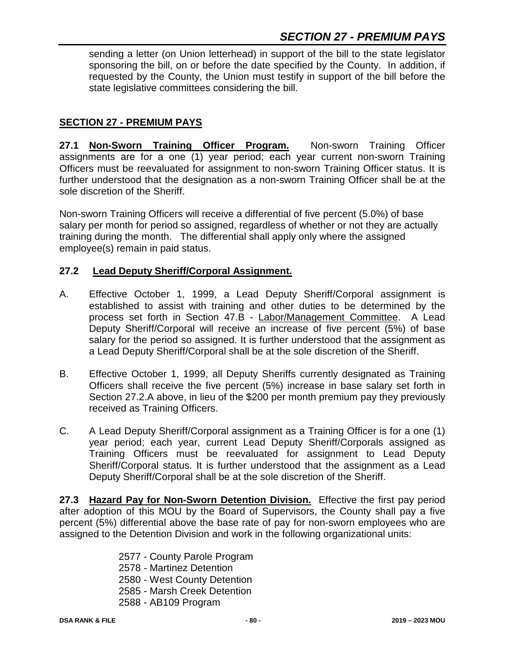## *SECTION 27 - PREMIUM PAYS*

sending a letter (on Union letterhead) in support of the bill to the state legislator sponsoring the bill, on or before the date specified by the County. In addition, if requested by the County, the Union must testify in support of the bill before the state legislative committees considering the bill.

## **SECTION 27 - PREMIUM PAYS**

**27.1 Non-Sworn Training Officer Program.** Non-sworn Training Officer assignments are for a one (1) year period; each year current non-sworn Training Officers must be reevaluated for assignment to non-sworn Training Officer status. It is further understood that the designation as a non-sworn Training Officer shall be at the sole discretion of the Sheriff.

Non-sworn Training Officers will receive a differential of five percent (5.0%) of base salary per month for period so assigned, regardless of whether or not they are actually training during the month. The differential shall apply only where the assigned employee(s) remain in paid status.

## **27.2 Lead Deputy Sheriff/Corporal Assignment.**

- A. Effective October 1, 1999, a Lead Deputy Sheriff/Corporal assignment is established to assist with training and other duties to be determined by the process set forth in Section 47.B - Labor/Management Committee. A Lead Deputy Sheriff/Corporal will receive an increase of five percent (5%) of base salary for the period so assigned. It is further understood that the assignment as a Lead Deputy Sheriff/Corporal shall be at the sole discretion of the Sheriff.
- B. Effective October 1, 1999, all Deputy Sheriffs currently designated as Training Officers shall receive the five percent (5%) increase in base salary set forth in Section 27.2.A above, in lieu of the \$200 per month premium pay they previously received as Training Officers.
- C. A Lead Deputy Sheriff/Corporal assignment as a Training Officer is for a one (1) year period; each year, current Lead Deputy Sheriff/Corporals assigned as Training Officers must be reevaluated for assignment to Lead Deputy Sheriff/Corporal status. It is further understood that the assignment as a Lead Deputy Sheriff/Corporal shall be at the sole discretion of the Sheriff.

**27.3 Hazard Pay for Non-Sworn Detention Division.** Effective the first pay period after adoption of this MOU by the Board of Supervisors, the County shall pay a five percent (5%) differential above the base rate of pay for non-sworn employees who are assigned to the Detention Division and work in the following organizational units:

- 2577 County Parole Program
- 2578 Martinez Detention
- 2580 West County Detention
- 2585 Marsh Creek Detention
- 2588 AB109 Program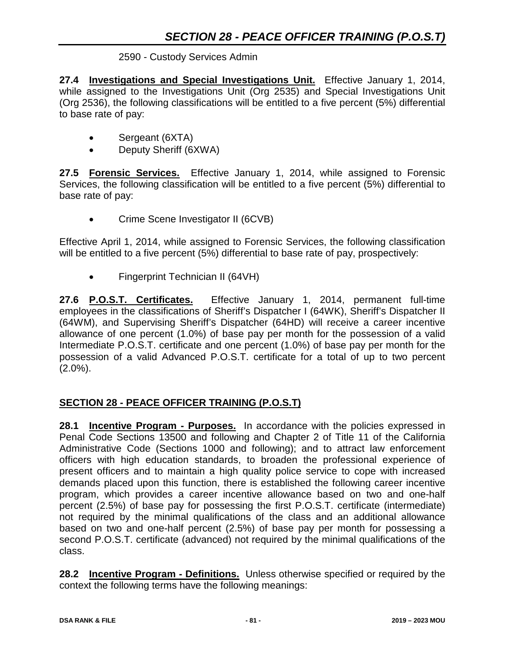## 2590 - Custody Services Admin

**27.4 Investigations and Special Investigations Unit.** Effective January 1, 2014, while assigned to the Investigations Unit (Org 2535) and Special Investigations Unit (Org 2536), the following classifications will be entitled to a five percent (5%) differential to base rate of pay:

- Sergeant (6XTA)
- Deputy Sheriff (6XWA)

**27.5 Forensic Services.** Effective January 1, 2014, while assigned to Forensic Services, the following classification will be entitled to a five percent (5%) differential to base rate of pay:

• Crime Scene Investigator II (6CVB)

Effective April 1, 2014, while assigned to Forensic Services, the following classification will be entitled to a five percent (5%) differential to base rate of pay, prospectively:

• Fingerprint Technician II (64VH)

**27.6 P.O.S.T. Certificates.** Effective January 1, 2014, permanent full-time employees in the classifications of Sheriff's Dispatcher I (64WK), Sheriff's Dispatcher II (64WM), and Supervising Sheriff's Dispatcher (64HD) will receive a career incentive allowance of one percent (1.0%) of base pay per month for the possession of a valid Intermediate P.O.S.T. certificate and one percent (1.0%) of base pay per month for the possession of a valid Advanced P.O.S.T. certificate for a total of up to two percent  $(2.0\%)$ .

## **SECTION 28 - PEACE OFFICER TRAINING (P.O.S.T)**

**28.1 Incentive Program - Purposes.** In accordance with the policies expressed in Penal Code Sections 13500 and following and Chapter 2 of Title 11 of the California Administrative Code (Sections 1000 and following); and to attract law enforcement officers with high education standards, to broaden the professional experience of present officers and to maintain a high quality police service to cope with increased demands placed upon this function, there is established the following career incentive program, which provides a career incentive allowance based on two and one-half percent (2.5%) of base pay for possessing the first P.O.S.T. certificate (intermediate) not required by the minimal qualifications of the class and an additional allowance based on two and one-half percent (2.5%) of base pay per month for possessing a second P.O.S.T. certificate (advanced) not required by the minimal qualifications of the class.

**28.2 Incentive Program - Definitions.** Unless otherwise specified or required by the context the following terms have the following meanings: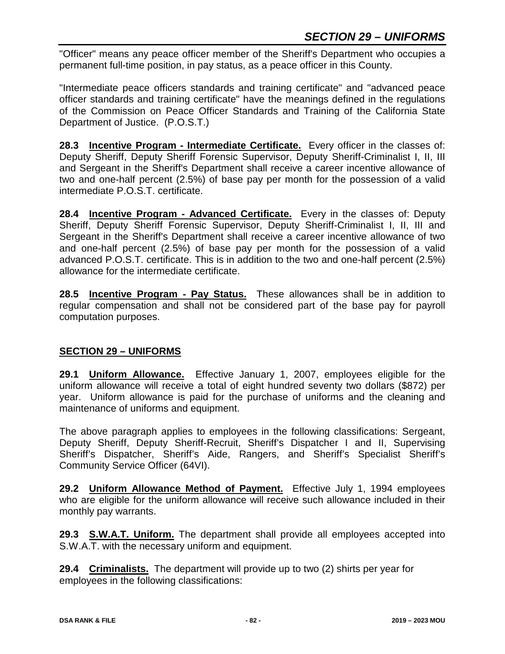"Officer" means any peace officer member of the Sheriff's Department who occupies a permanent full-time position, in pay status, as a peace officer in this County.

"Intermediate peace officers standards and training certificate" and "advanced peace officer standards and training certificate" have the meanings defined in the regulations of the Commission on Peace Officer Standards and Training of the California State Department of Justice. (P.O.S.T.)

**28.3 Incentive Program - Intermediate Certificate.** Every officer in the classes of: Deputy Sheriff, Deputy Sheriff Forensic Supervisor, Deputy Sheriff-Criminalist I, II, III and Sergeant in the Sheriff's Department shall receive a career incentive allowance of two and one-half percent (2.5%) of base pay per month for the possession of a valid intermediate P.O.S.T. certificate.

**28.4 Incentive Program - Advanced Certificate.** Every in the classes of: Deputy Sheriff, Deputy Sheriff Forensic Supervisor, Deputy Sheriff-Criminalist I, II, III and Sergeant in the Sheriff's Department shall receive a career incentive allowance of two and one-half percent (2.5%) of base pay per month for the possession of a valid advanced P.O.S.T. certificate. This is in addition to the two and one-half percent (2.5%) allowance for the intermediate certificate.

**28.5 Incentive Program - Pay Status.** These allowances shall be in addition to regular compensation and shall not be considered part of the base pay for payroll computation purposes.

## **SECTION 29 – UNIFORMS**

**29.1 Uniform Allowance.** Effective January 1, 2007, employees eligible for the uniform allowance will receive a total of eight hundred seventy two dollars (\$872) per year. Uniform allowance is paid for the purchase of uniforms and the cleaning and maintenance of uniforms and equipment.

The above paragraph applies to employees in the following classifications: Sergeant, Deputy Sheriff, Deputy Sheriff-Recruit, Sheriff's Dispatcher I and II, Supervising Sheriff's Dispatcher, Sheriff's Aide, Rangers, and Sheriff's Specialist Sheriff's Community Service Officer (64VI).

**29.2 Uniform Allowance Method of Payment.** Effective July 1, 1994 employees who are eligible for the uniform allowance will receive such allowance included in their monthly pay warrants.

**29.3 S.W.A.T. Uniform.** The department shall provide all employees accepted into S.W.A.T. with the necessary uniform and equipment.

**29.4 Criminalists.** The department will provide up to two (2) shirts per year for employees in the following classifications: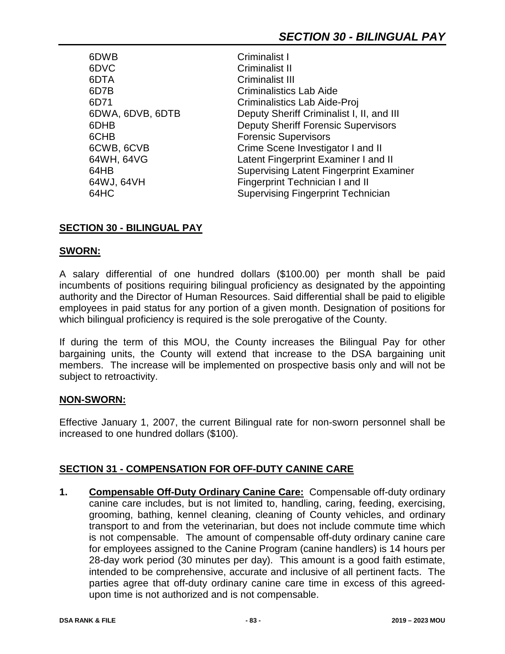6DWB Criminalist I<br>6DVC Criminalist II 6DTA Criminalist III 6CHB Forensic Supervisors

Criminalist II 6D7B Criminalistics Lab Aide 6D71 Criminalistics Lab Aide-Proj 6DWA, 6DVB, 6DTB Deputy Sheriff Criminalist I, II, and III 6DHB Deputy Sheriff Forensic Supervisors 6CWB, 6CVB Crime Scene Investigator I and II 64WH, 64VG Latent Fingerprint Examiner I and II 64HB Supervising Latent Fingerprint Examiner 64WJ, 64VH Fingerprint Technician I and II 64HC Supervising Fingerprint Technician

## **SECTION 30 - BILINGUAL PAY**

## **SWORN:**

A salary differential of one hundred dollars (\$100.00) per month shall be paid incumbents of positions requiring bilingual proficiency as designated by the appointing authority and the Director of Human Resources. Said differential shall be paid to eligible employees in paid status for any portion of a given month. Designation of positions for which bilingual proficiency is required is the sole prerogative of the County.

If during the term of this MOU, the County increases the Bilingual Pay for other bargaining units, the County will extend that increase to the DSA bargaining unit members. The increase will be implemented on prospective basis only and will not be subject to retroactivity.

## **NON-SWORN:**

Effective January 1, 2007, the current Bilingual rate for non-sworn personnel shall be increased to one hundred dollars (\$100).

## **SECTION 31 - COMPENSATION FOR OFF-DUTY CANINE CARE**

**1. Compensable Off-Duty Ordinary Canine Care:** Compensable off-duty ordinary canine care includes, but is not limited to, handling, caring, feeding, exercising, grooming, bathing, kennel cleaning, cleaning of County vehicles, and ordinary transport to and from the veterinarian, but does not include commute time which is not compensable. The amount of compensable off-duty ordinary canine care for employees assigned to the Canine Program (canine handlers) is 14 hours per 28-day work period (30 minutes per day). This amount is a good faith estimate, intended to be comprehensive, accurate and inclusive of all pertinent facts. The parties agree that off-duty ordinary canine care time in excess of this agreedupon time is not authorized and is not compensable.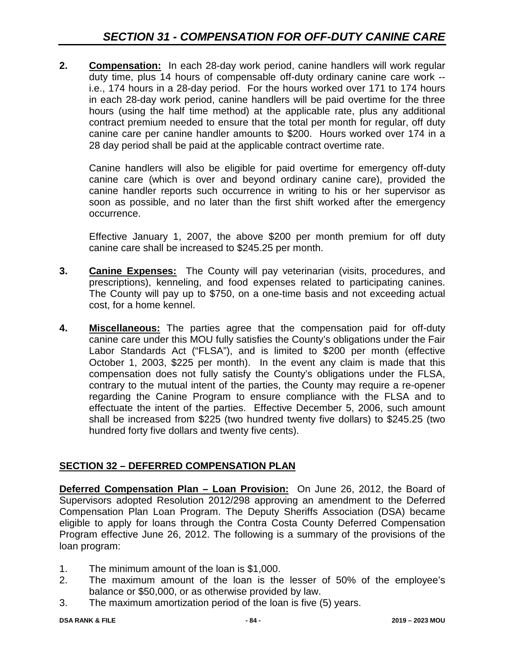**2. Compensation:** In each 28-day work period, canine handlers will work regular duty time, plus 14 hours of compensable off-duty ordinary canine care work - i.e., 174 hours in a 28-day period. For the hours worked over 171 to 174 hours in each 28-day work period, canine handlers will be paid overtime for the three hours (using the half time method) at the applicable rate, plus any additional contract premium needed to ensure that the total per month for regular, off duty canine care per canine handler amounts to \$200. Hours worked over 174 in a 28 day period shall be paid at the applicable contract overtime rate.

Canine handlers will also be eligible for paid overtime for emergency off-duty canine care (which is over and beyond ordinary canine care), provided the canine handler reports such occurrence in writing to his or her supervisor as soon as possible, and no later than the first shift worked after the emergency occurrence.

Effective January 1, 2007, the above \$200 per month premium for off duty canine care shall be increased to \$245.25 per month.

- **3. Canine Expenses:** The County will pay veterinarian (visits, procedures, and prescriptions), kenneling, and food expenses related to participating canines. The County will pay up to \$750, on a one-time basis and not exceeding actual cost, for a home kennel.
- **4. Miscellaneous:** The parties agree that the compensation paid for off-duty canine care under this MOU fully satisfies the County's obligations under the Fair Labor Standards Act ("FLSA"), and is limited to \$200 per month (effective October 1, 2003, \$225 per month). In the event any claim is made that this compensation does not fully satisfy the County's obligations under the FLSA, contrary to the mutual intent of the parties, the County may require a re-opener regarding the Canine Program to ensure compliance with the FLSA and to effectuate the intent of the parties.Effective December 5, 2006, such amount shall be increased from \$225 (two hundred twenty five dollars) to \$245.25 (two hundred forty five dollars and twenty five cents).

## **SECTION 32 – DEFERRED COMPENSATION PLAN**

**Deferred Compensation Plan – Loan Provision:** On June 26, 2012, the Board of Supervisors adopted Resolution 2012/298 approving an amendment to the Deferred Compensation Plan Loan Program. The Deputy Sheriffs Association (DSA) became eligible to apply for loans through the Contra Costa County Deferred Compensation Program effective June 26, 2012. The following is a summary of the provisions of the loan program:

- 1. The minimum amount of the loan is \$1,000.
- 2. The maximum amount of the loan is the lesser of 50% of the employee's balance or \$50,000, or as otherwise provided by law.
- 3. The maximum amortization period of the loan is five (5) years.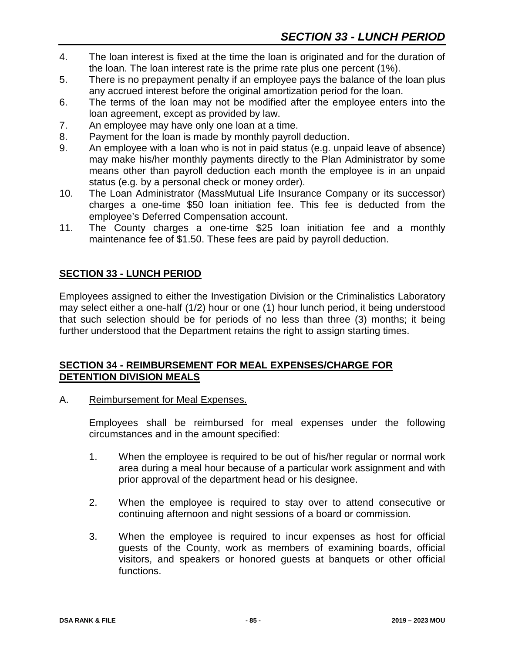- 4. The loan interest is fixed at the time the loan is originated and for the duration of the loan. The loan interest rate is the prime rate plus one percent (1%).
- 5. There is no prepayment penalty if an employee pays the balance of the loan plus any accrued interest before the original amortization period for the loan.
- 6. The terms of the loan may not be modified after the employee enters into the loan agreement, except as provided by law.
- 7. An employee may have only one loan at a time.
- 8. Payment for the loan is made by monthly payroll deduction.
- 9. An employee with a loan who is not in paid status (e.g. unpaid leave of absence) may make his/her monthly payments directly to the Plan Administrator by some means other than payroll deduction each month the employee is in an unpaid status (e.g. by a personal check or money order).
- 10. The Loan Administrator (MassMutual Life Insurance Company or its successor) charges a one-time \$50 loan initiation fee. This fee is deducted from the employee's Deferred Compensation account.
- 11. The County charges a one-time \$25 loan initiation fee and a monthly maintenance fee of \$1.50. These fees are paid by payroll deduction.

## **SECTION 33 - LUNCH PERIOD**

Employees assigned to either the Investigation Division or the Criminalistics Laboratory may select either a one-half (1/2) hour or one (1) hour lunch period, it being understood that such selection should be for periods of no less than three (3) months; it being further understood that the Department retains the right to assign starting times.

#### **SECTION 34 - REIMBURSEMENT FOR MEAL EXPENSES/CHARGE FOR DETENTION DIVISION MEALS**

A. Reimbursement for Meal Expenses.

Employees shall be reimbursed for meal expenses under the following circumstances and in the amount specified:

- 1. When the employee is required to be out of his/her regular or normal work area during a meal hour because of a particular work assignment and with prior approval of the department head or his designee.
- 2. When the employee is required to stay over to attend consecutive or continuing afternoon and night sessions of a board or commission.
- 3. When the employee is required to incur expenses as host for official guests of the County, work as members of examining boards, official visitors, and speakers or honored guests at banquets or other official functions.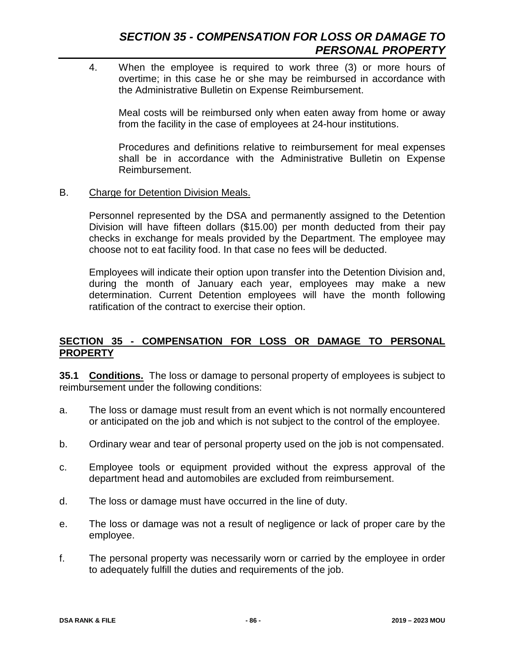## *SECTION 35 - COMPENSATION FOR LOSS OR DAMAGE TO PERSONAL PROPERTY*

4. When the employee is required to work three (3) or more hours of overtime; in this case he or she may be reimbursed in accordance with the Administrative Bulletin on Expense Reimbursement.

Meal costs will be reimbursed only when eaten away from home or away from the facility in the case of employees at 24-hour institutions.

Procedures and definitions relative to reimbursement for meal expenses shall be in accordance with the Administrative Bulletin on Expense Reimbursement.

#### B. Charge for Detention Division Meals.

Personnel represented by the DSA and permanently assigned to the Detention Division will have fifteen dollars (\$15.00) per month deducted from their pay checks in exchange for meals provided by the Department. The employee may choose not to eat facility food. In that case no fees will be deducted.

Employees will indicate their option upon transfer into the Detention Division and, during the month of January each year, employees may make a new determination. Current Detention employees will have the month following ratification of the contract to exercise their option.

## **SECTION 35 - COMPENSATION FOR LOSS OR DAMAGE TO PERSONAL PROPERTY**

**35.1 Conditions.** The loss or damage to personal property of employees is subject to reimbursement under the following conditions:

- a. The loss or damage must result from an event which is not normally encountered or anticipated on the job and which is not subject to the control of the employee.
- b. Ordinary wear and tear of personal property used on the job is not compensated.
- c. Employee tools or equipment provided without the express approval of the department head and automobiles are excluded from reimbursement.
- d. The loss or damage must have occurred in the line of duty.
- e. The loss or damage was not a result of negligence or lack of proper care by the employee.
- f. The personal property was necessarily worn or carried by the employee in order to adequately fulfill the duties and requirements of the job.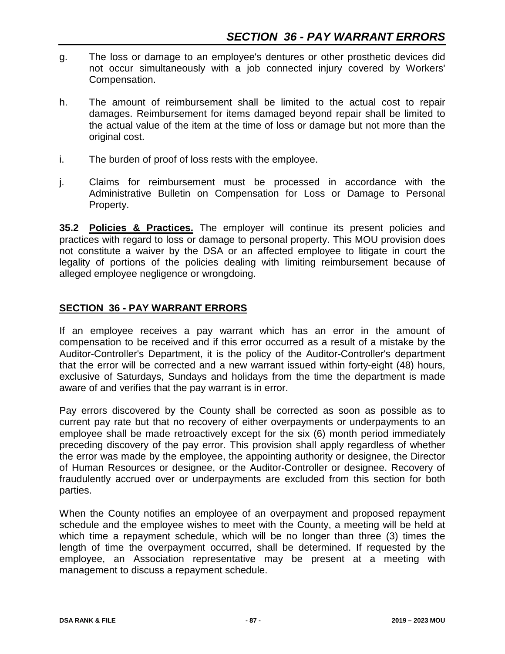- g. The loss or damage to an employee's dentures or other prosthetic devices did not occur simultaneously with a job connected injury covered by Workers' Compensation.
- h. The amount of reimbursement shall be limited to the actual cost to repair damages. Reimbursement for items damaged beyond repair shall be limited to the actual value of the item at the time of loss or damage but not more than the original cost.
- i. The burden of proof of loss rests with the employee.
- j. Claims for reimbursement must be processed in accordance with the Administrative Bulletin on Compensation for Loss or Damage to Personal Property.

**35.2 Policies & Practices.** The employer will continue its present policies and practices with regard to loss or damage to personal property. This MOU provision does not constitute a waiver by the DSA or an affected employee to litigate in court the legality of portions of the policies dealing with limiting reimbursement because of alleged employee negligence or wrongdoing.

## **SECTION 36 - PAY WARRANT ERRORS**

If an employee receives a pay warrant which has an error in the amount of compensation to be received and if this error occurred as a result of a mistake by the Auditor-Controller's Department, it is the policy of the Auditor-Controller's department that the error will be corrected and a new warrant issued within forty-eight (48) hours, exclusive of Saturdays, Sundays and holidays from the time the department is made aware of and verifies that the pay warrant is in error.

Pay errors discovered by the County shall be corrected as soon as possible as to current pay rate but that no recovery of either overpayments or underpayments to an employee shall be made retroactively except for the six (6) month period immediately preceding discovery of the pay error. This provision shall apply regardless of whether the error was made by the employee, the appointing authority or designee, the Director of Human Resources or designee, or the Auditor-Controller or designee. Recovery of fraudulently accrued over or underpayments are excluded from this section for both parties.

When the County notifies an employee of an overpayment and proposed repayment schedule and the employee wishes to meet with the County, a meeting will be held at which time a repayment schedule, which will be no longer than three (3) times the length of time the overpayment occurred, shall be determined. If requested by the employee, an Association representative may be present at a meeting with management to discuss a repayment schedule.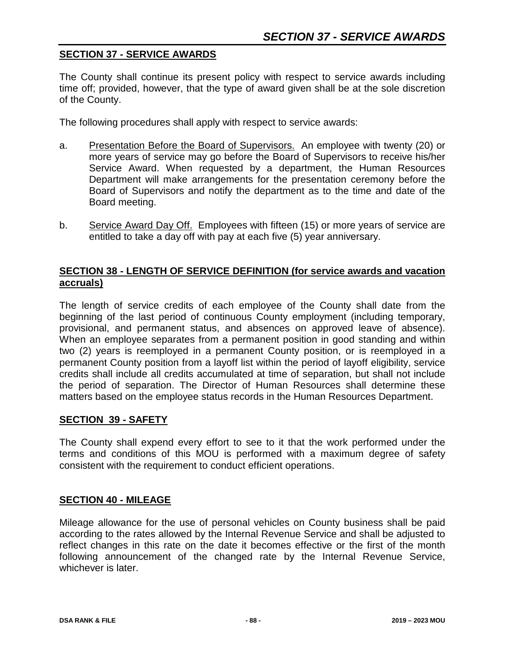## **SECTION 37 - SERVICE AWARDS**

The County shall continue its present policy with respect to service awards including time off; provided, however, that the type of award given shall be at the sole discretion of the County.

The following procedures shall apply with respect to service awards:

- a. Presentation Before the Board of Supervisors. An employee with twenty (20) or more years of service may go before the Board of Supervisors to receive his/her Service Award. When requested by a department, the Human Resources Department will make arrangements for the presentation ceremony before the Board of Supervisors and notify the department as to the time and date of the Board meeting.
- b. Service Award Day Off. Employees with fifteen (15) or more years of service are entitled to take a day off with pay at each five (5) year anniversary.

### **SECTION 38 - LENGTH OF SERVICE DEFINITION (for service awards and vacation accruals)**

The length of service credits of each employee of the County shall date from the beginning of the last period of continuous County employment (including temporary, provisional, and permanent status, and absences on approved leave of absence). When an employee separates from a permanent position in good standing and within two (2) years is reemployed in a permanent County position, or is reemployed in a permanent County position from a layoff list within the period of layoff eligibility, service credits shall include all credits accumulated at time of separation, but shall not include the period of separation. The Director of Human Resources shall determine these matters based on the employee status records in the Human Resources Department.

#### **SECTION 39 - SAFETY**

The County shall expend every effort to see to it that the work performed under the terms and conditions of this MOU is performed with a maximum degree of safety consistent with the requirement to conduct efficient operations.

#### **SECTION 40 - MILEAGE**

Mileage allowance for the use of personal vehicles on County business shall be paid according to the rates allowed by the Internal Revenue Service and shall be adjusted to reflect changes in this rate on the date it becomes effective or the first of the month following announcement of the changed rate by the Internal Revenue Service, whichever is later.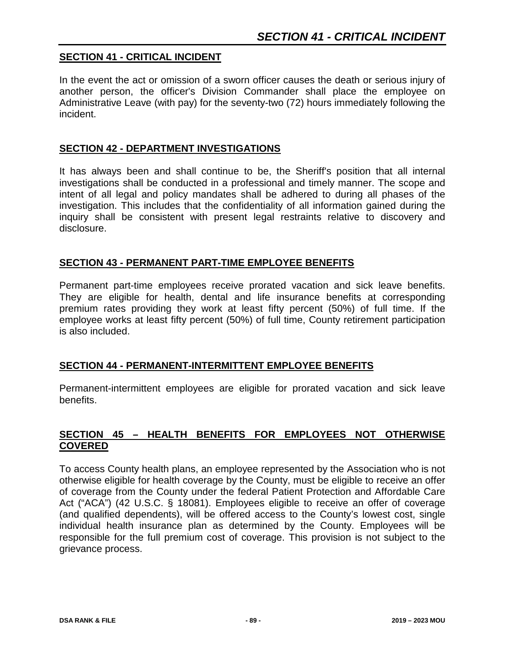## **SECTION 41 - CRITICAL INCIDENT**

In the event the act or omission of a sworn officer causes the death or serious injury of another person, the officer's Division Commander shall place the employee on Administrative Leave (with pay) for the seventy-two (72) hours immediately following the incident.

#### **SECTION 42 - DEPARTMENT INVESTIGATIONS**

It has always been and shall continue to be, the Sheriff's position that all internal investigations shall be conducted in a professional and timely manner. The scope and intent of all legal and policy mandates shall be adhered to during all phases of the investigation. This includes that the confidentiality of all information gained during the inquiry shall be consistent with present legal restraints relative to discovery and disclosure.

## **SECTION 43 - PERMANENT PART-TIME EMPLOYEE BENEFITS**

Permanent part-time employees receive prorated vacation and sick leave benefits. They are eligible for health, dental and life insurance benefits at corresponding premium rates providing they work at least fifty percent (50%) of full time. If the employee works at least fifty percent (50%) of full time, County retirement participation is also included.

## **SECTION 44 - PERMANENT-INTERMITTENT EMPLOYEE BENEFITS**

Permanent-intermittent employees are eligible for prorated vacation and sick leave benefits.

## **SECTION 45 – HEALTH BENEFITS FOR EMPLOYEES NOT OTHERWISE COVERED**

To access County health plans, an employee represented by the Association who is not otherwise eligible for health coverage by the County, must be eligible to receive an offer of coverage from the County under the federal Patient Protection and Affordable Care Act ("ACA") (42 U.S.C. § 18081). Employees eligible to receive an offer of coverage (and qualified dependents), will be offered access to the County's lowest cost, single individual health insurance plan as determined by the County. Employees will be responsible for the full premium cost of coverage. This provision is not subject to the grievance process.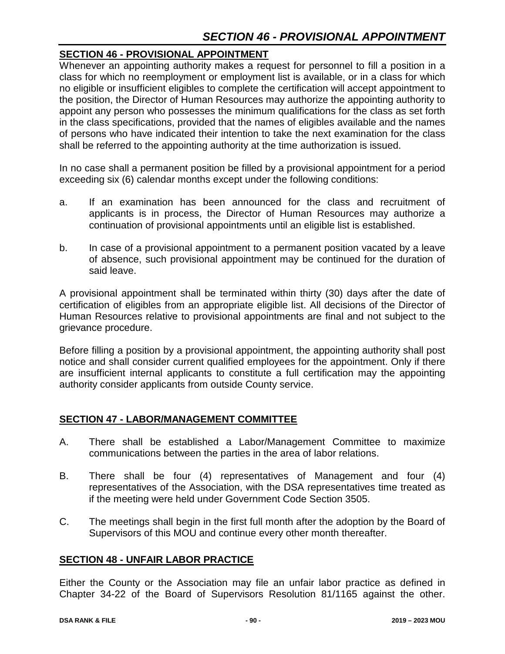## **SECTION 46 - PROVISIONAL APPOINTMENT**

Whenever an appointing authority makes a request for personnel to fill a position in a class for which no reemployment or employment list is available, or in a class for which no eligible or insufficient eligibles to complete the certification will accept appointment to the position, the Director of Human Resources may authorize the appointing authority to appoint any person who possesses the minimum qualifications for the class as set forth in the class specifications, provided that the names of eligibles available and the names of persons who have indicated their intention to take the next examination for the class shall be referred to the appointing authority at the time authorization is issued.

In no case shall a permanent position be filled by a provisional appointment for a period exceeding six (6) calendar months except under the following conditions:

- a. If an examination has been announced for the class and recruitment of applicants is in process, the Director of Human Resources may authorize a continuation of provisional appointments until an eligible list is established.
- b. In case of a provisional appointment to a permanent position vacated by a leave of absence, such provisional appointment may be continued for the duration of said leave.

A provisional appointment shall be terminated within thirty (30) days after the date of certification of eligibles from an appropriate eligible list. All decisions of the Director of Human Resources relative to provisional appointments are final and not subject to the grievance procedure.

Before filling a position by a provisional appointment, the appointing authority shall post notice and shall consider current qualified employees for the appointment. Only if there are insufficient internal applicants to constitute a full certification may the appointing authority consider applicants from outside County service.

## **SECTION 47 - LABOR/MANAGEMENT COMMITTEE**

- A. There shall be established a Labor/Management Committee to maximize communications between the parties in the area of labor relations.
- B. There shall be four (4) representatives of Management and four (4) representatives of the Association, with the DSA representatives time treated as if the meeting were held under Government Code Section 3505.
- C. The meetings shall begin in the first full month after the adoption by the Board of Supervisors of this MOU and continue every other month thereafter.

## **SECTION 48 - UNFAIR LABOR PRACTICE**

Either the County or the Association may file an unfair labor practice as defined in Chapter 34-22 of the Board of Supervisors Resolution 81/1165 against the other.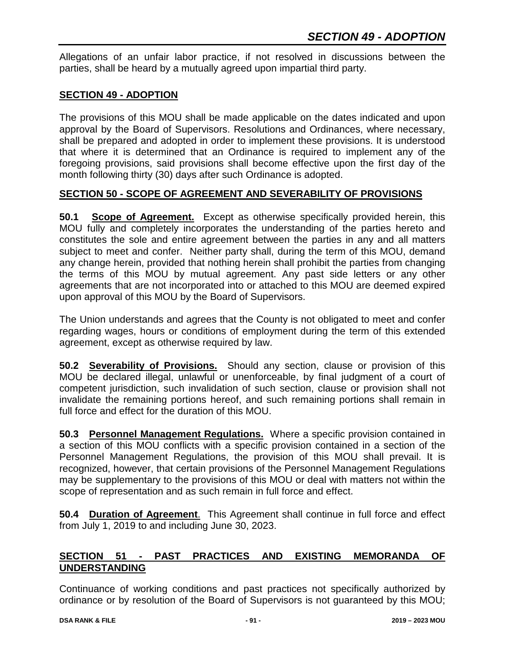Allegations of an unfair labor practice, if not resolved in discussions between the parties, shall be heard by a mutually agreed upon impartial third party.

## **SECTION 49 - ADOPTION**

The provisions of this MOU shall be made applicable on the dates indicated and upon approval by the Board of Supervisors. Resolutions and Ordinances, where necessary, shall be prepared and adopted in order to implement these provisions. It is understood that where it is determined that an Ordinance is required to implement any of the foregoing provisions, said provisions shall become effective upon the first day of the month following thirty (30) days after such Ordinance is adopted.

## **SECTION 50 - SCOPE OF AGREEMENT AND SEVERABILITY OF PROVISIONS**

**50.1 Scope of Agreement.** Except as otherwise specifically provided herein, this MOU fully and completely incorporates the understanding of the parties hereto and constitutes the sole and entire agreement between the parties in any and all matters subject to meet and confer. Neither party shall, during the term of this MOU, demand any change herein, provided that nothing herein shall prohibit the parties from changing the terms of this MOU by mutual agreement. Any past side letters or any other agreements that are not incorporated into or attached to this MOU are deemed expired upon approval of this MOU by the Board of Supervisors.

The Union understands and agrees that the County is not obligated to meet and confer regarding wages, hours or conditions of employment during the term of this extended agreement, except as otherwise required by law.

**50.2 Severability of Provisions.** Should any section, clause or provision of this MOU be declared illegal, unlawful or unenforceable, by final judgment of a court of competent jurisdiction, such invalidation of such section, clause or provision shall not invalidate the remaining portions hereof, and such remaining portions shall remain in full force and effect for the duration of this MOU.

**50.3 Personnel Management Regulations.** Where a specific provision contained in a section of this MOU conflicts with a specific provision contained in a section of the Personnel Management Regulations, the provision of this MOU shall prevail. It is recognized, however, that certain provisions of the Personnel Management Regulations may be supplementary to the provisions of this MOU or deal with matters not within the scope of representation and as such remain in full force and effect.

**50.4 Duration of Agreement**. This Agreement shall continue in full force and effect from July 1, 2019 to and including June 30, 2023.

## **SECTION 51 - PAST PRACTICES AND EXISTING MEMORANDA OF UNDERSTANDING**

Continuance of working conditions and past practices not specifically authorized by ordinance or by resolution of the Board of Supervisors is not guaranteed by this MOU;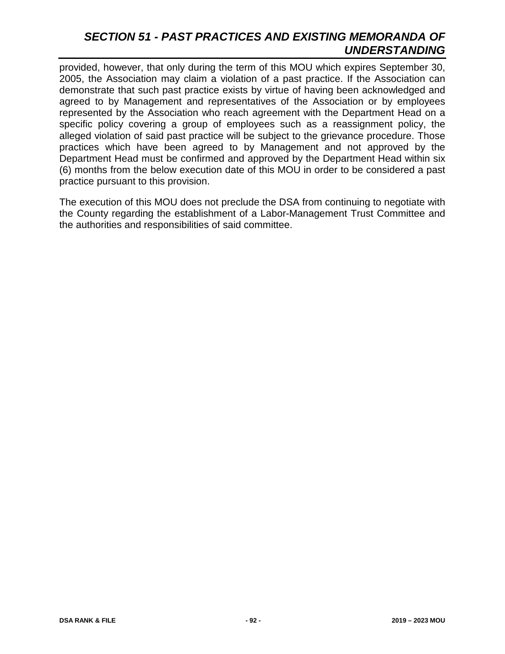## *SECTION 51 - PAST PRACTICES AND EXISTING MEMORANDA OF UNDERSTANDING*

provided, however, that only during the term of this MOU which expires September 30, 2005, the Association may claim a violation of a past practice. If the Association can demonstrate that such past practice exists by virtue of having been acknowledged and agreed to by Management and representatives of the Association or by employees represented by the Association who reach agreement with the Department Head on a specific policy covering a group of employees such as a reassignment policy, the alleged violation of said past practice will be subject to the grievance procedure. Those practices which have been agreed to by Management and not approved by the Department Head must be confirmed and approved by the Department Head within six (6) months from the below execution date of this MOU in order to be considered a past practice pursuant to this provision.

The execution of this MOU does not preclude the DSA from continuing to negotiate with the County regarding the establishment of a Labor-Management Trust Committee and the authorities and responsibilities of said committee.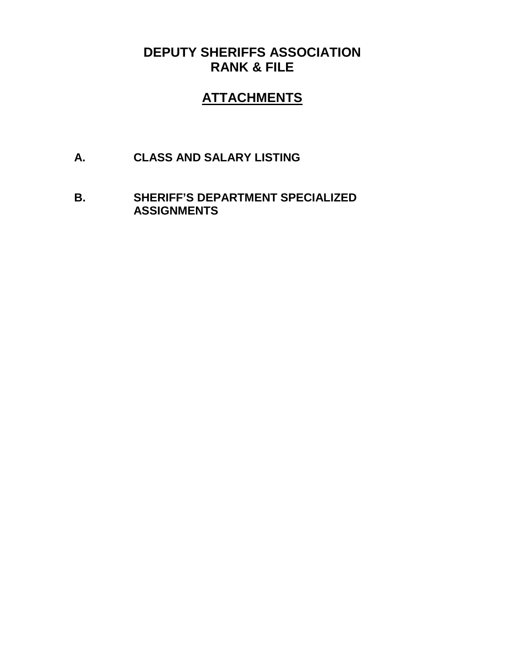# **DEPUTY SHERIFFS ASSOCIATION RANK & FILE**

# **ATTACHMENTS**

- **A. CLASS AND SALARY LISTING**
- **B. SHERIFF'S DEPARTMENT SPECIALIZED ASSIGNMENTS**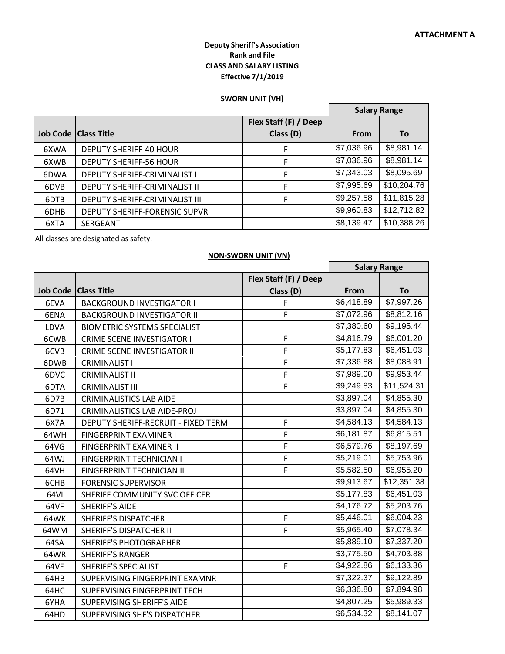#### **Deputy Sheriff's Association Rank and File CLASS AND SALARY LISTING Effective 7/1/2019**

#### **SWORN UNIT (VH)**

|      |                                      |                                    | <b>Salary Range</b> |             |
|------|--------------------------------------|------------------------------------|---------------------|-------------|
|      | <b>Job Code   Class Title</b>        | Flex Staff (F) / Deep<br>Class (D) | <b>From</b>         | To          |
| 6XWA | <b>DEPUTY SHERIFF-40 HOUR</b>        | F                                  | \$7,036.96          | \$8,981.14  |
| 6XWB | <b>DEPUTY SHERIFF-56 HOUR</b>        | F                                  | \$7,036.96          | \$8,981.14  |
| 6DWA | DEPUTY SHERIFF-CRIMINALIST I         | F                                  | \$7,343.03          | \$8,095.69  |
| 6DVB | <b>DEPUTY SHERIFF-CRIMINALIST II</b> | F                                  | \$7,995.69          | \$10,204.76 |
| 6DTB | DEPUTY SHERIFF-CRIMINALIST III       | F                                  | \$9,257.58          | \$11,815.28 |
| 6DHB | DEPUTY SHERIFF-FORENSIC SUPVR        |                                    | \$9,960.83          | \$12,712.82 |
| 6XTA | SERGEANT                             |                                    | \$8,139.47          | \$10,388.26 |

All classes are designated as safety.

#### **NON-SWORN UNIT (VN)**

|      |                                     |                       | <b>Salary Range</b>    |                        |
|------|-------------------------------------|-----------------------|------------------------|------------------------|
|      |                                     | Flex Staff (F) / Deep |                        |                        |
|      | Job Code   Class Title              | Class (D)             | From                   | To                     |
| 6EVA | <b>BACKGROUND INVESTIGATOR I</b>    | F                     | \$6,418.89             | $\overline{$}7,997.26$ |
| 6ENA | <b>BACKGROUND INVESTIGATOR II</b>   | F                     | \$7,072.96             | \$8,812.16             |
| LDVA | <b>BIOMETRIC SYSTEMS SPECIALIST</b> |                       | \$7,380.60             | \$9,195.44             |
| 6CWB | <b>CRIME SCENE INVESTIGATOR I</b>   | F                     | \$4,816.79             | \$6,001.20             |
| 6CVB | <b>CRIME SCENE INVESTIGATOR II</b>  | F                     | \$5,177.83             | \$6,451.03             |
| 6DWB | <b>CRIMINALIST I</b>                | F                     | \$7,336.88             | \$8,088.91             |
| 6DVC | <b>CRIMINALIST II</b>               | F                     | \$7,989.00             | \$9,953.44             |
| 6DTA | <b>CRIMINALIST III</b>              | F                     | \$9,249.83             | \$11,524.31            |
| 6D7B | <b>CRIMINALISTICS LAB AIDE</b>      |                       | \$3,897.04             | \$4,855.30             |
| 6D71 | <b>CRIMINALISTICS LAB AIDE-PROJ</b> |                       | \$3,897.04             | \$4,855.30             |
| 6X7A | DEPUTY SHERIFF-RECRUIT - FIXED TERM | F                     | \$4,584.13             | \$4,584.13             |
| 64WH | FINGERPRINT EXAMINER I              | F                     | \$6,181.87             | \$6,815.51             |
| 64VG | FINGERPRINT EXAMINER II             | F                     | $\overline{$6,579.76}$ | \$8,197.69             |
| 64WJ | FINGERPRINT TECHNICIAN I            | F                     | \$5,219.01             | \$5,753.96             |
| 64VH | FINGERPRINT TECHNICIAN II           | F                     | \$5,582.50             | \$6,955.20             |
| 6CHB | <b>FORENSIC SUPERVISOR</b>          |                       | \$9,913.67             | \$12,351.38            |
| 64VI | SHERIFF COMMUNITY SVC OFFICER       |                       | \$5,177.83             | $\overline{$}6,451.03$ |
| 64VF | <b>SHERIFF'S AIDE</b>               |                       | \$4,176.72             | \$5,203.76             |
| 64WK | <b>SHERIFF'S DISPATCHER I</b>       | F                     | \$5,446.01             | \$6,004.23             |
| 64WM | <b>SHERIFF'S DISPATCHER II</b>      | F                     | \$5,965.40             | \$7,078.34             |
| 64SA | <b>SHERIFF'S PHOTOGRAPHER</b>       |                       | \$5,889.10             | \$7,337.20             |
| 64WR | <b>SHERIFF'S RANGER</b>             |                       | \$3,775.50             | \$4,703.88             |
| 64VE | <b>SHERIFF'S SPECIALIST</b>         | F                     | \$4,922.86             | \$6,133.36             |
| 64HB | SUPERVISING FINGERPRINT EXAMNR      |                       | \$7,322.37             | $\overline{$9,122.89}$ |
| 64HC | SUPERVISING FINGERPRINT TECH        |                       | $\overline{$6,336.80}$ | \$7,894.98             |
| 6YHA | SUPERVISING SHERIFF'S AIDE          |                       | \$4,807.25             | \$5,989.33             |
| 64HD | SUPERVISING SHF'S DISPATCHER        |                       | \$6,534.32             | \$8,141.07             |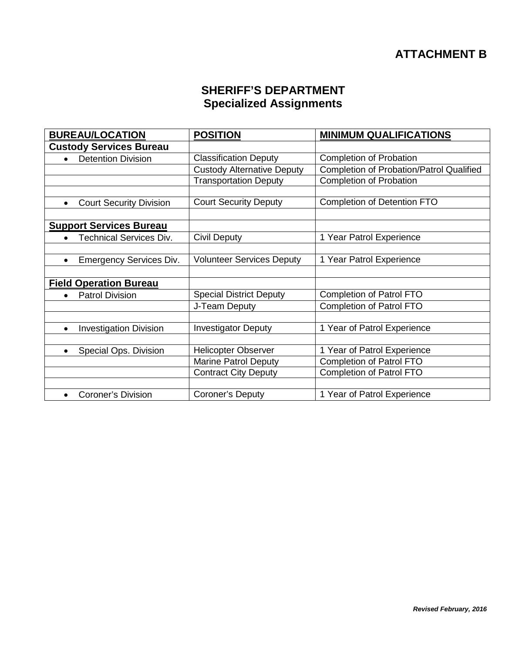# **SHERIFF'S DEPARTMENT Specialized Assignments**

| <b>BUREAU/LOCATION</b>                      | <b>POSITION</b>                   | <b>MINIMUM QUALIFICATIONS</b>                   |
|---------------------------------------------|-----------------------------------|-------------------------------------------------|
| <b>Custody Services Bureau</b>              |                                   |                                                 |
| <b>Detention Division</b><br>$\bullet$      | <b>Classification Deputy</b>      | <b>Completion of Probation</b>                  |
|                                             | <b>Custody Alternative Deputy</b> | <b>Completion of Probation/Patrol Qualified</b> |
|                                             | <b>Transportation Deputy</b>      | <b>Completion of Probation</b>                  |
|                                             |                                   |                                                 |
| <b>Court Security Division</b><br>$\bullet$ | <b>Court Security Deputy</b>      | <b>Completion of Detention FTO</b>              |
|                                             |                                   |                                                 |
| <b>Support Services Bureau</b>              |                                   |                                                 |
| <b>Technical Services Div.</b><br>$\bullet$ | Civil Deputy                      | 1 Year Patrol Experience                        |
|                                             |                                   |                                                 |
| <b>Emergency Services Div.</b><br>$\bullet$ | <b>Volunteer Services Deputy</b>  | 1 Year Patrol Experience                        |
|                                             |                                   |                                                 |
| <b>Field Operation Bureau</b>               |                                   |                                                 |
| <b>Patrol Division</b><br>$\bullet$         | <b>Special District Deputy</b>    | <b>Completion of Patrol FTO</b>                 |
|                                             | J-Team Deputy                     | <b>Completion of Patrol FTO</b>                 |
|                                             |                                   |                                                 |
| <b>Investigation Division</b><br>$\bullet$  | <b>Investigator Deputy</b>        | 1 Year of Patrol Experience                     |
|                                             |                                   |                                                 |
| Special Ops. Division<br>$\bullet$          | <b>Helicopter Observer</b>        | 1 Year of Patrol Experience                     |
|                                             | <b>Marine Patrol Deputy</b>       | <b>Completion of Patrol FTO</b>                 |
|                                             | <b>Contract City Deputy</b>       | <b>Completion of Patrol FTO</b>                 |
|                                             |                                   |                                                 |
| <b>Coroner's Division</b><br>$\bullet$      | Coroner's Deputy                  | 1 Year of Patrol Experience                     |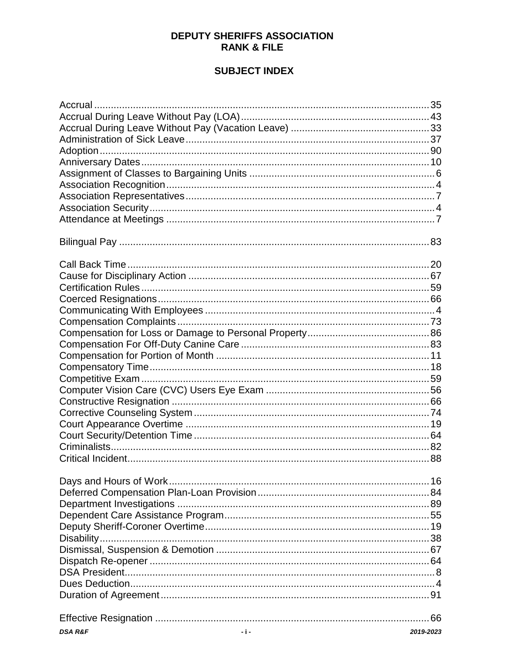## **DEPUTY SHERIFFS ASSOCIATION RANK & FILE**

## **SUBJECT INDEX**

| Accrual |  |
|---------|--|
|         |  |
|         |  |
|         |  |
|         |  |
|         |  |
|         |  |
|         |  |
|         |  |
|         |  |
|         |  |
|         |  |
|         |  |
|         |  |
|         |  |
|         |  |
|         |  |
|         |  |
|         |  |
|         |  |
|         |  |
|         |  |
|         |  |
|         |  |
|         |  |
|         |  |
|         |  |
|         |  |
|         |  |
|         |  |
|         |  |
|         |  |
|         |  |
|         |  |
|         |  |
|         |  |
|         |  |
|         |  |
|         |  |
|         |  |
|         |  |
|         |  |
|         |  |
|         |  |
|         |  |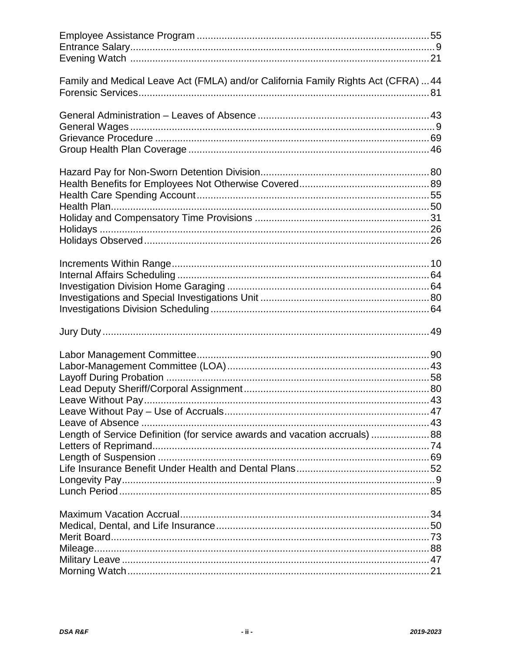| Family and Medical Leave Act (FMLA) and/or California Family Rights Act (CFRA)  44 |  |
|------------------------------------------------------------------------------------|--|
|                                                                                    |  |
|                                                                                    |  |
|                                                                                    |  |
|                                                                                    |  |
|                                                                                    |  |
|                                                                                    |  |
|                                                                                    |  |
|                                                                                    |  |
|                                                                                    |  |
|                                                                                    |  |
|                                                                                    |  |
|                                                                                    |  |
|                                                                                    |  |
|                                                                                    |  |
|                                                                                    |  |
|                                                                                    |  |
|                                                                                    |  |
|                                                                                    |  |
|                                                                                    |  |
|                                                                                    |  |
|                                                                                    |  |
|                                                                                    |  |
|                                                                                    |  |
|                                                                                    |  |
|                                                                                    |  |
|                                                                                    |  |
| Length of Service Definition (for service awards and vacation accruals) 88         |  |
|                                                                                    |  |
|                                                                                    |  |
|                                                                                    |  |
|                                                                                    |  |
|                                                                                    |  |
|                                                                                    |  |
|                                                                                    |  |
|                                                                                    |  |
|                                                                                    |  |
|                                                                                    |  |
|                                                                                    |  |